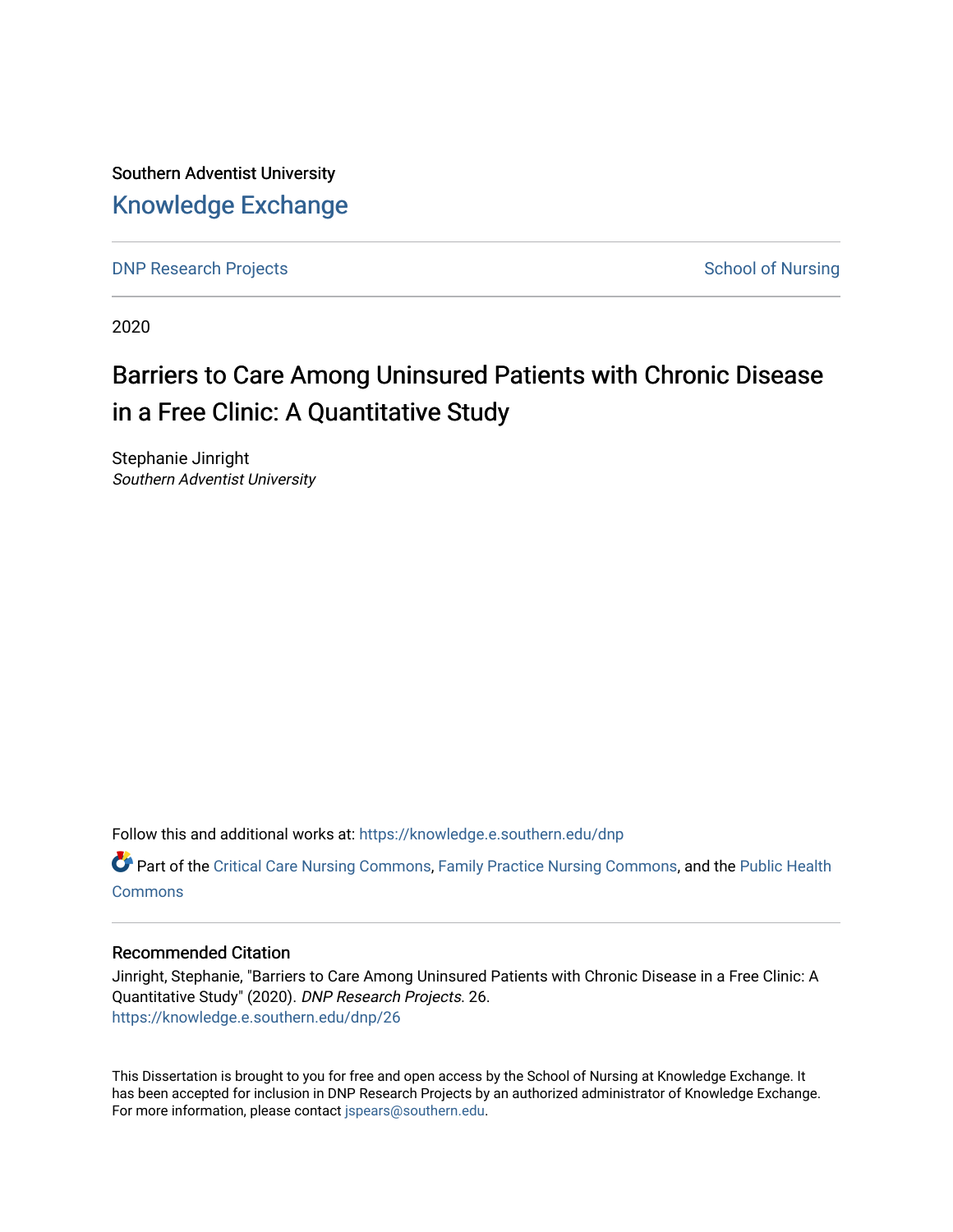Southern Adventist University [Knowledge Exchange](https://knowledge.e.southern.edu/) 

[DNP Research Projects](https://knowledge.e.southern.edu/dnp) **School of Nursing** School of Nursing

2020

# Barriers to Care Among Uninsured Patients with Chronic Disease in a Free Clinic: A Quantitative Study

Stephanie Jinright Southern Adventist University

Follow this and additional works at: [https://knowledge.e.southern.edu/dnp](https://knowledge.e.southern.edu/dnp?utm_source=knowledge.e.southern.edu%2Fdnp%2F26&utm_medium=PDF&utm_campaign=PDFCoverPages)

**C** Part of the [Critical Care Nursing Commons](http://network.bepress.com/hgg/discipline/727?utm_source=knowledge.e.southern.edu%2Fdnp%2F26&utm_medium=PDF&utm_campaign=PDFCoverPages), [Family Practice Nursing Commons](http://network.bepress.com/hgg/discipline/720?utm_source=knowledge.e.southern.edu%2Fdnp%2F26&utm_medium=PDF&utm_campaign=PDFCoverPages), and the Public Health **[Commons](http://network.bepress.com/hgg/discipline/738?utm_source=knowledge.e.southern.edu%2Fdnp%2F26&utm_medium=PDF&utm_campaign=PDFCoverPages)** 

## Recommended Citation

Jinright, Stephanie, "Barriers to Care Among Uninsured Patients with Chronic Disease in a Free Clinic: A Quantitative Study" (2020). DNP Research Projects. 26. [https://knowledge.e.southern.edu/dnp/26](https://knowledge.e.southern.edu/dnp/26?utm_source=knowledge.e.southern.edu%2Fdnp%2F26&utm_medium=PDF&utm_campaign=PDFCoverPages) 

This Dissertation is brought to you for free and open access by the School of Nursing at Knowledge Exchange. It has been accepted for inclusion in DNP Research Projects by an authorized administrator of Knowledge Exchange. For more information, please contact [jspears@southern.edu.](mailto:jspears@southern.edu)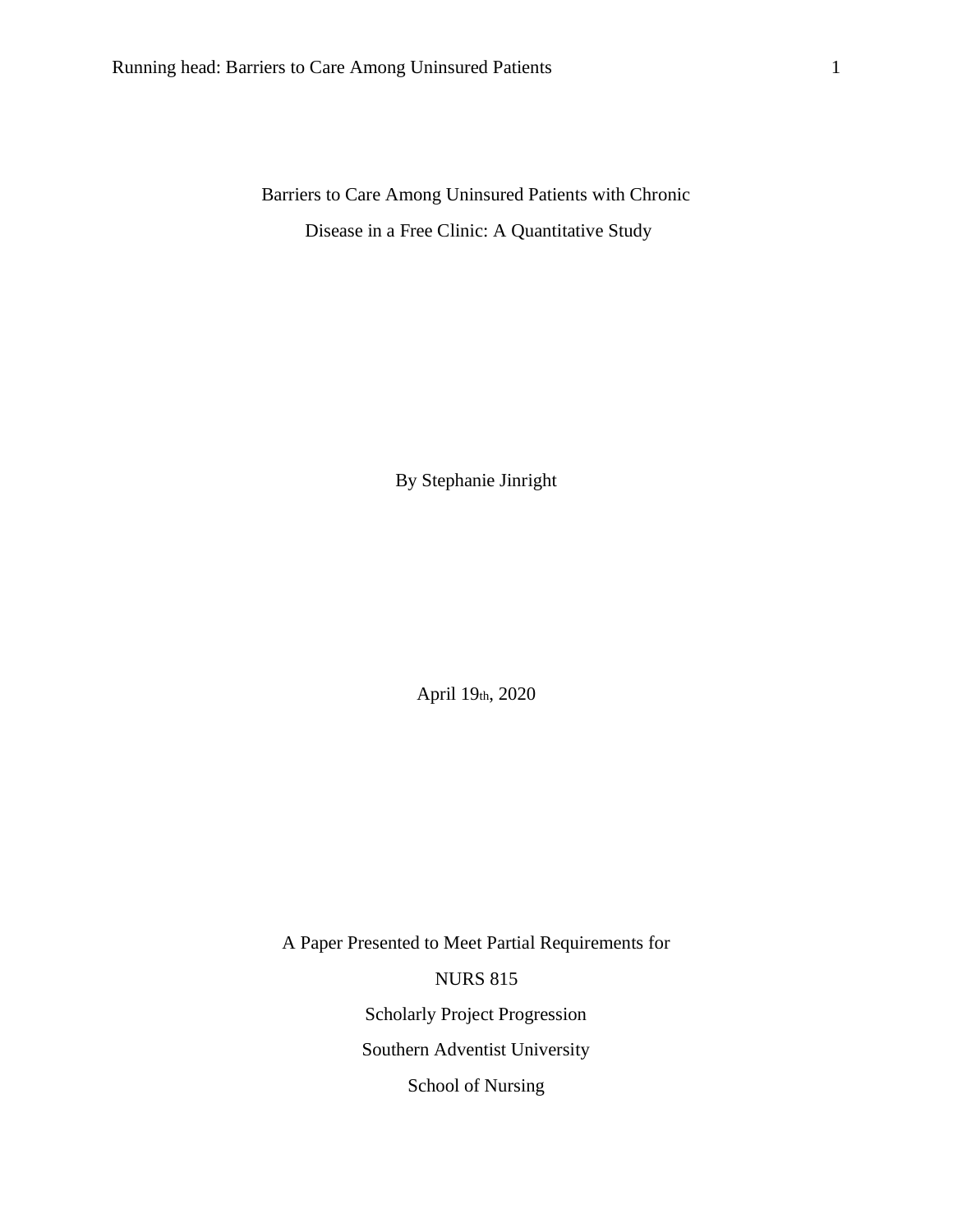Barriers to Care Among Uninsured Patients with Chronic Disease in a Free Clinic: A Quantitative Study

By Stephanie Jinright

April 19th, 2020

A Paper Presented to Meet Partial Requirements for NURS 815 Scholarly Project Progression Southern Adventist University School of Nursing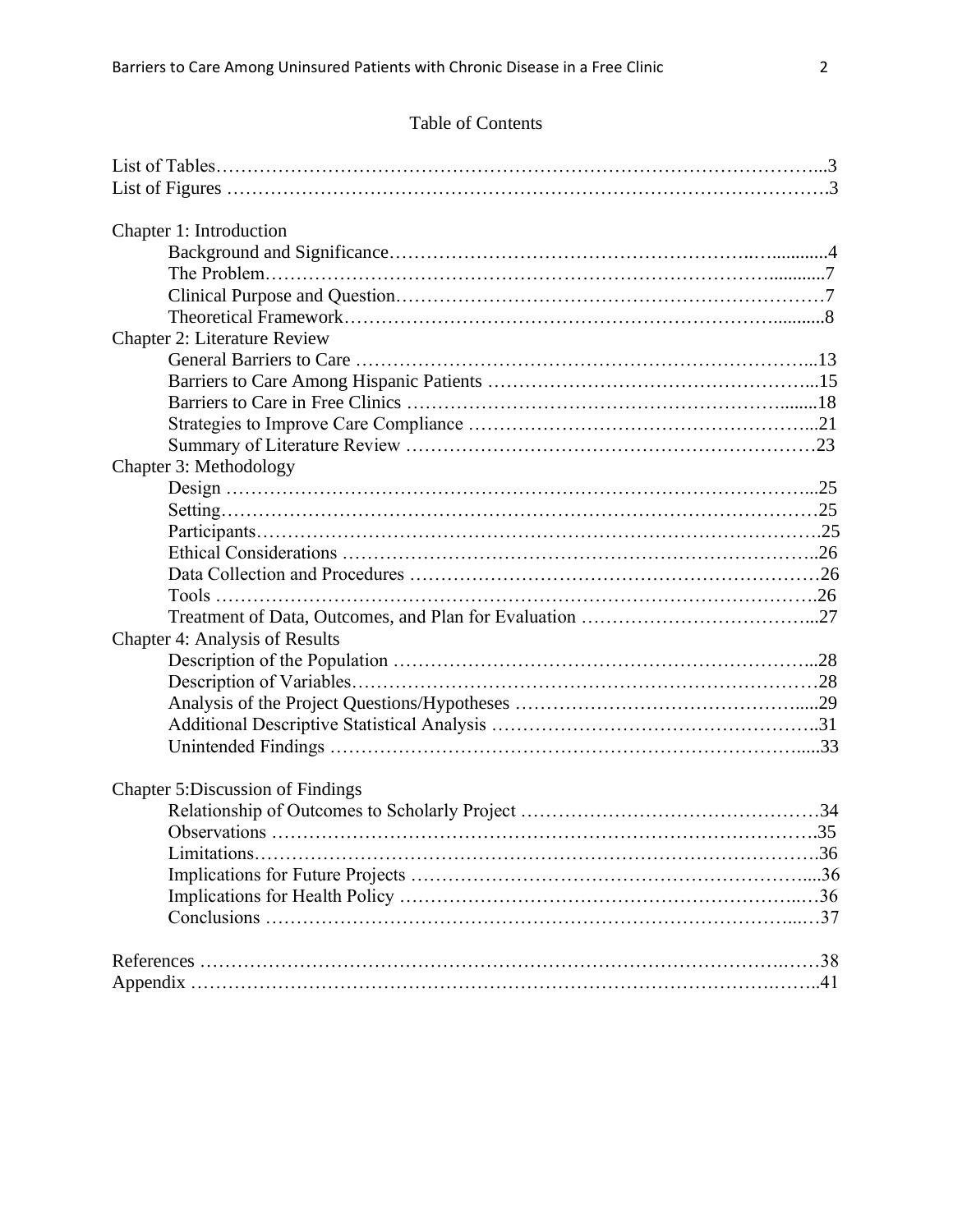| Chapter 1: Introduction                  |  |
|------------------------------------------|--|
|                                          |  |
|                                          |  |
|                                          |  |
|                                          |  |
| <b>Chapter 2: Literature Review</b>      |  |
|                                          |  |
|                                          |  |
|                                          |  |
|                                          |  |
|                                          |  |
| Chapter 3: Methodology                   |  |
|                                          |  |
|                                          |  |
|                                          |  |
|                                          |  |
|                                          |  |
|                                          |  |
|                                          |  |
| <b>Chapter 4: Analysis of Results</b>    |  |
|                                          |  |
|                                          |  |
|                                          |  |
|                                          |  |
|                                          |  |
|                                          |  |
| <b>Chapter 5: Discussion of Findings</b> |  |
|                                          |  |
|                                          |  |
|                                          |  |
|                                          |  |
|                                          |  |
|                                          |  |
|                                          |  |
|                                          |  |
|                                          |  |
|                                          |  |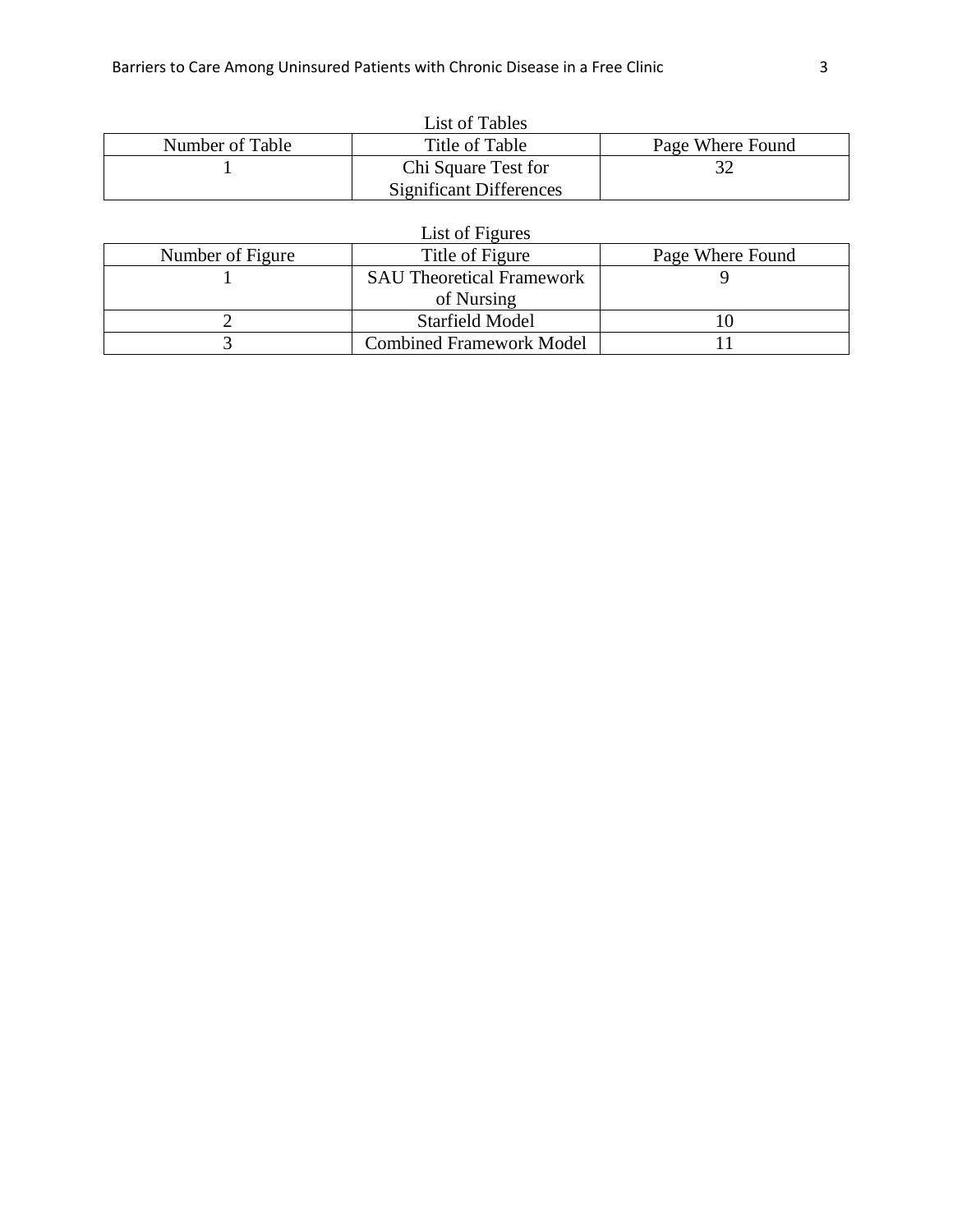| List of Tables  |                                |                  |  |
|-----------------|--------------------------------|------------------|--|
| Number of Table | Title of Table                 | Page Where Found |  |
|                 | Chi Square Test for            |                  |  |
|                 | <b>Significant Differences</b> |                  |  |

| List of Figures  |                                  |                  |  |  |
|------------------|----------------------------------|------------------|--|--|
| Number of Figure | Title of Figure                  | Page Where Found |  |  |
|                  | <b>SAU Theoretical Framework</b> |                  |  |  |
|                  | of Nursing                       |                  |  |  |
|                  | <b>Starfield Model</b>           |                  |  |  |
|                  | <b>Combined Framework Model</b>  |                  |  |  |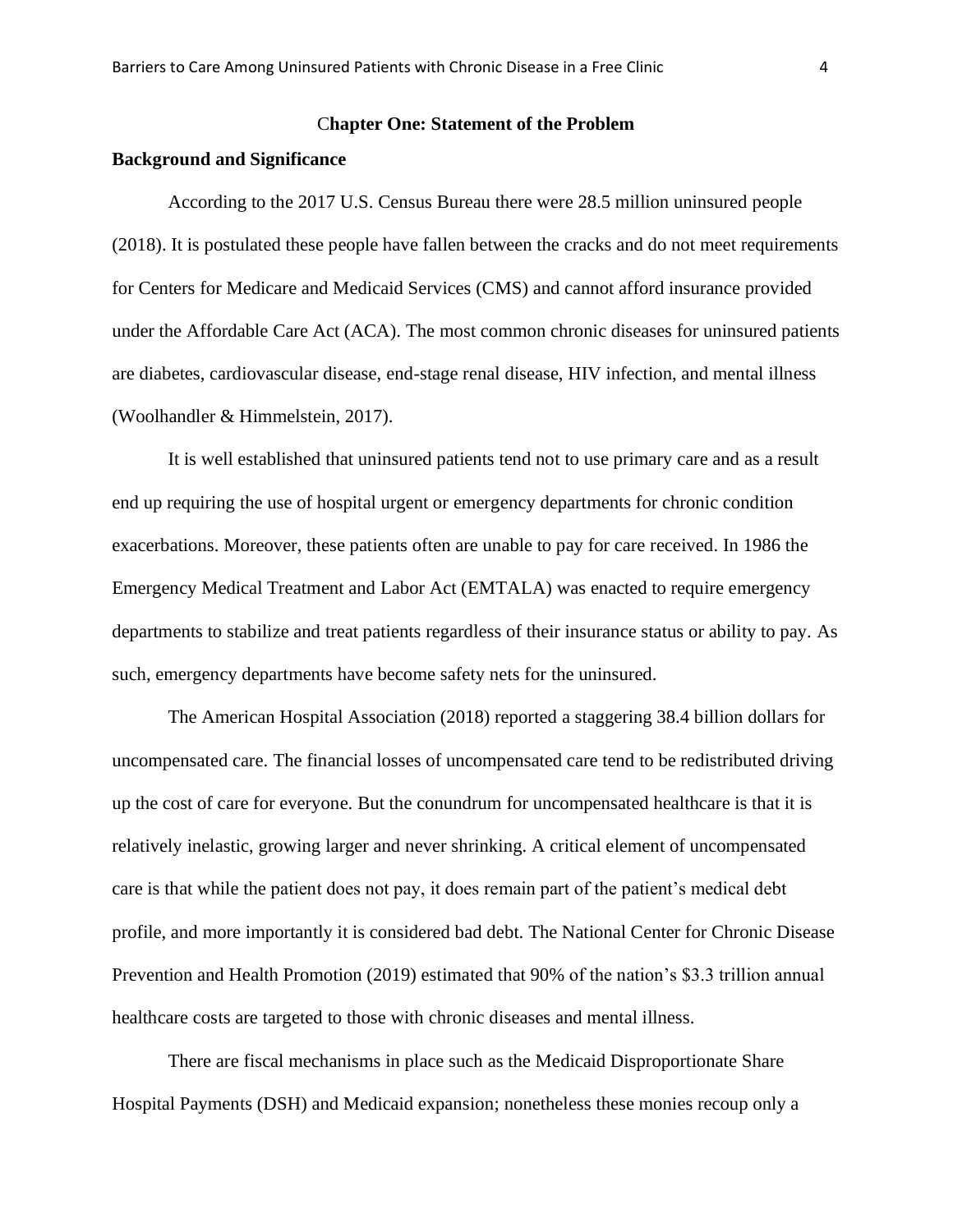### C**hapter One: Statement of the Problem**

#### **Background and Significance**

According to the 2017 U.S. Census Bureau there were 28.5 million uninsured people (2018). It is postulated these people have fallen between the cracks and do not meet requirements for Centers for Medicare and Medicaid Services (CMS) and cannot afford insurance provided under the Affordable Care Act (ACA). The most common chronic diseases for uninsured patients are diabetes, cardiovascular disease, end-stage renal disease, HIV infection, and mental illness (Woolhandler & Himmelstein, 2017).

It is well established that uninsured patients tend not to use primary care and as a result end up requiring the use of hospital urgent or emergency departments for chronic condition exacerbations. Moreover, these patients often are unable to pay for care received. In 1986 the Emergency Medical Treatment and Labor Act (EMTALA) was enacted to require emergency departments to stabilize and treat patients regardless of their insurance status or ability to pay. As such, emergency departments have become safety nets for the uninsured.

The American Hospital Association (2018) reported a staggering 38.4 billion dollars for uncompensated care. The financial losses of uncompensated care tend to be redistributed driving up the cost of care for everyone. But the conundrum for uncompensated healthcare is that it is relatively inelastic, growing larger and never shrinking. A critical element of uncompensated care is that while the patient does not pay, it does remain part of the patient's medical debt profile, and more importantly it is considered bad debt. The National Center for Chronic Disease Prevention and Health Promotion (2019) estimated that 90% of the nation's \$3.3 trillion annual healthcare costs are targeted to those with chronic diseases and mental illness.

There are fiscal mechanisms in place such as the Medicaid Disproportionate Share Hospital Payments (DSH) and Medicaid expansion; nonetheless these monies recoup only a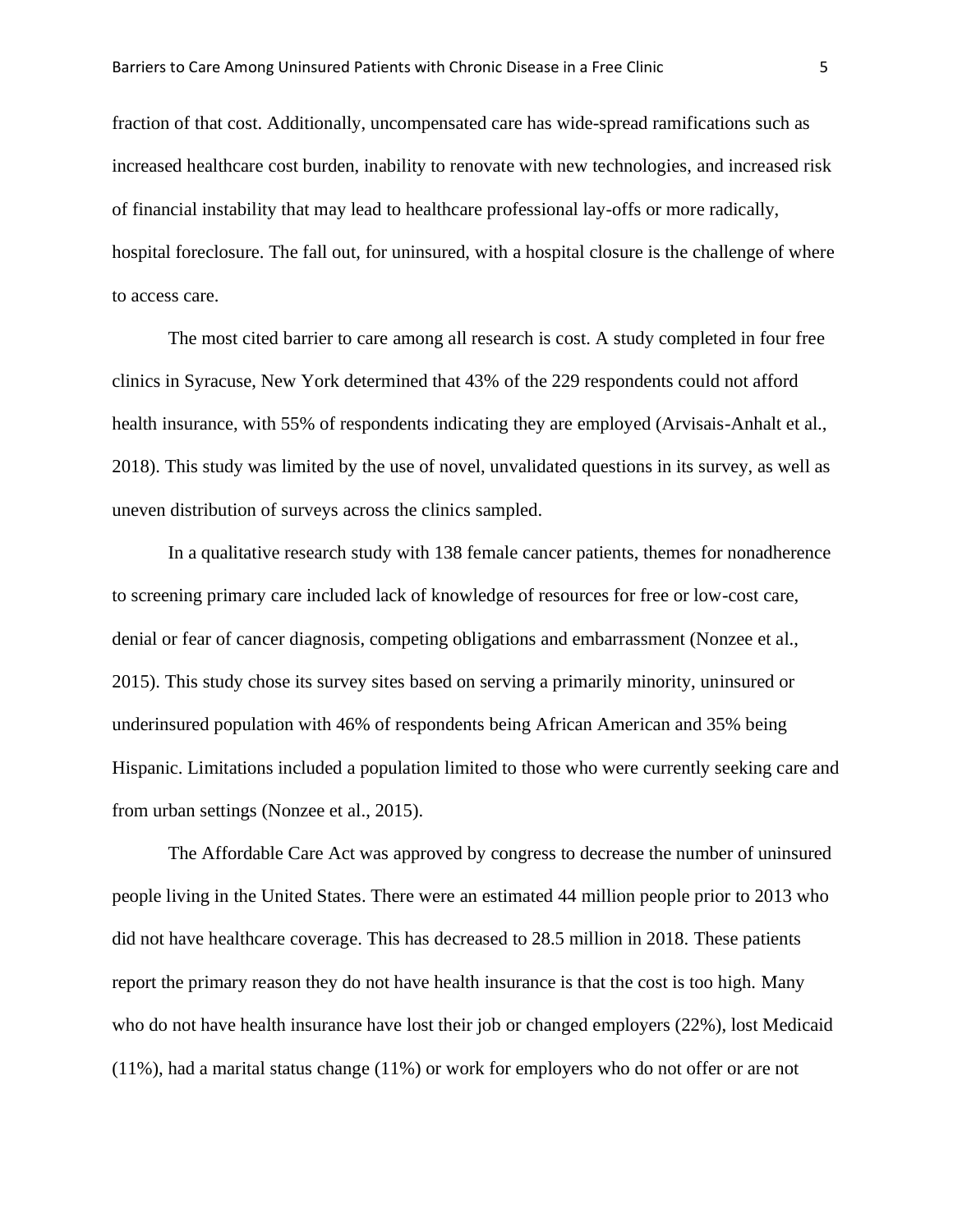fraction of that cost. Additionally, uncompensated care has wide-spread ramifications such as increased healthcare cost burden, inability to renovate with new technologies, and increased risk of financial instability that may lead to healthcare professional lay-offs or more radically, hospital foreclosure. The fall out, for uninsured, with a hospital closure is the challenge of where to access care.

The most cited barrier to care among all research is cost. A study completed in four free clinics in Syracuse, New York determined that 43% of the 229 respondents could not afford health insurance, with 55% of respondents indicating they are employed (Arvisais-Anhalt et al., 2018). This study was limited by the use of novel, unvalidated questions in its survey, as well as uneven distribution of surveys across the clinics sampled.

In a qualitative research study with 138 female cancer patients, themes for nonadherence to screening primary care included lack of knowledge of resources for free or low-cost care, denial or fear of cancer diagnosis, competing obligations and embarrassment (Nonzee et al., 2015). This study chose its survey sites based on serving a primarily minority, uninsured or underinsured population with 46% of respondents being African American and 35% being Hispanic. Limitations included a population limited to those who were currently seeking care and from urban settings (Nonzee et al., 2015).

The Affordable Care Act was approved by congress to decrease the number of uninsured people living in the United States. There were an estimated 44 million people prior to 2013 who did not have healthcare coverage. This has decreased to 28.5 million in 2018. These patients report the primary reason they do not have health insurance is that the cost is too high. Many who do not have health insurance have lost their job or changed employers (22%), lost Medicaid (11%), had a marital status change (11%) or work for employers who do not offer or are not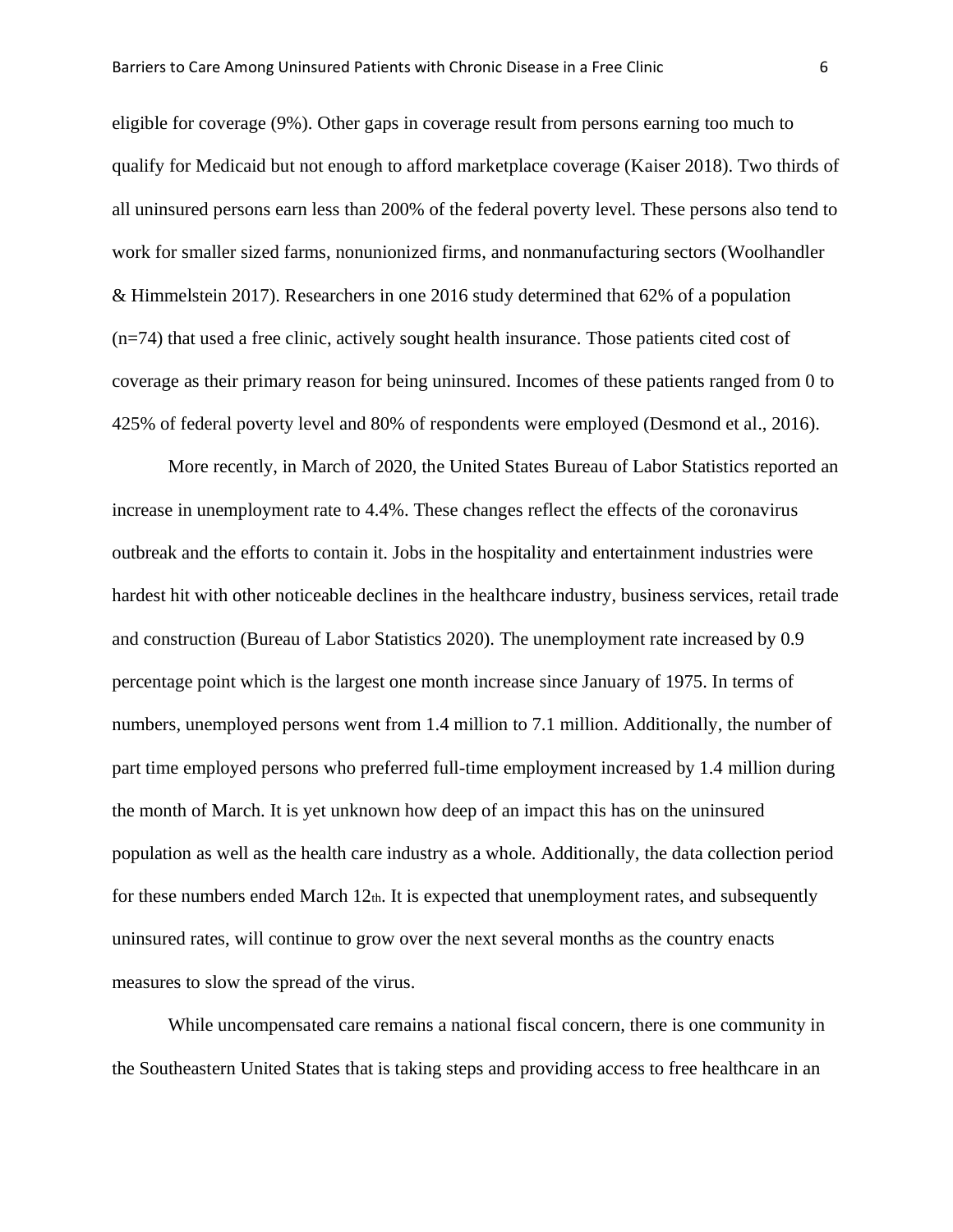eligible for coverage (9%). Other gaps in coverage result from persons earning too much to qualify for Medicaid but not enough to afford marketplace coverage (Kaiser 2018). Two thirds of all uninsured persons earn less than 200% of the federal poverty level. These persons also tend to work for smaller sized farms, nonunionized firms, and nonmanufacturing sectors (Woolhandler & Himmelstein 2017). Researchers in one 2016 study determined that 62% of a population (n=74) that used a free clinic, actively sought health insurance. Those patients cited cost of coverage as their primary reason for being uninsured. Incomes of these patients ranged from 0 to 425% of federal poverty level and 80% of respondents were employed (Desmond et al., 2016).

More recently, in March of 2020, the United States Bureau of Labor Statistics reported an increase in unemployment rate to 4.4%. These changes reflect the effects of the coronavirus outbreak and the efforts to contain it. Jobs in the hospitality and entertainment industries were hardest hit with other noticeable declines in the healthcare industry, business services, retail trade and construction (Bureau of Labor Statistics 2020). The unemployment rate increased by 0.9 percentage point which is the largest one month increase since January of 1975. In terms of numbers, unemployed persons went from 1.4 million to 7.1 million. Additionally, the number of part time employed persons who preferred full-time employment increased by 1.4 million during the month of March. It is yet unknown how deep of an impact this has on the uninsured population as well as the health care industry as a whole. Additionally, the data collection period for these numbers ended March  $12<sub>th</sub>$ . It is expected that unemployment rates, and subsequently uninsured rates, will continue to grow over the next several months as the country enacts measures to slow the spread of the virus.

While uncompensated care remains a national fiscal concern, there is one community in the Southeastern United States that is taking steps and providing access to free healthcare in an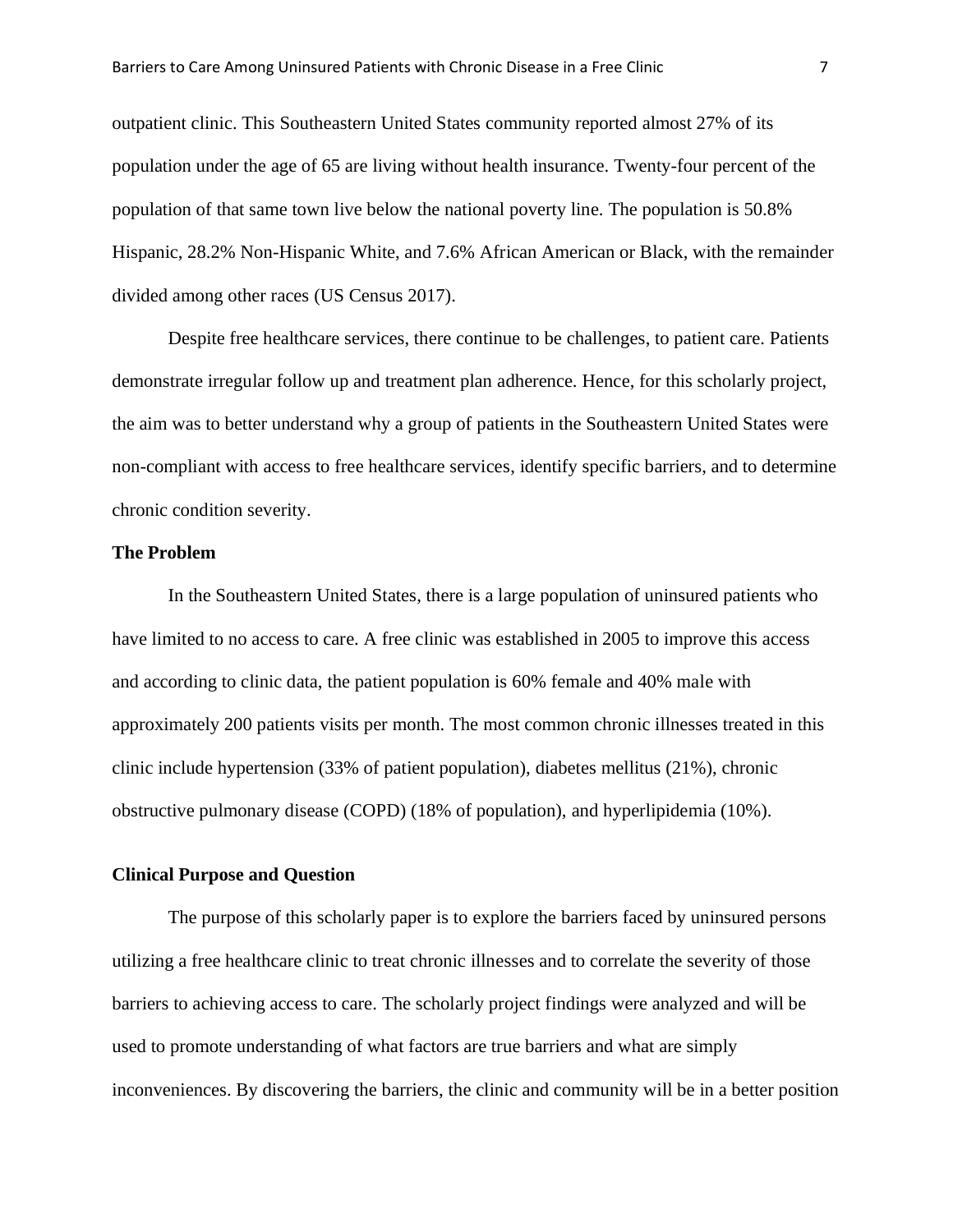outpatient clinic. This Southeastern United States community reported almost 27% of its population under the age of 65 are living without health insurance. Twenty-four percent of the population of that same town live below the national poverty line. The population is 50.8% Hispanic, 28.2% Non-Hispanic White, and 7.6% African American or Black, with the remainder divided among other races (US Census 2017).

Despite free healthcare services, there continue to be challenges, to patient care. Patients demonstrate irregular follow up and treatment plan adherence. Hence, for this scholarly project, the aim was to better understand why a group of patients in the Southeastern United States were non-compliant with access to free healthcare services, identify specific barriers, and to determine chronic condition severity.

#### **The Problem**

In the Southeastern United States, there is a large population of uninsured patients who have limited to no access to care. A free clinic was established in 2005 to improve this access and according to clinic data, the patient population is 60% female and 40% male with approximately 200 patients visits per month. The most common chronic illnesses treated in this clinic include hypertension (33% of patient population), diabetes mellitus (21%), chronic obstructive pulmonary disease (COPD) (18% of population), and hyperlipidemia (10%).

#### **Clinical Purpose and Question**

The purpose of this scholarly paper is to explore the barriers faced by uninsured persons utilizing a free healthcare clinic to treat chronic illnesses and to correlate the severity of those barriers to achieving access to care. The scholarly project findings were analyzed and will be used to promote understanding of what factors are true barriers and what are simply inconveniences. By discovering the barriers, the clinic and community will be in a better position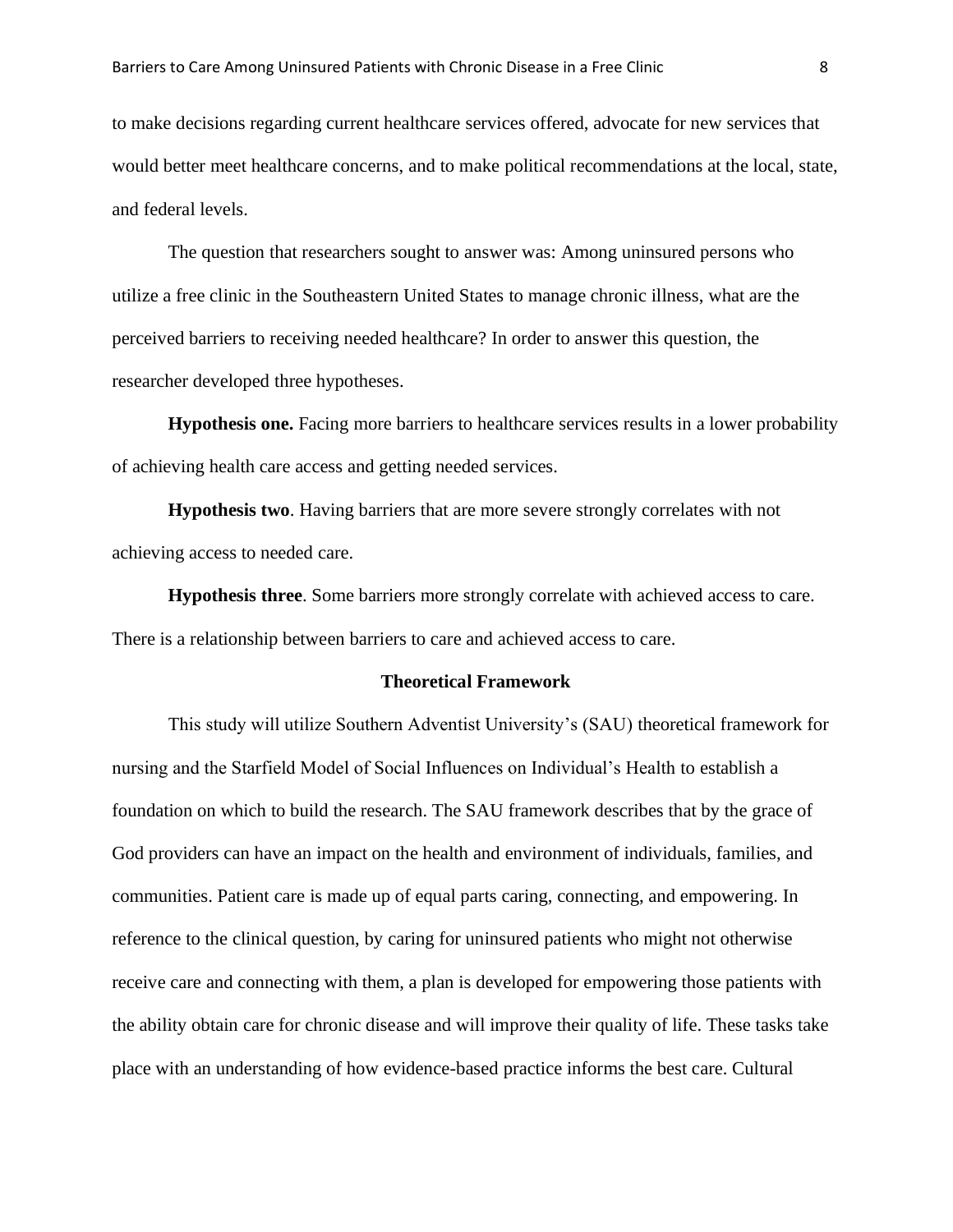to make decisions regarding current healthcare services offered, advocate for new services that would better meet healthcare concerns, and to make political recommendations at the local, state, and federal levels.

The question that researchers sought to answer was: Among uninsured persons who utilize a free clinic in the Southeastern United States to manage chronic illness, what are the perceived barriers to receiving needed healthcare? In order to answer this question, the researcher developed three hypotheses.

**Hypothesis one.** Facing more barriers to healthcare services results in a lower probability of achieving health care access and getting needed services.

**Hypothesis two**. Having barriers that are more severe strongly correlates with not achieving access to needed care.

**Hypothesis three**. Some barriers more strongly correlate with achieved access to care. There is a relationship between barriers to care and achieved access to care.

#### **Theoretical Framework**

This study will utilize Southern Adventist University's (SAU) theoretical framework for nursing and the Starfield Model of Social Influences on Individual's Health to establish a foundation on which to build the research. The SAU framework describes that by the grace of God providers can have an impact on the health and environment of individuals, families, and communities. Patient care is made up of equal parts caring, connecting, and empowering. In reference to the clinical question, by caring for uninsured patients who might not otherwise receive care and connecting with them, a plan is developed for empowering those patients with the ability obtain care for chronic disease and will improve their quality of life. These tasks take place with an understanding of how evidence-based practice informs the best care. Cultural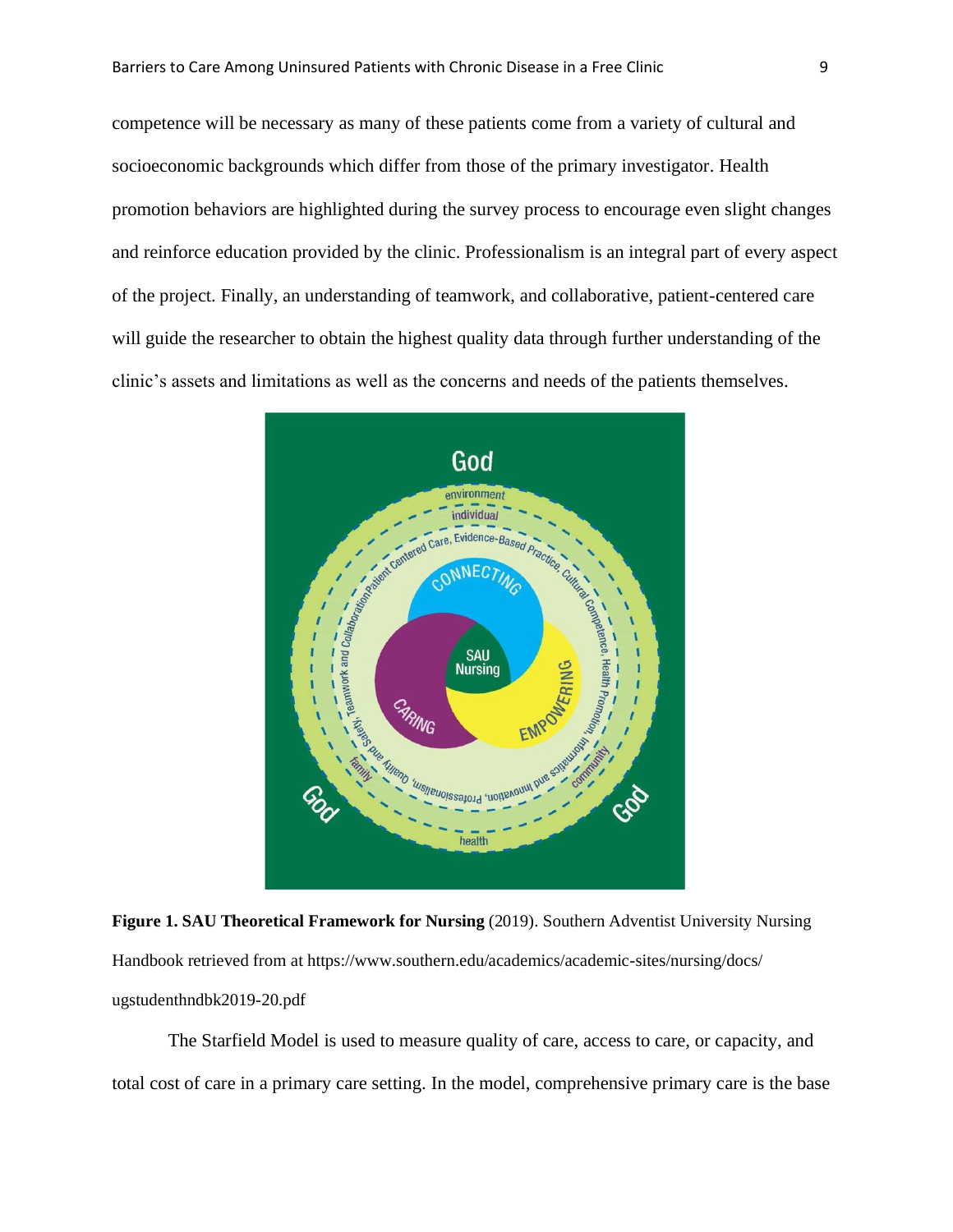competence will be necessary as many of these patients come from a variety of cultural and socioeconomic backgrounds which differ from those of the primary investigator. Health promotion behaviors are highlighted during the survey process to encourage even slight changes and reinforce education provided by the clinic. Professionalism is an integral part of every aspect of the project. Finally, an understanding of teamwork, and collaborative, patient-centered care will guide the researcher to obtain the highest quality data through further understanding of the clinic's assets and limitations as well as the concerns and needs of the patients themselves.



**Figure 1. SAU Theoretical Framework for Nursing** (2019). Southern Adventist University Nursing Handbook retrieved from at https://www.southern.edu/academics/academic-sites/nursing/docs/ ugstudenthndbk2019-20.pdf

The Starfield Model is used to measure quality of care, access to care, or capacity, and total cost of care in a primary care setting. In the model, comprehensive primary care is the base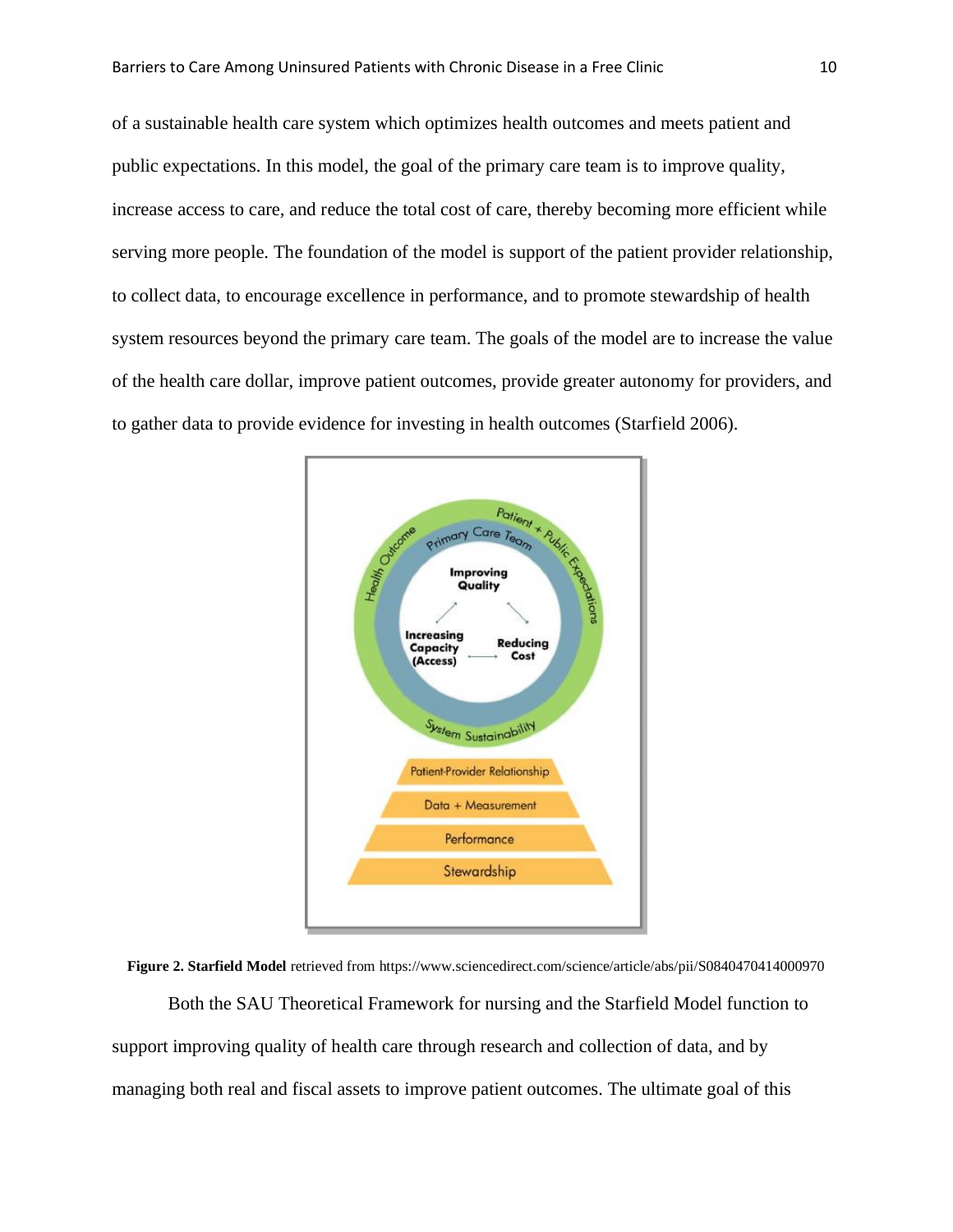of a sustainable health care system which optimizes health outcomes and meets patient and public expectations. In this model, the goal of the primary care team is to improve quality, increase access to care, and reduce the total cost of care, thereby becoming more efficient while serving more people. The foundation of the model is support of the patient provider relationship, to collect data, to encourage excellence in performance, and to promote stewardship of health system resources beyond the primary care team. The goals of the model are to increase the value of the health care dollar, improve patient outcomes, provide greater autonomy for providers, and to gather data to provide evidence for investing in health outcomes (Starfield 2006).



**Figure 2. Starfield Model** retrieved from https://www.sciencedirect.com/science/article/abs/pii/S0840470414000970 Both the SAU Theoretical Framework for nursing and the Starfield Model function to support improving quality of health care through research and collection of data, and by managing both real and fiscal assets to improve patient outcomes. The ultimate goal of this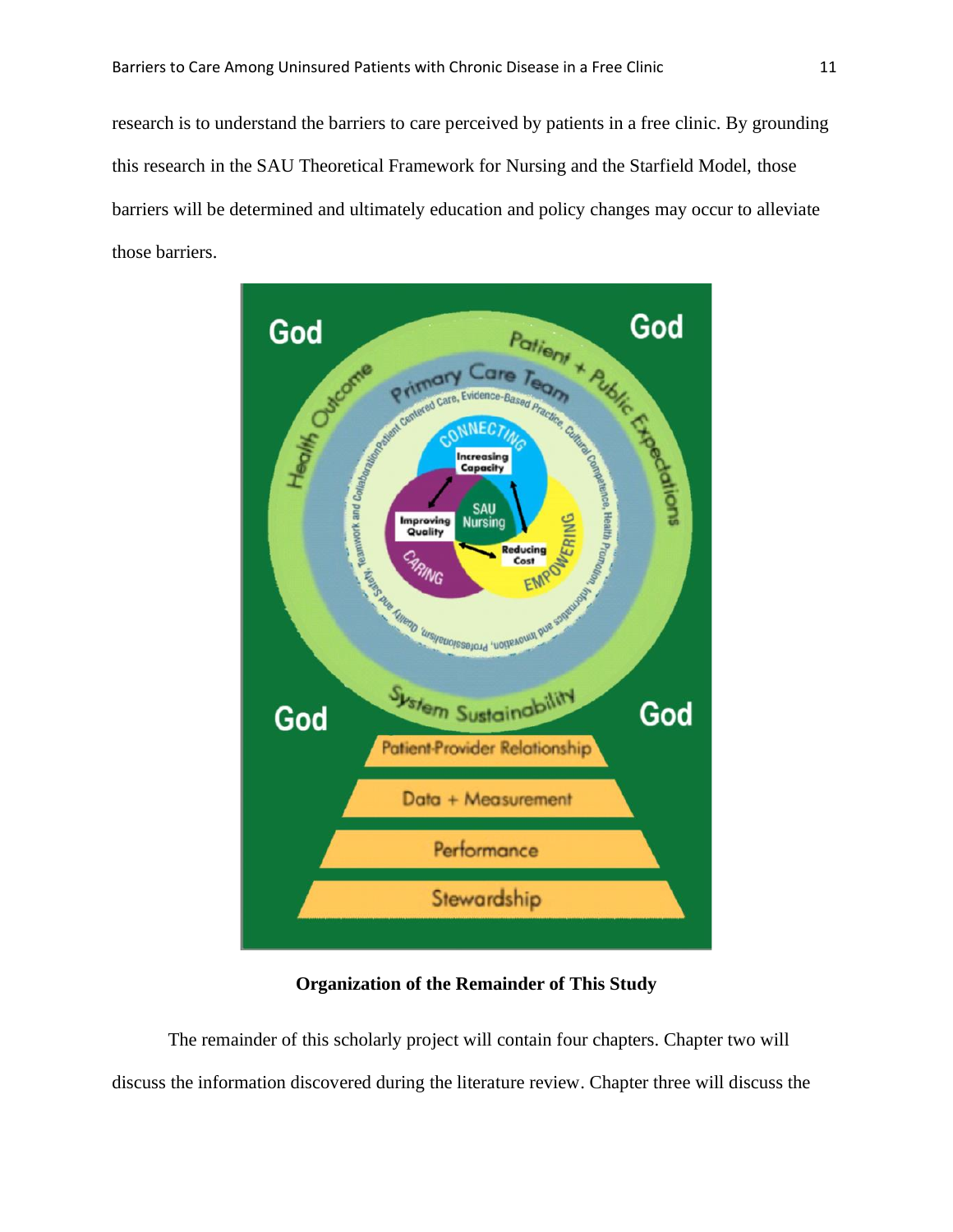research is to understand the barriers to care perceived by patients in a free clinic. By grounding this research in the SAU Theoretical Framework for Nursing and the Starfield Model, those barriers will be determined and ultimately education and policy changes may occur to alleviate those barriers.



**Organization of the Remainder of This Study**

The remainder of this scholarly project will contain four chapters. Chapter two will discuss the information discovered during the literature review. Chapter three will discuss the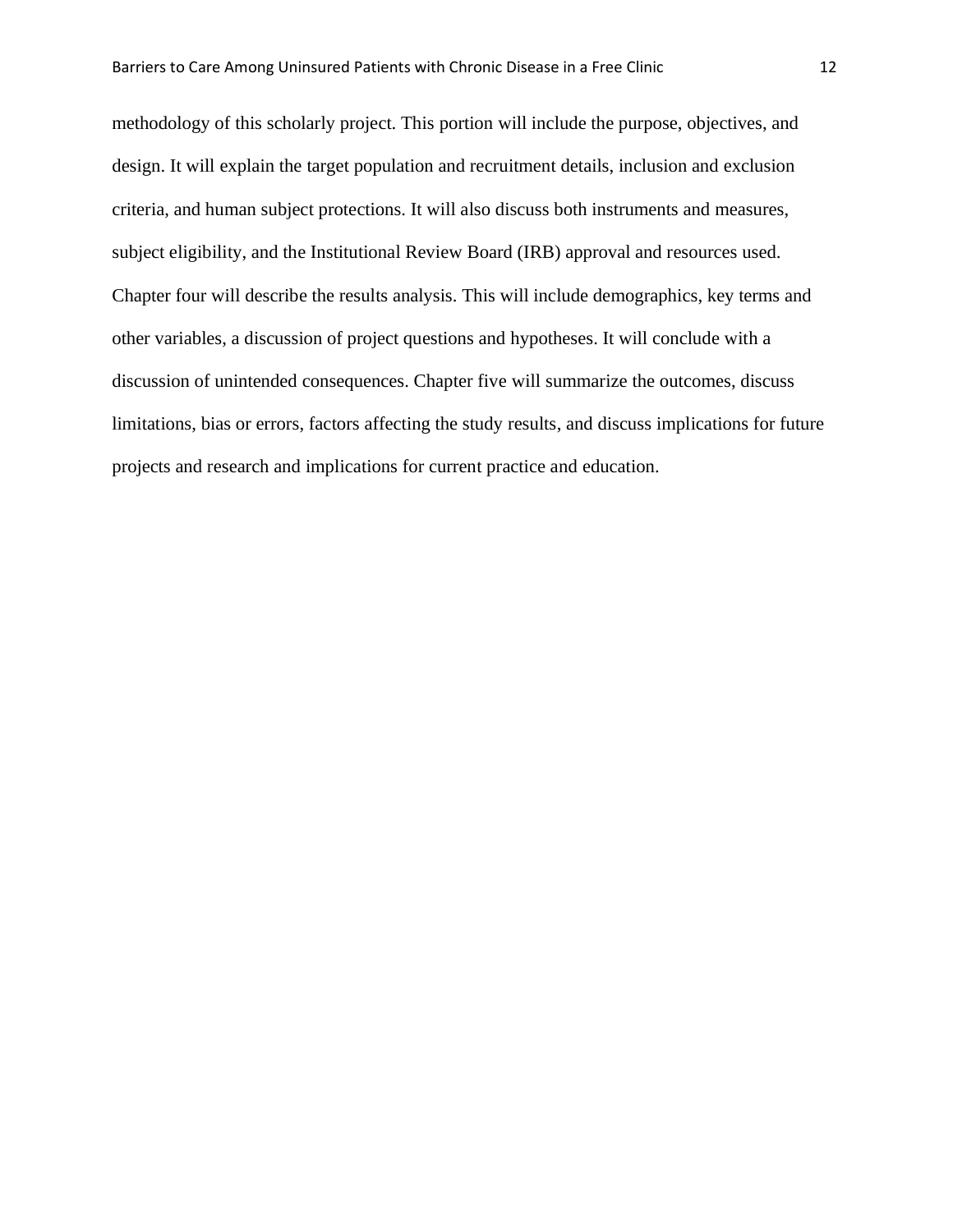methodology of this scholarly project. This portion will include the purpose, objectives, and design. It will explain the target population and recruitment details, inclusion and exclusion criteria, and human subject protections. It will also discuss both instruments and measures, subject eligibility, and the Institutional Review Board (IRB) approval and resources used. Chapter four will describe the results analysis. This will include demographics, key terms and other variables, a discussion of project questions and hypotheses. It will conclude with a discussion of unintended consequences. Chapter five will summarize the outcomes, discuss limitations, bias or errors, factors affecting the study results, and discuss implications for future projects and research and implications for current practice and education.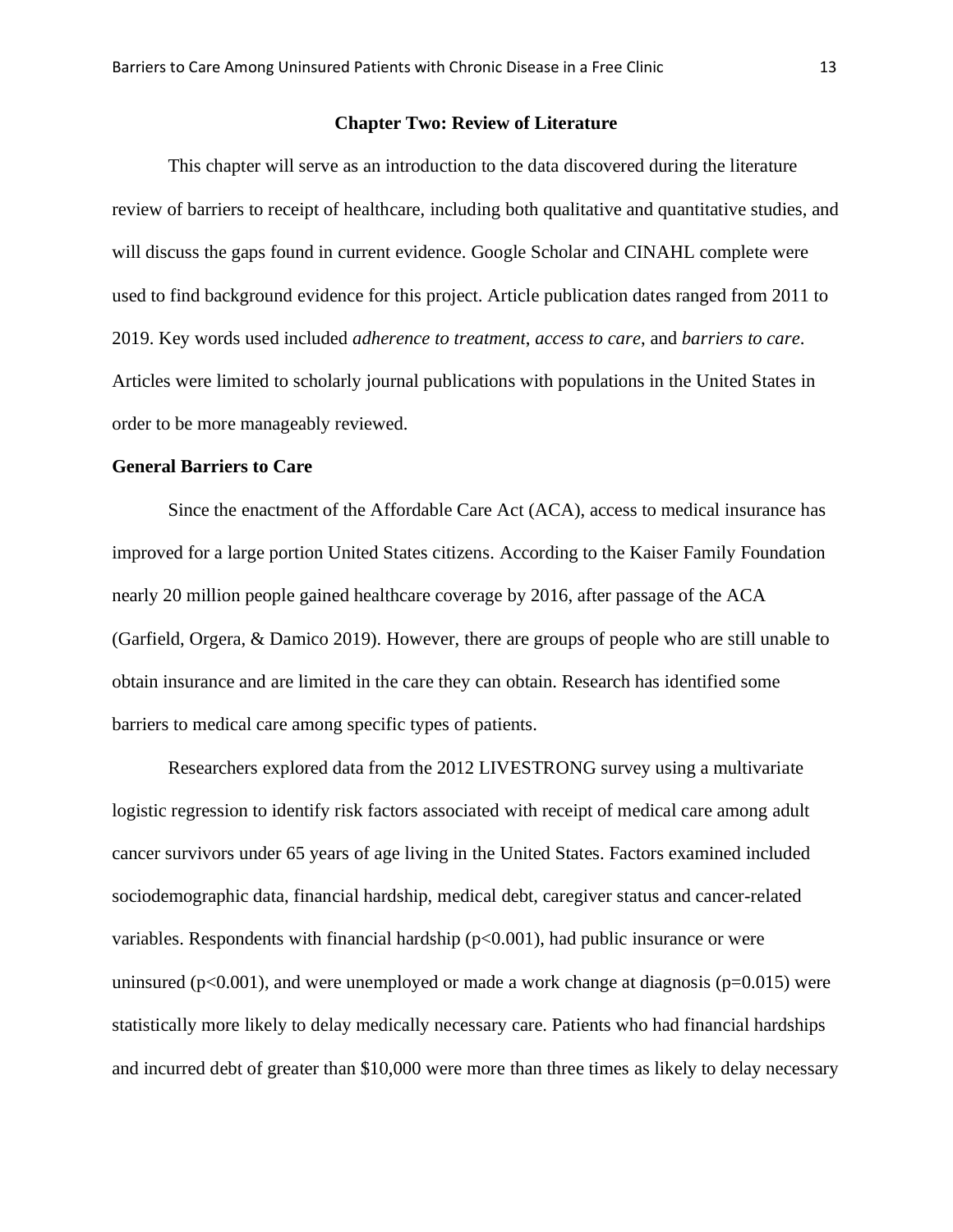#### **Chapter Two: Review of Literature**

This chapter will serve as an introduction to the data discovered during the literature review of barriers to receipt of healthcare, including both qualitative and quantitative studies, and will discuss the gaps found in current evidence. Google Scholar and CINAHL complete were used to find background evidence for this project. Article publication dates ranged from 2011 to 2019. Key words used included *adherence to treatment*, *access to care*, and *barriers to care*. Articles were limited to scholarly journal publications with populations in the United States in order to be more manageably reviewed.

#### **General Barriers to Care**

Since the enactment of the Affordable Care Act (ACA), access to medical insurance has improved for a large portion United States citizens. According to the Kaiser Family Foundation nearly 20 million people gained healthcare coverage by 2016, after passage of the ACA (Garfield, Orgera, & Damico 2019). However, there are groups of people who are still unable to obtain insurance and are limited in the care they can obtain. Research has identified some barriers to medical care among specific types of patients.

Researchers explored data from the 2012 LIVESTRONG survey using a multivariate logistic regression to identify risk factors associated with receipt of medical care among adult cancer survivors under 65 years of age living in the United States. Factors examined included sociodemographic data, financial hardship, medical debt, caregiver status and cancer-related variables. Respondents with financial hardship  $(p<0.001)$ , had public insurance or were uninsured ( $p<0.001$ ), and were unemployed or made a work change at diagnosis ( $p=0.015$ ) were statistically more likely to delay medically necessary care. Patients who had financial hardships and incurred debt of greater than \$10,000 were more than three times as likely to delay necessary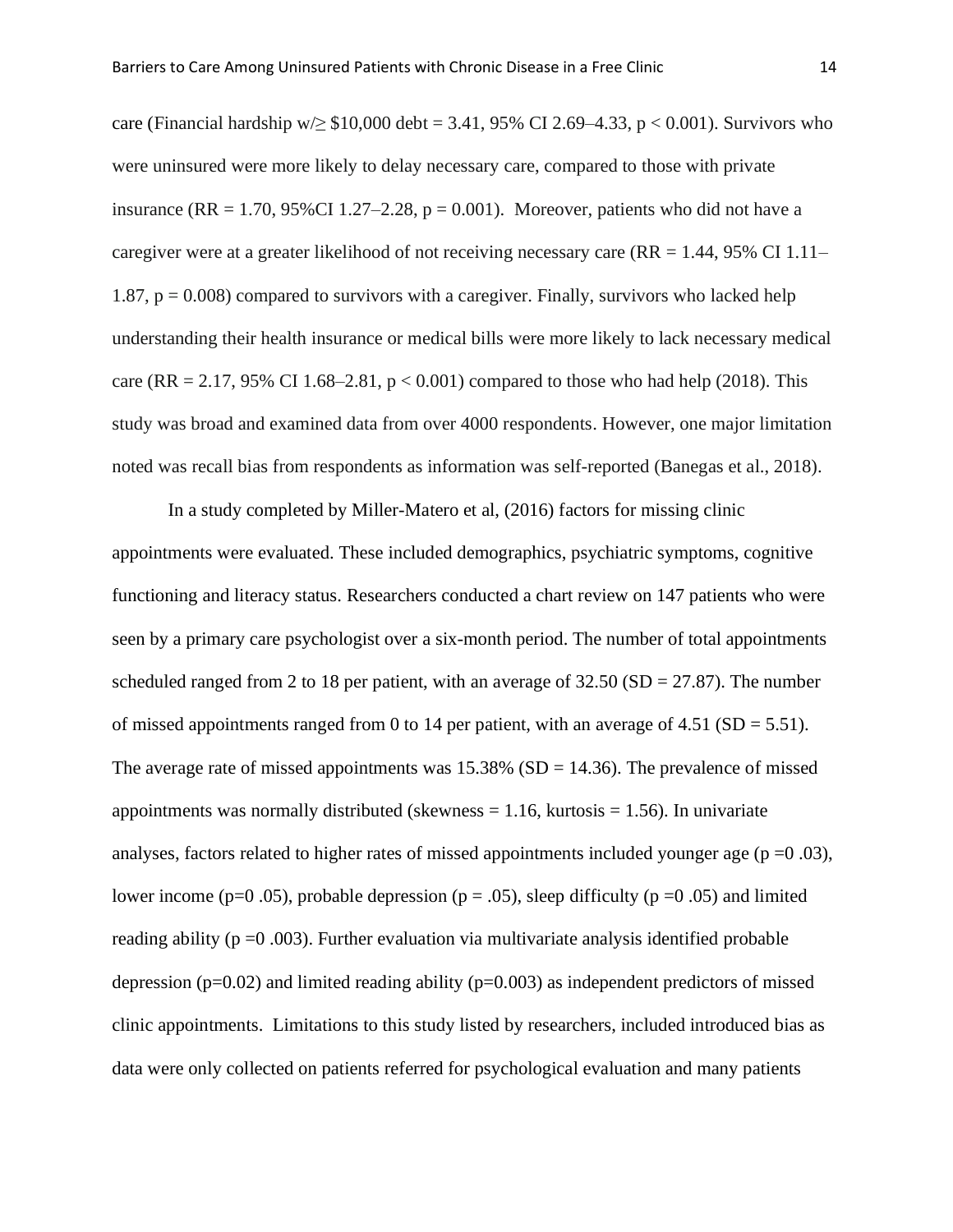care (Financial hardship w/ $\geq$  \$10,000 debt = 3.41, 95% CI 2.69–4.33, p < 0.001). Survivors who were uninsured were more likely to delay necessary care, compared to those with private insurance (RR = 1.70, 95%CI 1.27–2.28,  $p = 0.001$ ). Moreover, patients who did not have a caregiver were at a greater likelihood of not receiving necessary care ( $RR = 1.44$ , 95% CI 1.11– 1.87,  $p = 0.008$ ) compared to survivors with a caregiver. Finally, survivors who lacked help understanding their health insurance or medical bills were more likely to lack necessary medical care (RR = 2.17, 95% CI 1.68–2.81,  $p < 0.001$ ) compared to those who had help (2018). This study was broad and examined data from over 4000 respondents. However, one major limitation noted was recall bias from respondents as information was self-reported (Banegas et al., 2018).

In a study completed by Miller-Matero et al, (2016) factors for missing clinic appointments were evaluated. These included demographics, psychiatric symptoms, cognitive functioning and literacy status. Researchers conducted a chart review on 147 patients who were seen by a primary care psychologist over a six-month period. The number of total appointments scheduled ranged from 2 to 18 per patient, with an average of  $32.50$  (SD = 27.87). The number of missed appointments ranged from 0 to 14 per patient, with an average of 4.51 (SD = 5.51). The average rate of missed appointments was  $15.38\%$  (SD = 14.36). The prevalence of missed appointments was normally distributed (skewness  $= 1.16$ , kurtosis  $= 1.56$ ). In univariate analyses, factors related to higher rates of missed appointments included younger age ( $p = 0.03$ ), lower income (p=0.05), probable depression (p = .05), sleep difficulty (p = 0.05) and limited reading ability ( $p = 0.003$ ). Further evaluation via multivariate analysis identified probable depression ( $p=0.02$ ) and limited reading ability ( $p=0.003$ ) as independent predictors of missed clinic appointments. Limitations to this study listed by researchers, included introduced bias as data were only collected on patients referred for psychological evaluation and many patients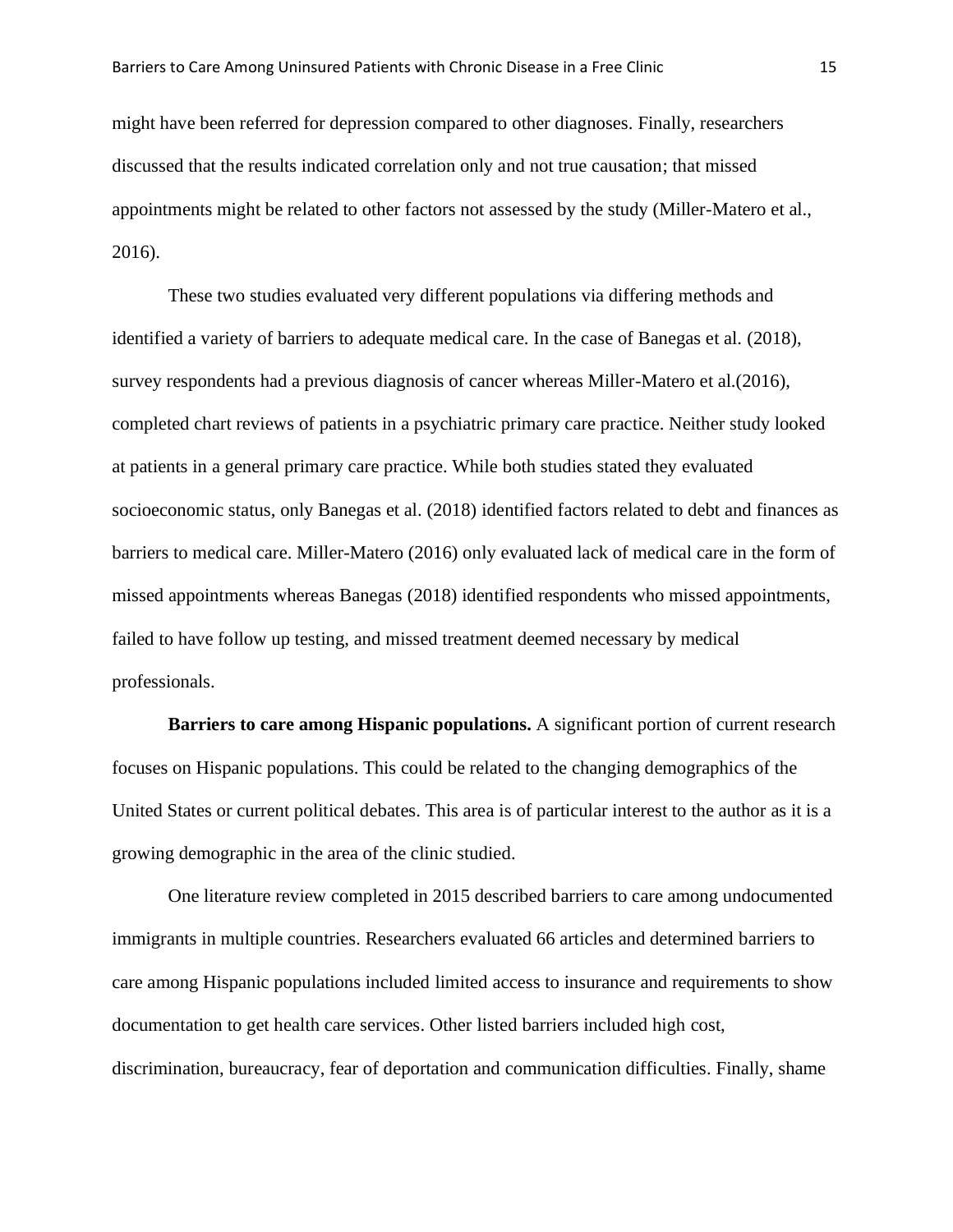might have been referred for depression compared to other diagnoses. Finally, researchers discussed that the results indicated correlation only and not true causation; that missed appointments might be related to other factors not assessed by the study (Miller-Matero et al., 2016).

These two studies evaluated very different populations via differing methods and identified a variety of barriers to adequate medical care. In the case of Banegas et al. (2018), survey respondents had a previous diagnosis of cancer whereas Miller-Matero et al.(2016), completed chart reviews of patients in a psychiatric primary care practice. Neither study looked at patients in a general primary care practice. While both studies stated they evaluated socioeconomic status, only Banegas et al. (2018) identified factors related to debt and finances as barriers to medical care. Miller-Matero (2016) only evaluated lack of medical care in the form of missed appointments whereas Banegas (2018) identified respondents who missed appointments, failed to have follow up testing, and missed treatment deemed necessary by medical professionals.

**Barriers to care among Hispanic populations.** A significant portion of current research focuses on Hispanic populations. This could be related to the changing demographics of the United States or current political debates. This area is of particular interest to the author as it is a growing demographic in the area of the clinic studied.

One literature review completed in 2015 described barriers to care among undocumented immigrants in multiple countries. Researchers evaluated 66 articles and determined barriers to care among Hispanic populations included limited access to insurance and requirements to show documentation to get health care services. Other listed barriers included high cost, discrimination, bureaucracy, fear of deportation and communication difficulties. Finally, shame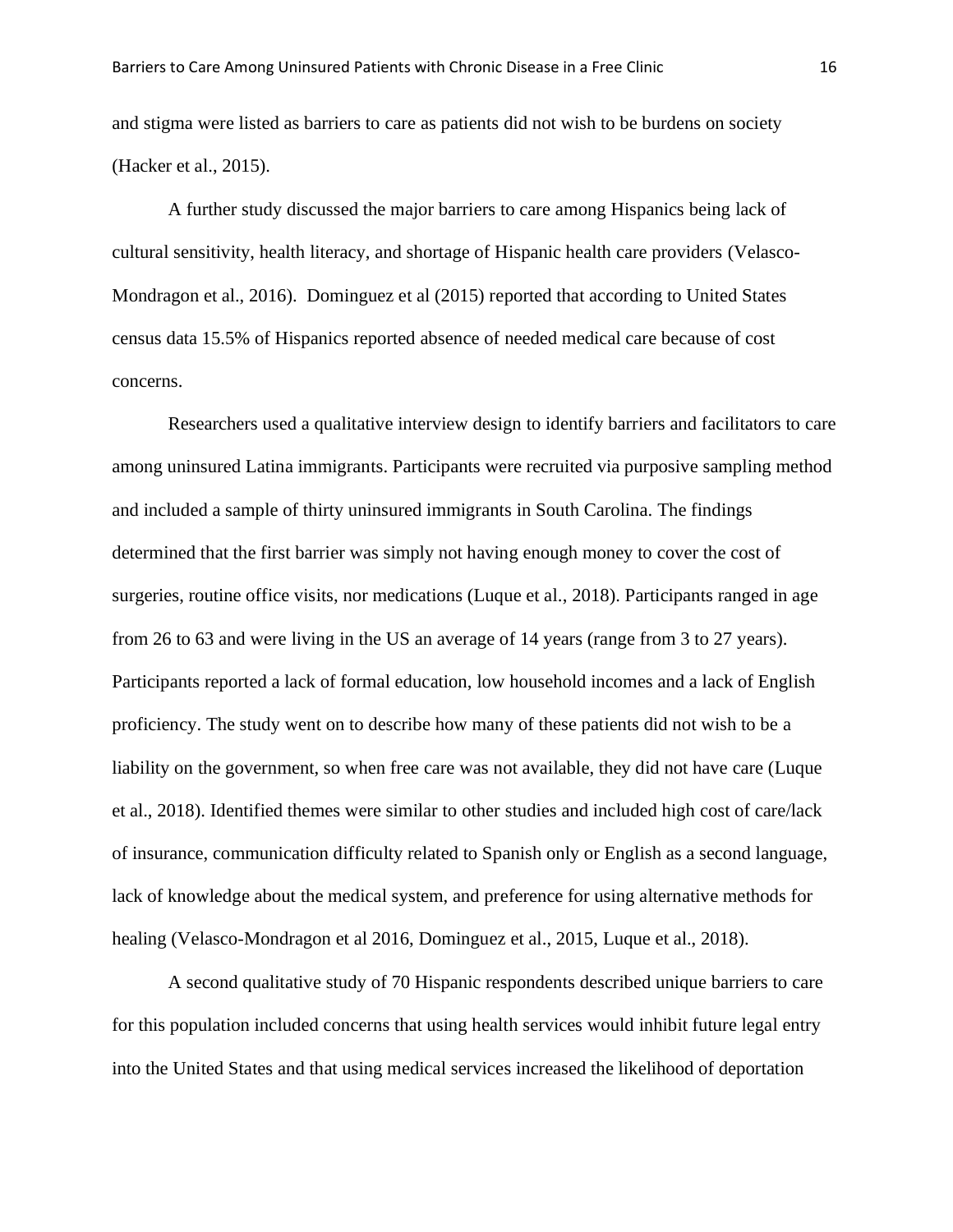and stigma were listed as barriers to care as patients did not wish to be burdens on society (Hacker et al., 2015).

A further study discussed the major barriers to care among Hispanics being lack of cultural sensitivity, health literacy, and shortage of Hispanic health care providers (Velasco-Mondragon et al., 2016). Dominguez et al (2015) reported that according to United States census data 15.5% of Hispanics reported absence of needed medical care because of cost concerns.

Researchers used a qualitative interview design to identify barriers and facilitators to care among uninsured Latina immigrants. Participants were recruited via purposive sampling method and included a sample of thirty uninsured immigrants in South Carolina. The findings determined that the first barrier was simply not having enough money to cover the cost of surgeries, routine office visits, nor medications (Luque et al., 2018). Participants ranged in age from 26 to 63 and were living in the US an average of 14 years (range from 3 to 27 years). Participants reported a lack of formal education, low household incomes and a lack of English proficiency. The study went on to describe how many of these patients did not wish to be a liability on the government, so when free care was not available, they did not have care (Luque et al., 2018). Identified themes were similar to other studies and included high cost of care/lack of insurance, communication difficulty related to Spanish only or English as a second language, lack of knowledge about the medical system, and preference for using alternative methods for healing (Velasco-Mondragon et al 2016, Dominguez et al., 2015, Luque et al., 2018).

A second qualitative study of 70 Hispanic respondents described unique barriers to care for this population included concerns that using health services would inhibit future legal entry into the United States and that using medical services increased the likelihood of deportation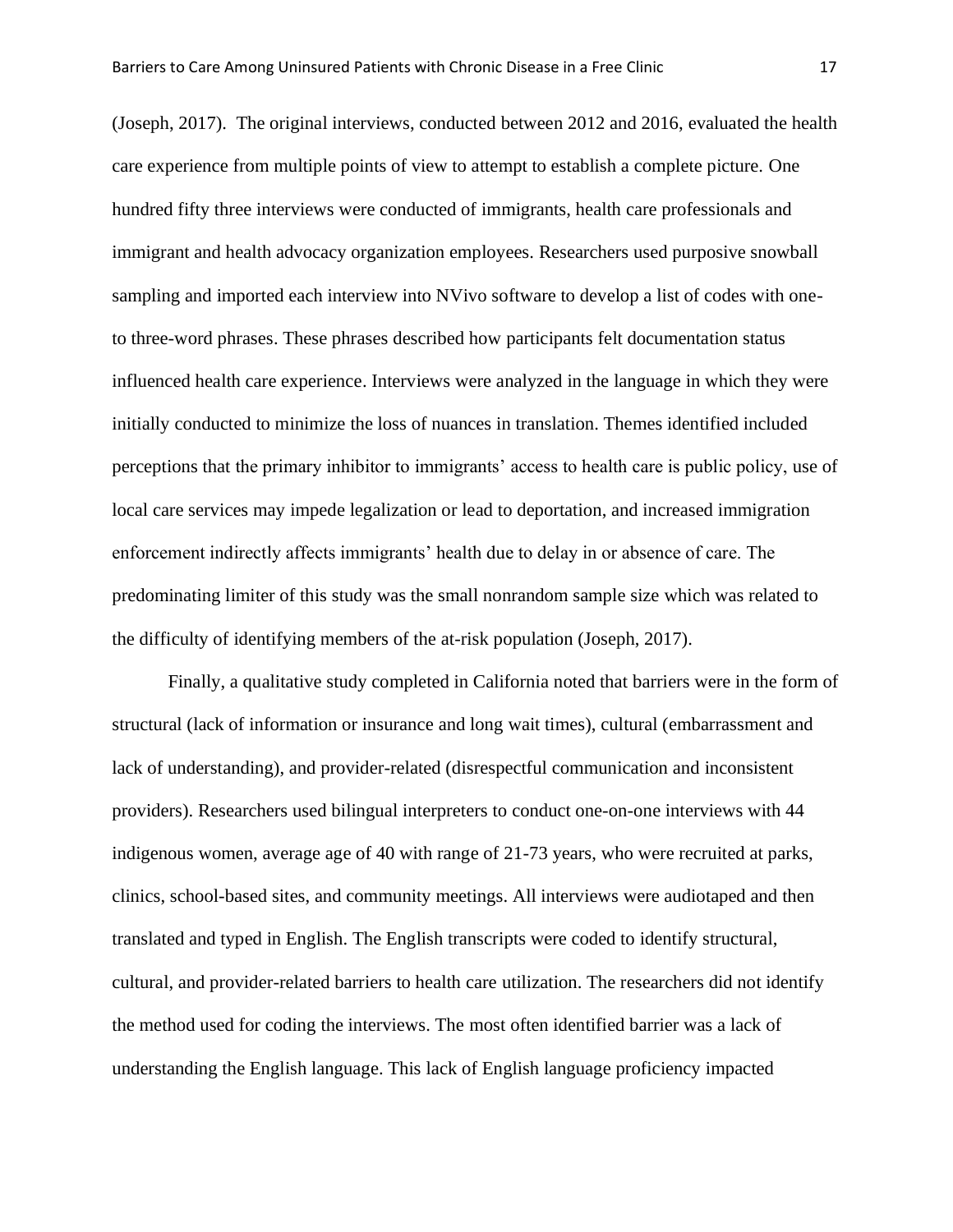(Joseph, 2017). The original interviews, conducted between 2012 and 2016, evaluated the health care experience from multiple points of view to attempt to establish a complete picture. One hundred fifty three interviews were conducted of immigrants, health care professionals and immigrant and health advocacy organization employees. Researchers used purposive snowball sampling and imported each interview into NVivo software to develop a list of codes with oneto three-word phrases. These phrases described how participants felt documentation status influenced health care experience. Interviews were analyzed in the language in which they were initially conducted to minimize the loss of nuances in translation. Themes identified included perceptions that the primary inhibitor to immigrants' access to health care is public policy, use of local care services may impede legalization or lead to deportation, and increased immigration enforcement indirectly affects immigrants' health due to delay in or absence of care. The predominating limiter of this study was the small nonrandom sample size which was related to the difficulty of identifying members of the at-risk population (Joseph, 2017).

Finally, a qualitative study completed in California noted that barriers were in the form of structural (lack of information or insurance and long wait times), cultural (embarrassment and lack of understanding), and provider-related (disrespectful communication and inconsistent providers). Researchers used bilingual interpreters to conduct one-on-one interviews with 44 indigenous women, average age of 40 with range of 21-73 years, who were recruited at parks, clinics, school-based sites, and community meetings. All interviews were audiotaped and then translated and typed in English. The English transcripts were coded to identify structural, cultural, and provider-related barriers to health care utilization. The researchers did not identify the method used for coding the interviews. The most often identified barrier was a lack of understanding the English language. This lack of English language proficiency impacted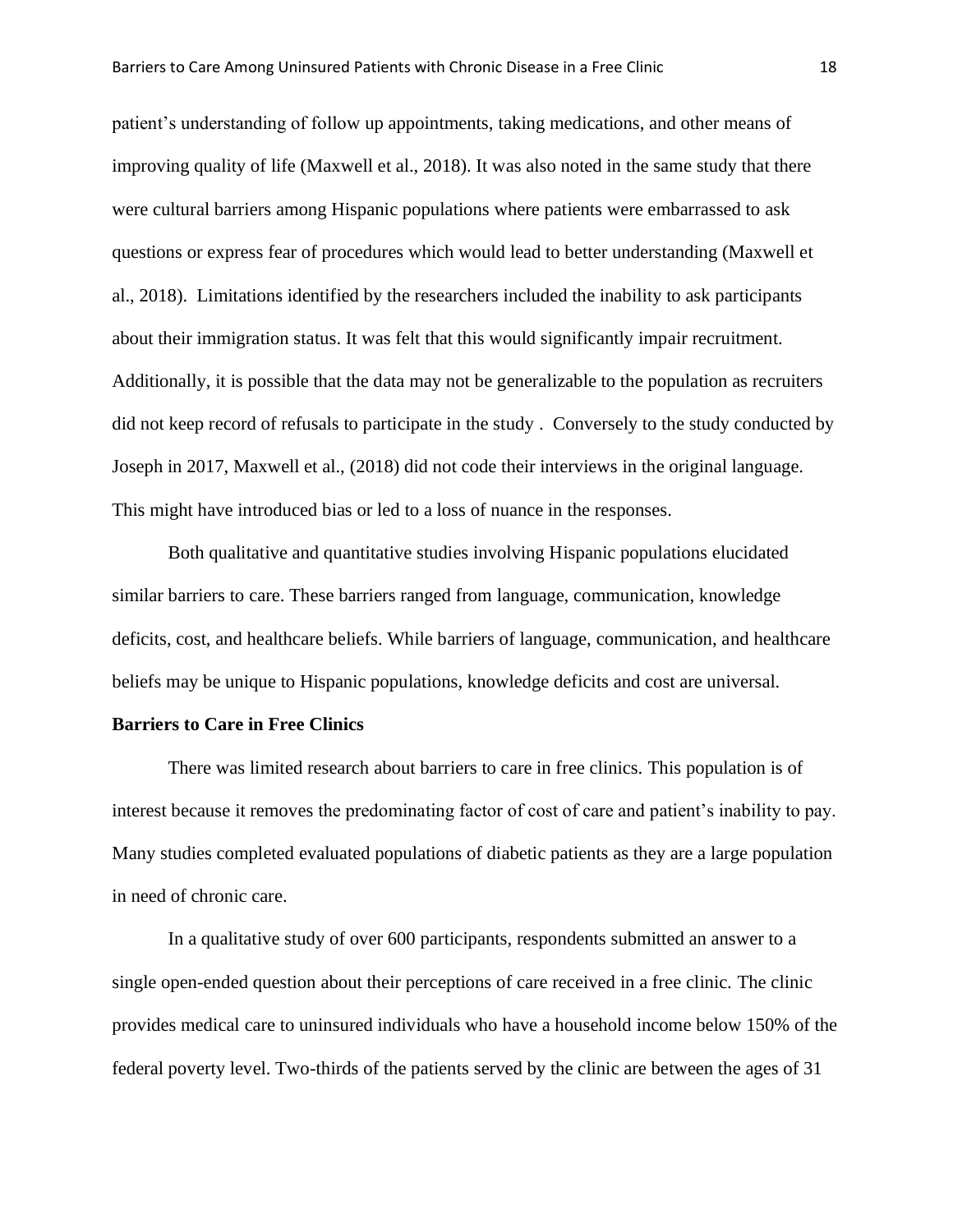patient's understanding of follow up appointments, taking medications, and other means of improving quality of life (Maxwell et al., 2018). It was also noted in the same study that there were cultural barriers among Hispanic populations where patients were embarrassed to ask questions or express fear of procedures which would lead to better understanding (Maxwell et al., 2018). Limitations identified by the researchers included the inability to ask participants about their immigration status. It was felt that this would significantly impair recruitment. Additionally, it is possible that the data may not be generalizable to the population as recruiters did not keep record of refusals to participate in the study . Conversely to the study conducted by Joseph in 2017, Maxwell et al., (2018) did not code their interviews in the original language. This might have introduced bias or led to a loss of nuance in the responses.

Both qualitative and quantitative studies involving Hispanic populations elucidated similar barriers to care. These barriers ranged from language, communication, knowledge deficits, cost, and healthcare beliefs. While barriers of language, communication, and healthcare beliefs may be unique to Hispanic populations, knowledge deficits and cost are universal.

#### **Barriers to Care in Free Clinics**

There was limited research about barriers to care in free clinics. This population is of interest because it removes the predominating factor of cost of care and patient's inability to pay. Many studies completed evaluated populations of diabetic patients as they are a large population in need of chronic care.

In a qualitative study of over 600 participants, respondents submitted an answer to a single open-ended question about their perceptions of care received in a free clinic. The clinic provides medical care to uninsured individuals who have a household income below 150% of the federal poverty level. Two-thirds of the patients served by the clinic are between the ages of 31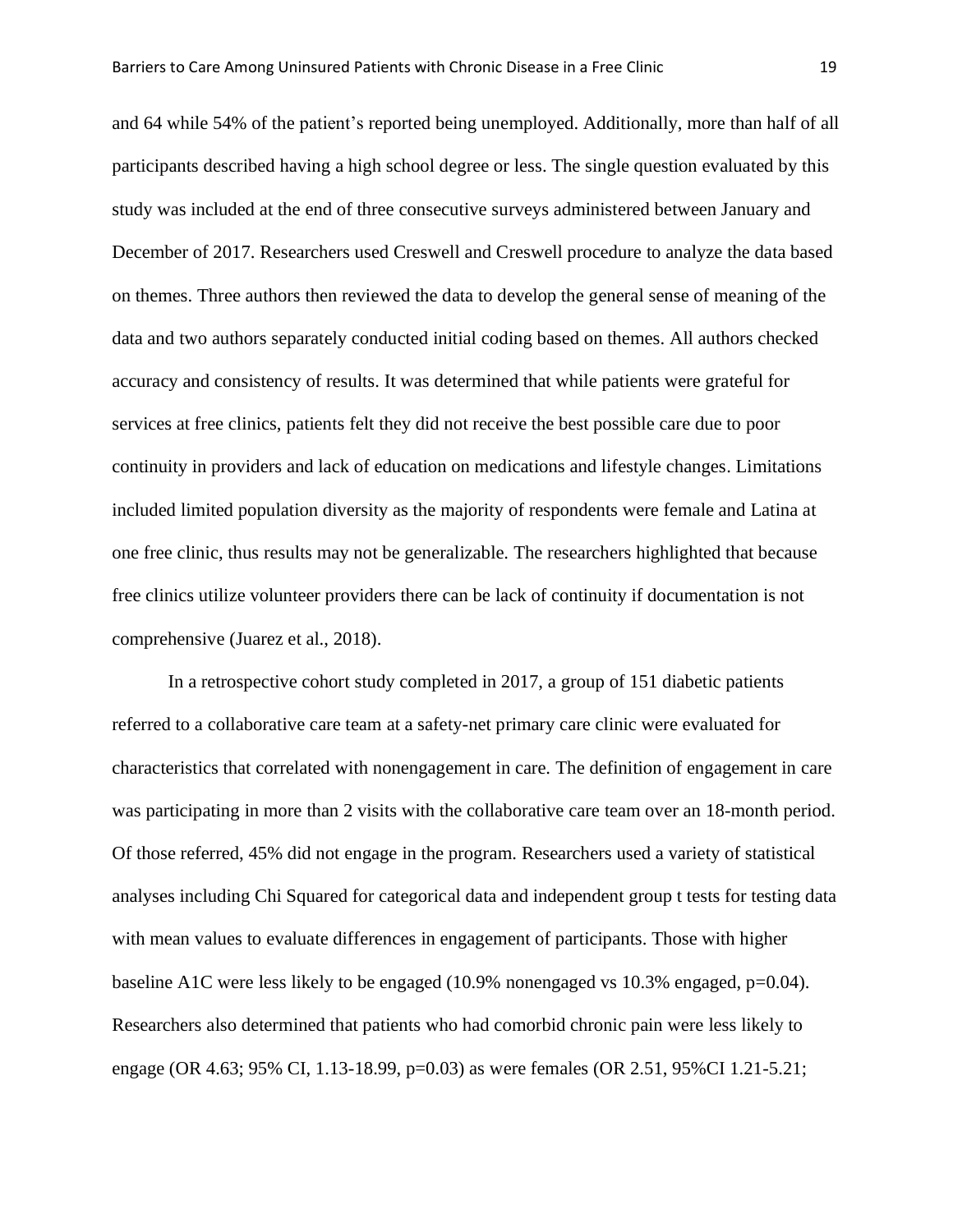and 64 while 54% of the patient's reported being unemployed. Additionally, more than half of all participants described having a high school degree or less. The single question evaluated by this study was included at the end of three consecutive surveys administered between January and December of 2017. Researchers used Creswell and Creswell procedure to analyze the data based on themes. Three authors then reviewed the data to develop the general sense of meaning of the data and two authors separately conducted initial coding based on themes. All authors checked accuracy and consistency of results. It was determined that while patients were grateful for services at free clinics, patients felt they did not receive the best possible care due to poor continuity in providers and lack of education on medications and lifestyle changes. Limitations included limited population diversity as the majority of respondents were female and Latina at one free clinic, thus results may not be generalizable. The researchers highlighted that because free clinics utilize volunteer providers there can be lack of continuity if documentation is not comprehensive (Juarez et al., 2018).

In a retrospective cohort study completed in 2017, a group of 151 diabetic patients referred to a collaborative care team at a safety-net primary care clinic were evaluated for characteristics that correlated with nonengagement in care. The definition of engagement in care was participating in more than 2 visits with the collaborative care team over an 18-month period. Of those referred, 45% did not engage in the program. Researchers used a variety of statistical analyses including Chi Squared for categorical data and independent group t tests for testing data with mean values to evaluate differences in engagement of participants. Those with higher baseline A1C were less likely to be engaged  $(10.9\%$  nonengaged vs 10.3% engaged, p=0.04). Researchers also determined that patients who had comorbid chronic pain were less likely to engage (OR 4.63; 95% CI, 1.13-18.99, p=0.03) as were females (OR 2.51, 95%CI 1.21-5.21;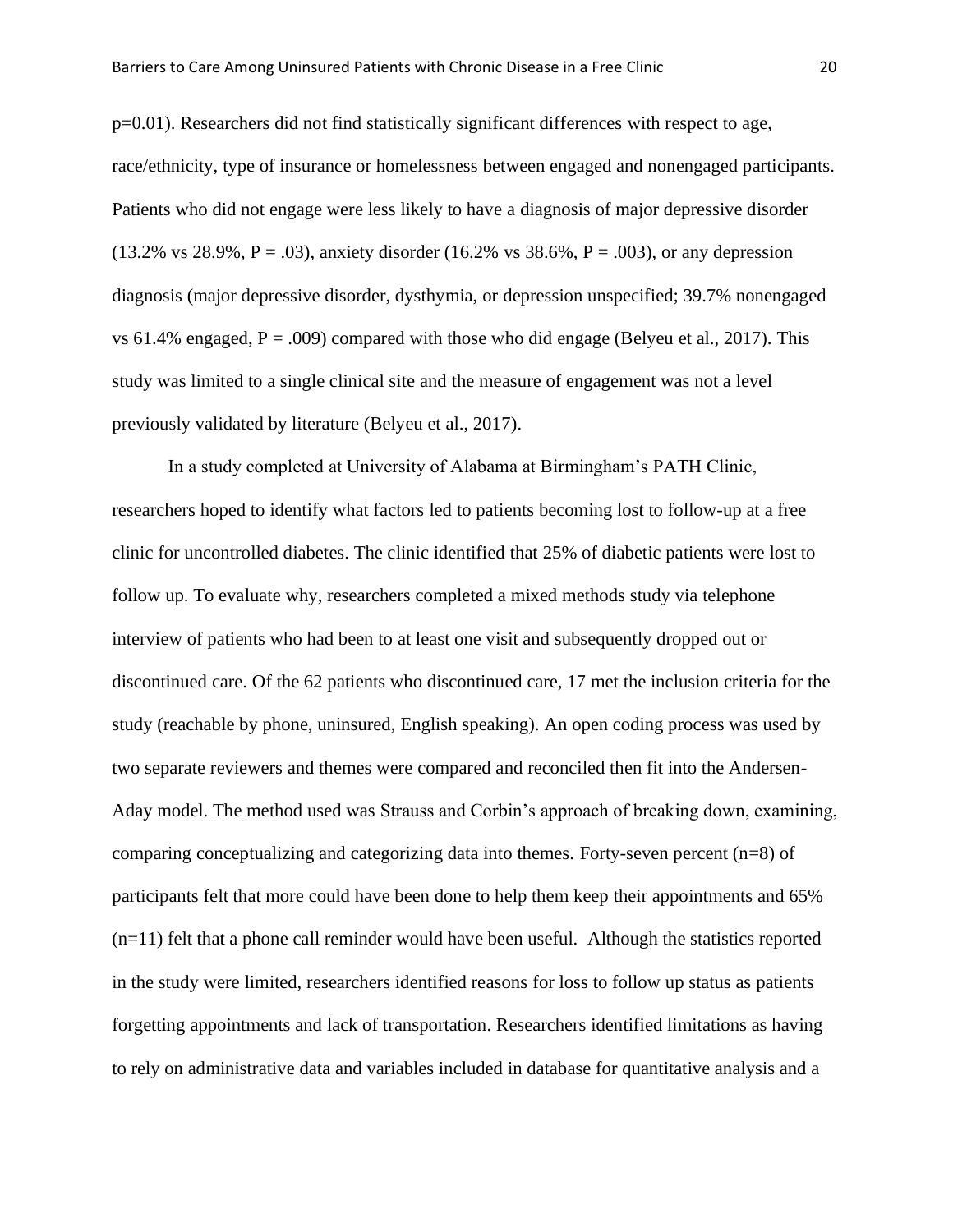p=0.01). Researchers did not find statistically significant differences with respect to age, race/ethnicity, type of insurance or homelessness between engaged and nonengaged participants. Patients who did not engage were less likely to have a diagnosis of major depressive disorder  $(13.2\% \text{ vs } 28.9\%, P = .03)$ , anxiety disorder  $(16.2\% \text{ vs } 38.6\%, P = .003)$ , or any depression diagnosis (major depressive disorder, dysthymia, or depression unspecified; 39.7% nonengaged vs 61.4% engaged,  $P = .009$ ) compared with those who did engage (Belyeu et al., 2017). This study was limited to a single clinical site and the measure of engagement was not a level previously validated by literature (Belyeu et al., 2017).

In a study completed at University of Alabama at Birmingham's PATH Clinic, researchers hoped to identify what factors led to patients becoming lost to follow-up at a free clinic for uncontrolled diabetes. The clinic identified that 25% of diabetic patients were lost to follow up. To evaluate why, researchers completed a mixed methods study via telephone interview of patients who had been to at least one visit and subsequently dropped out or discontinued care. Of the 62 patients who discontinued care, 17 met the inclusion criteria for the study (reachable by phone, uninsured, English speaking). An open coding process was used by two separate reviewers and themes were compared and reconciled then fit into the Andersen-Aday model. The method used was Strauss and Corbin's approach of breaking down, examining, comparing conceptualizing and categorizing data into themes. Forty-seven percent (n=8) of participants felt that more could have been done to help them keep their appointments and 65% (n=11) felt that a phone call reminder would have been useful. Although the statistics reported in the study were limited, researchers identified reasons for loss to follow up status as patients forgetting appointments and lack of transportation. Researchers identified limitations as having to rely on administrative data and variables included in database for quantitative analysis and a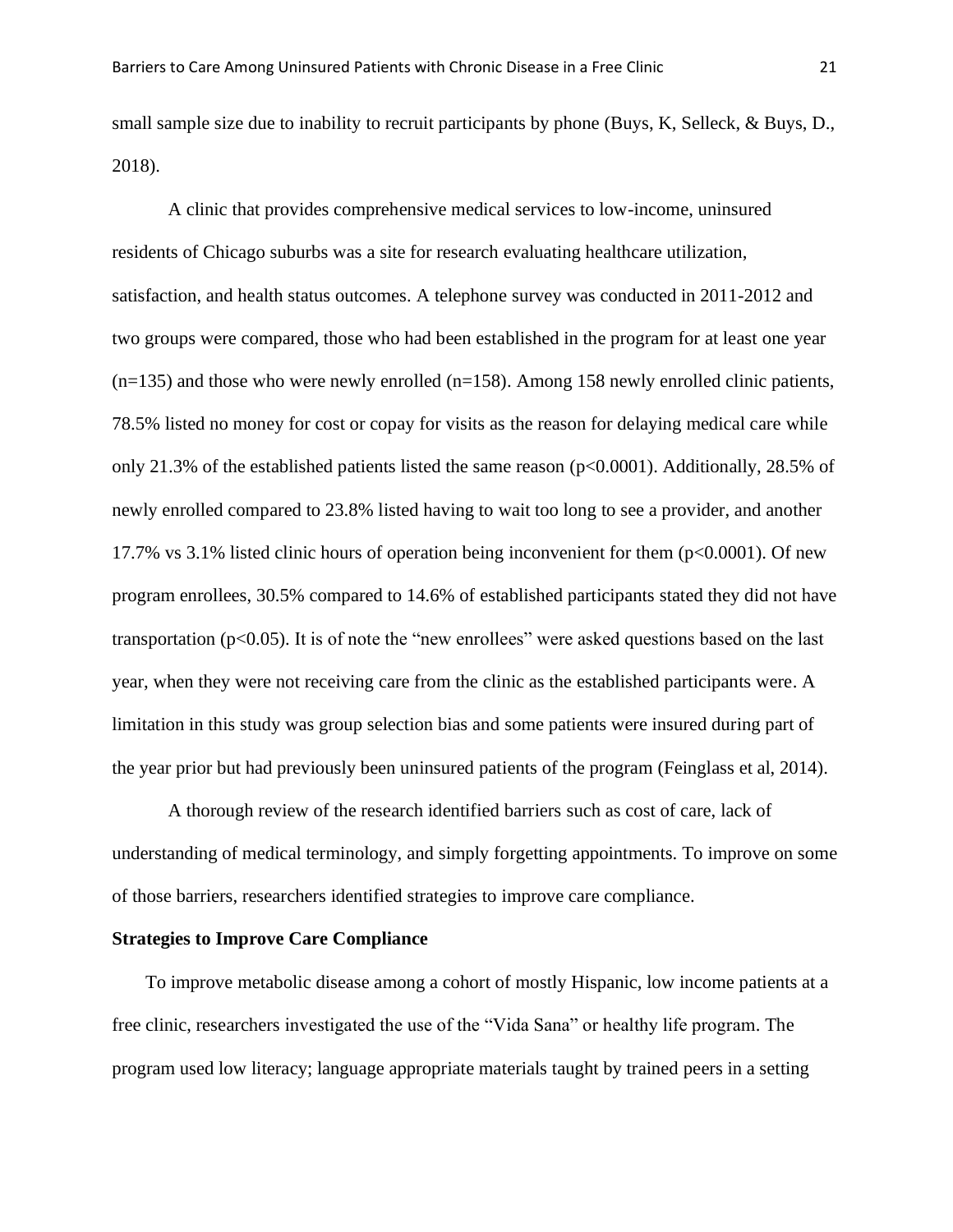small sample size due to inability to recruit participants by phone (Buys, K, Selleck, & Buys, D., 2018).

A clinic that provides comprehensive medical services to low-income, uninsured residents of Chicago suburbs was a site for research evaluating healthcare utilization, satisfaction, and health status outcomes. A telephone survey was conducted in 2011-2012 and two groups were compared, those who had been established in the program for at least one year  $(n=135)$  and those who were newly enrolled  $(n=158)$ . Among 158 newly enrolled clinic patients, 78.5% listed no money for cost or copay for visits as the reason for delaying medical care while only 21.3% of the established patients listed the same reason (p<0.0001). Additionally, 28.5% of newly enrolled compared to 23.8% listed having to wait too long to see a provider, and another 17.7% vs 3.1% listed clinic hours of operation being inconvenient for them (p<0.0001). Of new program enrollees, 30.5% compared to 14.6% of established participants stated they did not have transportation ( $p<0.05$ ). It is of note the "new enrollees" were asked questions based on the last year, when they were not receiving care from the clinic as the established participants were. A limitation in this study was group selection bias and some patients were insured during part of the year prior but had previously been uninsured patients of the program (Feinglass et al, 2014).

A thorough review of the research identified barriers such as cost of care, lack of understanding of medical terminology, and simply forgetting appointments. To improve on some of those barriers, researchers identified strategies to improve care compliance.

#### **Strategies to Improve Care Compliance**

To improve metabolic disease among a cohort of mostly Hispanic, low income patients at a free clinic, researchers investigated the use of the "Vida Sana" or healthy life program. The program used low literacy; language appropriate materials taught by trained peers in a setting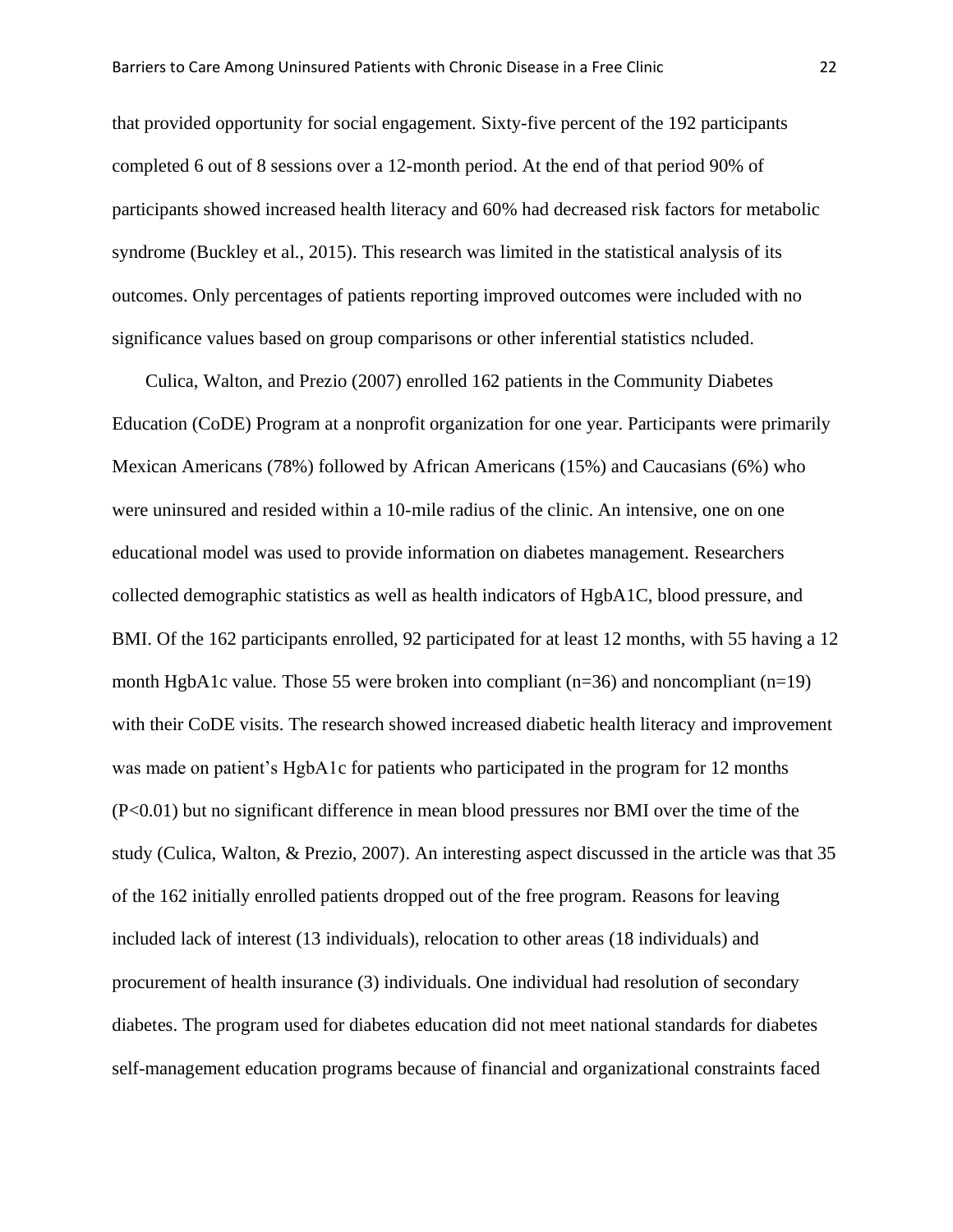that provided opportunity for social engagement. Sixty-five percent of the 192 participants completed 6 out of 8 sessions over a 12-month period. At the end of that period 90% of participants showed increased health literacy and 60% had decreased risk factors for metabolic syndrome (Buckley et al., 2015). This research was limited in the statistical analysis of its outcomes. Only percentages of patients reporting improved outcomes were included with no significance values based on group comparisons or other inferential statistics ncluded.

Culica, Walton, and Prezio (2007) enrolled 162 patients in the Community Diabetes Education (CoDE) Program at a nonprofit organization for one year. Participants were primarily Mexican Americans (78%) followed by African Americans (15%) and Caucasians (6%) who were uninsured and resided within a 10-mile radius of the clinic. An intensive, one on one educational model was used to provide information on diabetes management. Researchers collected demographic statistics as well as health indicators of HgbA1C, blood pressure, and BMI. Of the 162 participants enrolled, 92 participated for at least 12 months, with 55 having a 12 month HgbA1c value. Those 55 were broken into compliant  $(n=36)$  and noncompliant  $(n=19)$ with their CoDE visits. The research showed increased diabetic health literacy and improvement was made on patient's HgbA1c for patients who participated in the program for 12 months (P<0.01) but no significant difference in mean blood pressures nor BMI over the time of the study (Culica, Walton, & Prezio, 2007). An interesting aspect discussed in the article was that 35 of the 162 initially enrolled patients dropped out of the free program. Reasons for leaving included lack of interest (13 individuals), relocation to other areas (18 individuals) and procurement of health insurance (3) individuals. One individual had resolution of secondary diabetes. The program used for diabetes education did not meet national standards for diabetes self-management education programs because of financial and organizational constraints faced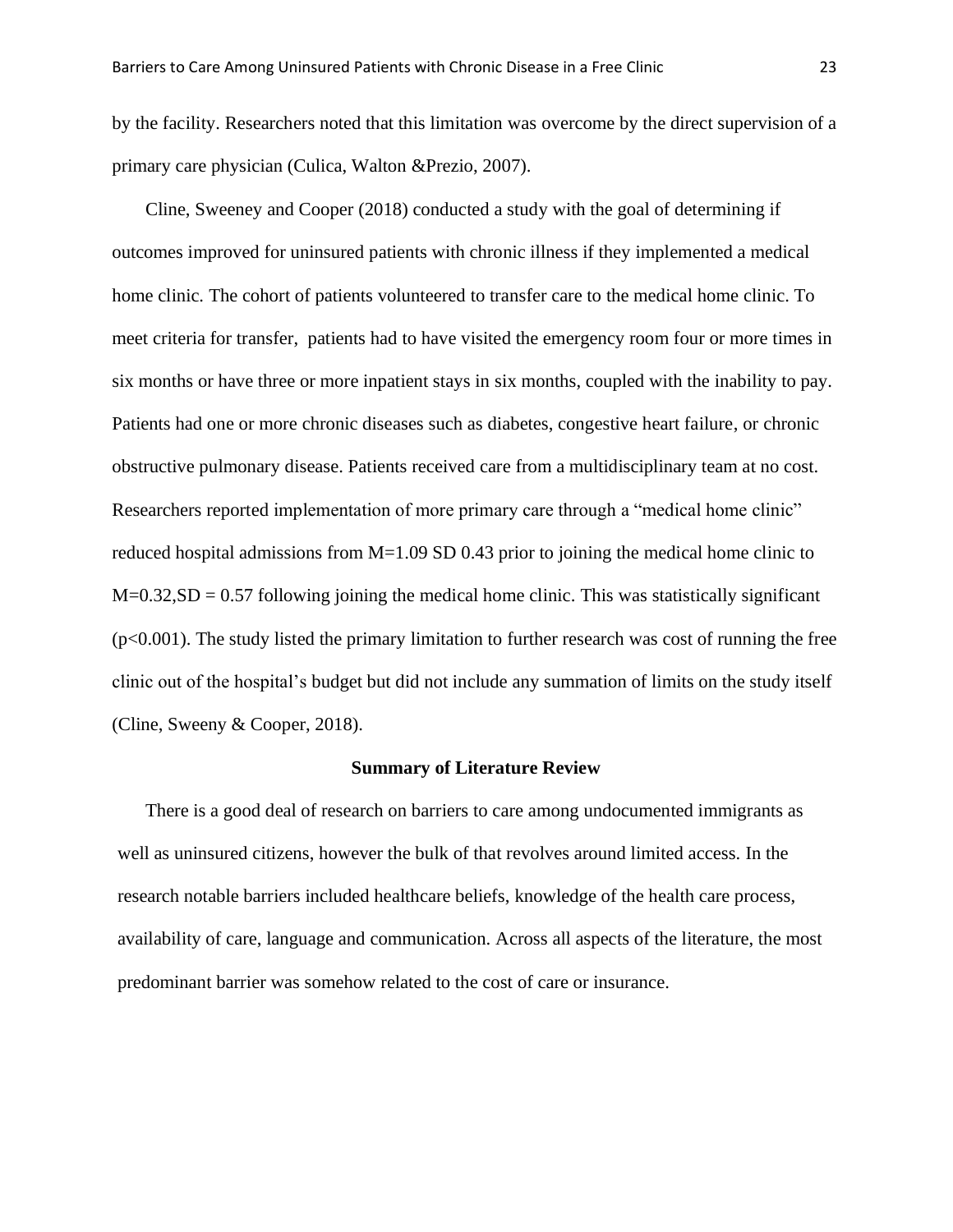by the facility. Researchers noted that this limitation was overcome by the direct supervision of a primary care physician (Culica, Walton &Prezio, 2007).

Cline, Sweeney and Cooper (2018) conducted a study with the goal of determining if outcomes improved for uninsured patients with chronic illness if they implemented a medical home clinic. The cohort of patients volunteered to transfer care to the medical home clinic. To meet criteria for transfer, patients had to have visited the emergency room four or more times in six months or have three or more inpatient stays in six months, coupled with the inability to pay. Patients had one or more chronic diseases such as diabetes, congestive heart failure, or chronic obstructive pulmonary disease. Patients received care from a multidisciplinary team at no cost. Researchers reported implementation of more primary care through a "medical home clinic" reduced hospital admissions from M=1.09 SD 0.43 prior to joining the medical home clinic to  $M=0.32$ ,  $SD = 0.57$  following joining the medical home clinic. This was statistically significant  $(p<0.001)$ . The study listed the primary limitation to further research was cost of running the free clinic out of the hospital's budget but did not include any summation of limits on the study itself (Cline, Sweeny & Cooper, 2018).

#### **Summary of Literature Review**

There is a good deal of research on barriers to care among undocumented immigrants as well as uninsured citizens, however the bulk of that revolves around limited access. In the research notable barriers included healthcare beliefs, knowledge of the health care process, availability of care, language and communication. Across all aspects of the literature, the most predominant barrier was somehow related to the cost of care or insurance.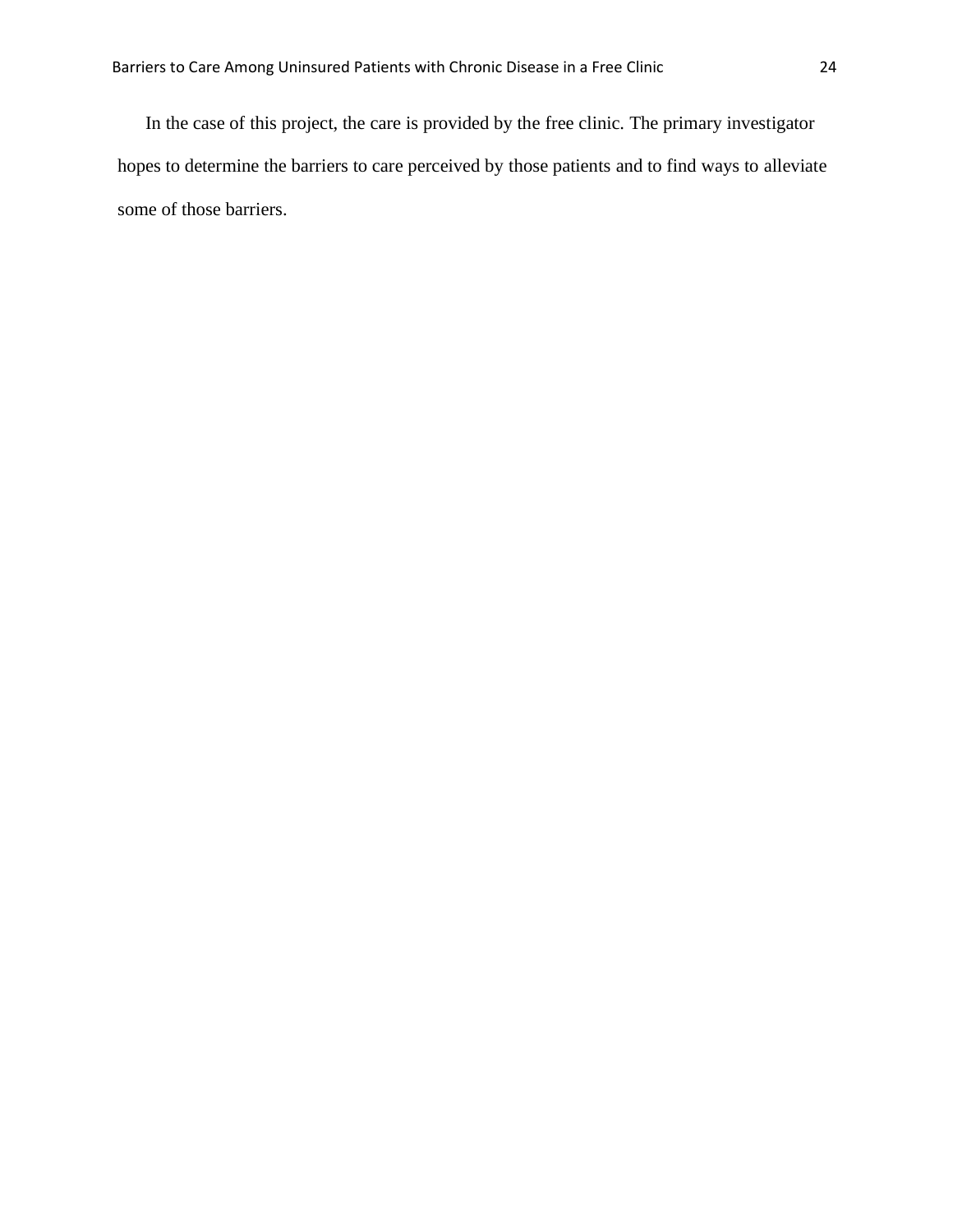In the case of this project, the care is provided by the free clinic. The primary investigator hopes to determine the barriers to care perceived by those patients and to find ways to alleviate some of those barriers.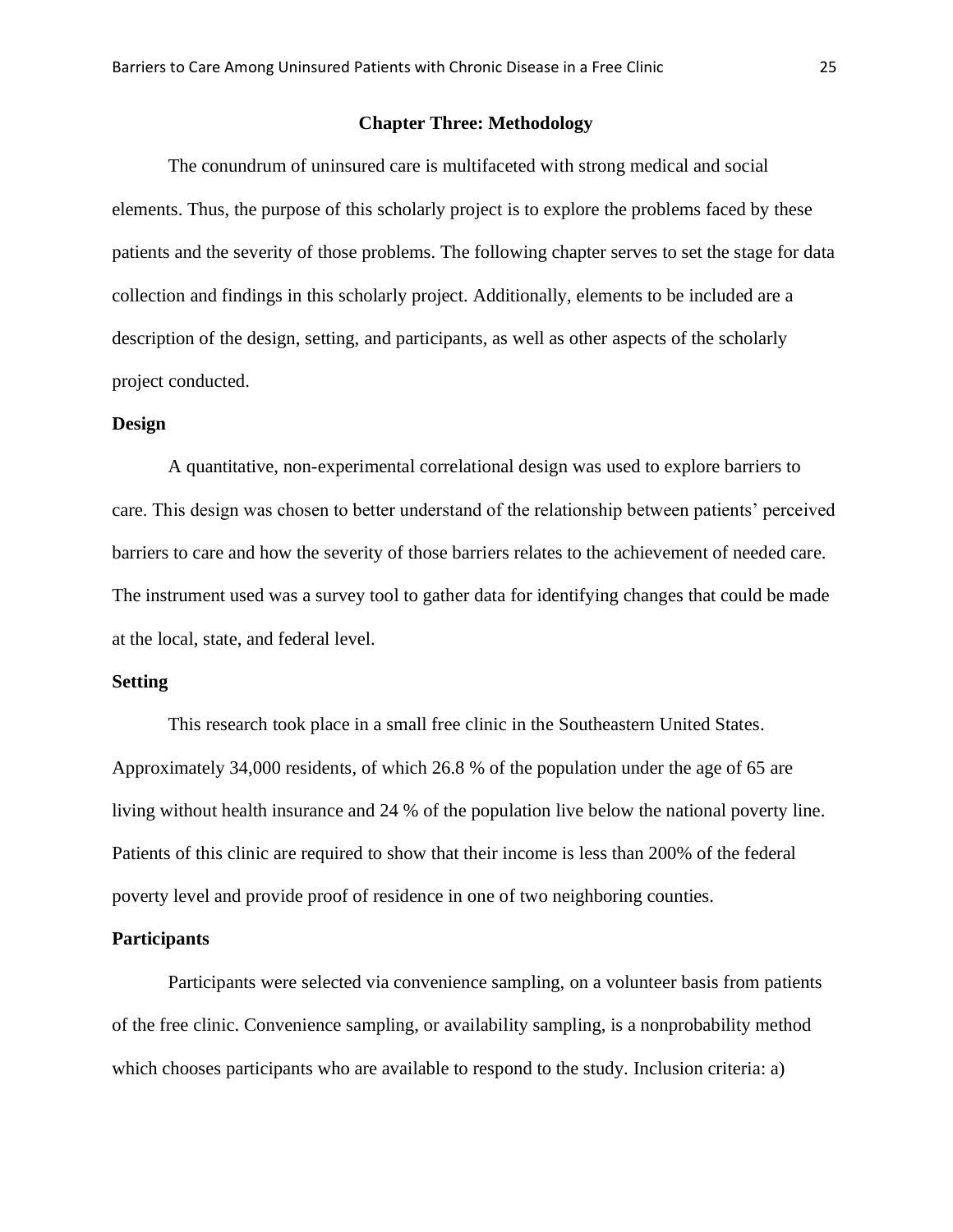#### **Chapter Three: Methodology**

The conundrum of uninsured care is multifaceted with strong medical and social elements. Thus, the purpose of this scholarly project is to explore the problems faced by these patients and the severity of those problems. The following chapter serves to set the stage for data collection and findings in this scholarly project. Additionally, elements to be included are a description of the design, setting, and participants, as well as other aspects of the scholarly project conducted.

#### **Design**

A quantitative, non-experimental correlational design was used to explore barriers to care. This design was chosen to better understand of the relationship between patients' perceived barriers to care and how the severity of those barriers relates to the achievement of needed care. The instrument used was a survey tool to gather data for identifying changes that could be made at the local, state, and federal level.

#### **Setting**

This research took place in a small free clinic in the Southeastern United States. Approximately 34,000 residents, of which 26.8 % of the population under the age of 65 are living without health insurance and 24 % of the population live below the national poverty line. Patients of this clinic are required to show that their income is less than 200% of the federal poverty level and provide proof of residence in one of two neighboring counties.

#### **Participants**

Participants were selected via convenience sampling, on a volunteer basis from patients of the free clinic. Convenience sampling, or availability sampling, is a nonprobability method which chooses participants who are available to respond to the study. Inclusion criteria: a)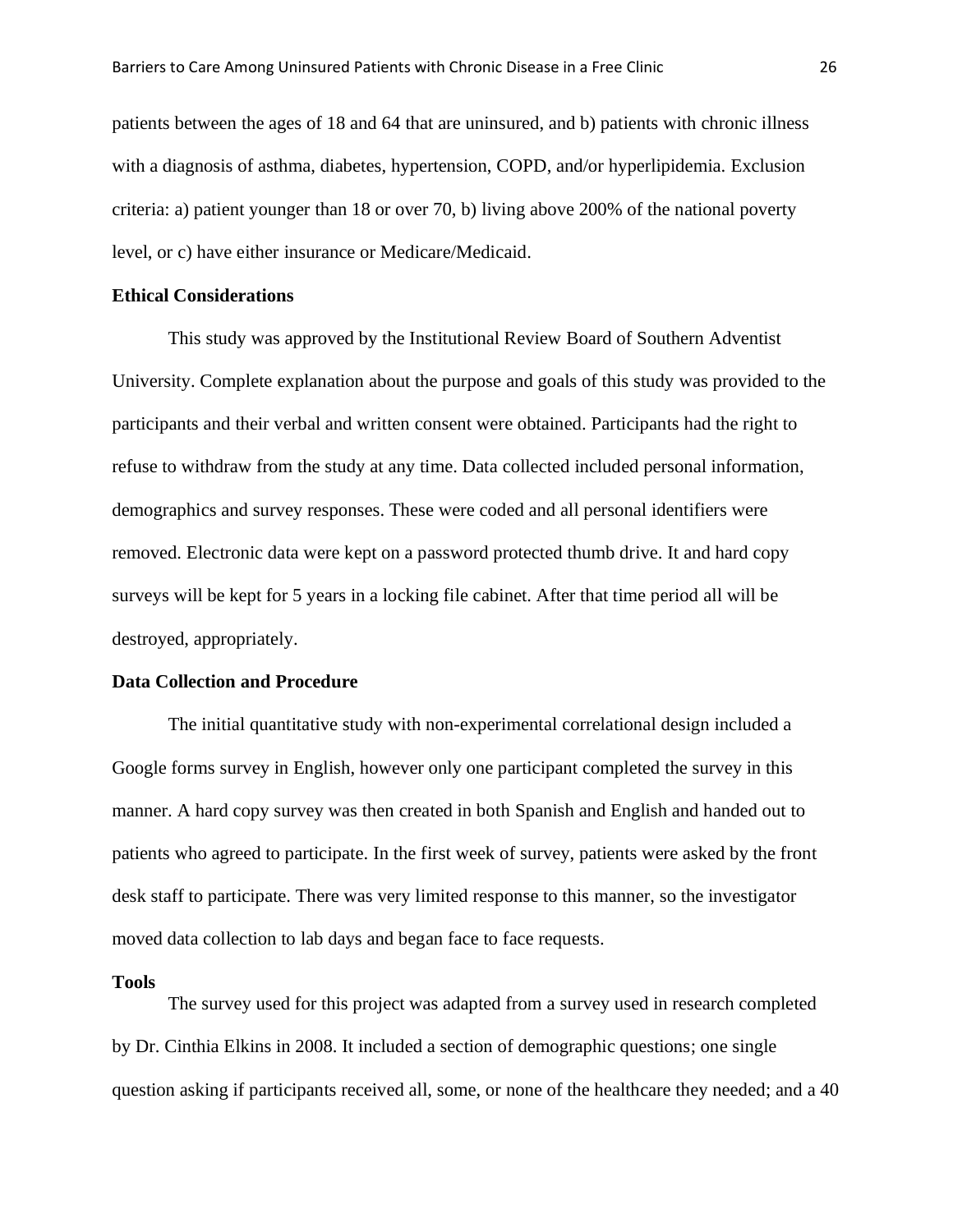patients between the ages of 18 and 64 that are uninsured, and b) patients with chronic illness with a diagnosis of asthma, diabetes, hypertension, COPD, and/or hyperlipidemia. Exclusion criteria: a) patient younger than 18 or over 70, b) living above 200% of the national poverty level, or c) have either insurance or Medicare/Medicaid.

#### **Ethical Considerations**

This study was approved by the Institutional Review Board of Southern Adventist University. Complete explanation about the purpose and goals of this study was provided to the participants and their verbal and written consent were obtained. Participants had the right to refuse to withdraw from the study at any time. Data collected included personal information, demographics and survey responses. These were coded and all personal identifiers were removed. Electronic data were kept on a password protected thumb drive. It and hard copy surveys will be kept for 5 years in a locking file cabinet. After that time period all will be destroyed, appropriately.

#### **Data Collection and Procedure**

The initial quantitative study with non-experimental correlational design included a Google forms survey in English, however only one participant completed the survey in this manner. A hard copy survey was then created in both Spanish and English and handed out to patients who agreed to participate. In the first week of survey, patients were asked by the front desk staff to participate. There was very limited response to this manner, so the investigator moved data collection to lab days and began face to face requests.

#### **Tools**

The survey used for this project was adapted from a survey used in research completed by Dr. Cinthia Elkins in 2008. It included a section of demographic questions; one single question asking if participants received all, some, or none of the healthcare they needed; and a 40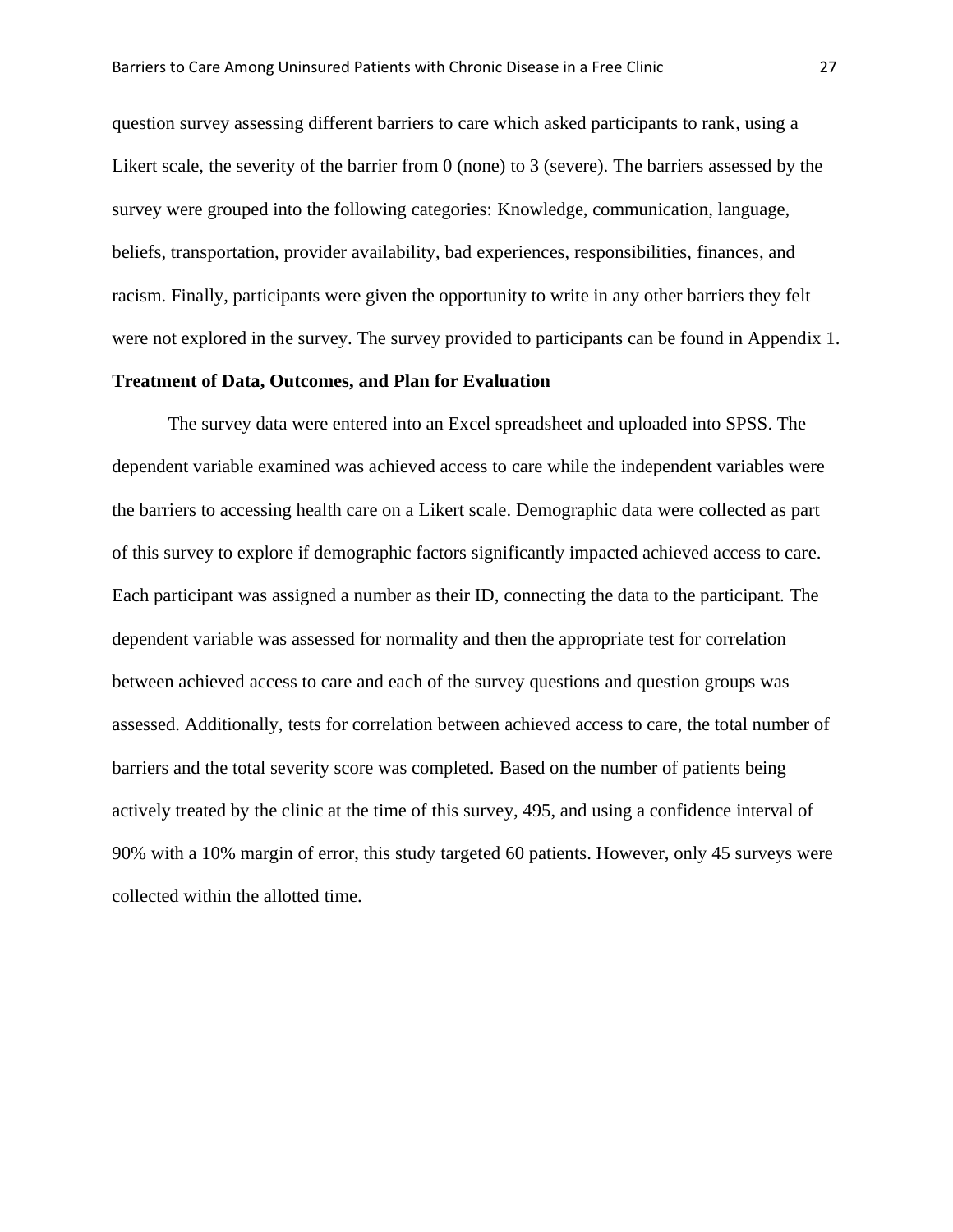question survey assessing different barriers to care which asked participants to rank, using a Likert scale, the severity of the barrier from 0 (none) to 3 (severe). The barriers assessed by the survey were grouped into the following categories: Knowledge, communication, language, beliefs, transportation, provider availability, bad experiences, responsibilities, finances, and racism. Finally, participants were given the opportunity to write in any other barriers they felt were not explored in the survey. The survey provided to participants can be found in Appendix 1.

#### **Treatment of Data, Outcomes, and Plan for Evaluation**

The survey data were entered into an Excel spreadsheet and uploaded into SPSS. The dependent variable examined was achieved access to care while the independent variables were the barriers to accessing health care on a Likert scale. Demographic data were collected as part of this survey to explore if demographic factors significantly impacted achieved access to care. Each participant was assigned a number as their ID, connecting the data to the participant. The dependent variable was assessed for normality and then the appropriate test for correlation between achieved access to care and each of the survey questions and question groups was assessed. Additionally, tests for correlation between achieved access to care, the total number of barriers and the total severity score was completed. Based on the number of patients being actively treated by the clinic at the time of this survey, 495, and using a confidence interval of 90% with a 10% margin of error, this study targeted 60 patients. However, only 45 surveys were collected within the allotted time.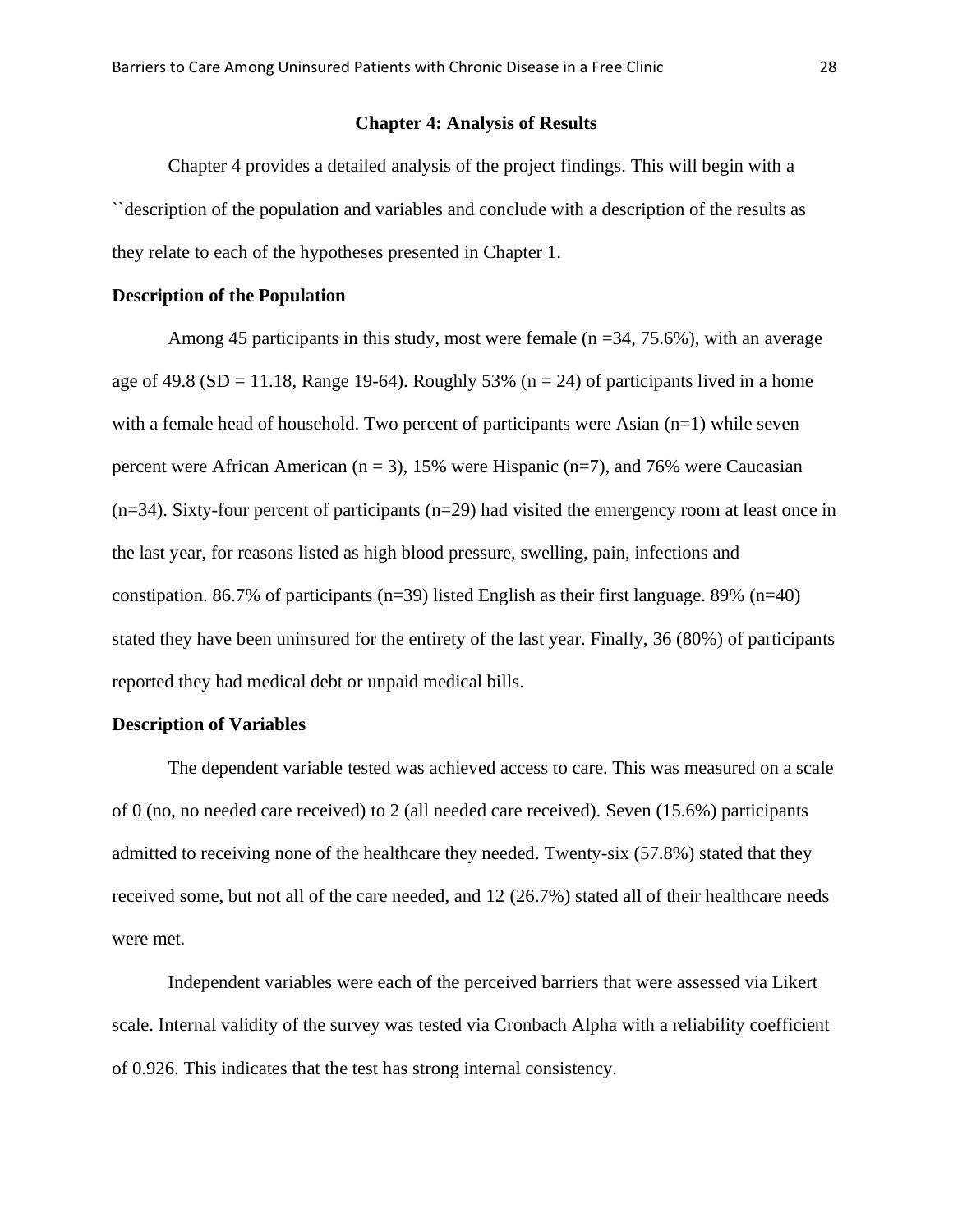#### **Chapter 4: Analysis of Results**

Chapter 4 provides a detailed analysis of the project findings. This will begin with a ``description of the population and variables and conclude with a description of the results as they relate to each of the hypotheses presented in Chapter 1.

## **Description of the Population**

Among 45 participants in this study, most were female ( $n = 34, 75.6\%$ ), with an average age of 49.8 (SD = 11.18, Range 19-64). Roughly 53% ( $n = 24$ ) of participants lived in a home with a female head of household. Two percent of participants were Asian  $(n=1)$  while seven percent were African American ( $n = 3$ ), 15% were Hispanic ( $n = 7$ ), and 76% were Caucasian (n=34). Sixty-four percent of participants (n=29) had visited the emergency room at least once in the last year, for reasons listed as high blood pressure, swelling, pain, infections and constipation. 86.7% of participants ( $n=39$ ) listed English as their first language. 89% ( $n=40$ ) stated they have been uninsured for the entirety of the last year. Finally, 36 (80%) of participants reported they had medical debt or unpaid medical bills.

#### **Description of Variables**

The dependent variable tested was achieved access to care. This was measured on a scale of 0 (no, no needed care received) to 2 (all needed care received). Seven (15.6%) participants admitted to receiving none of the healthcare they needed. Twenty-six (57.8%) stated that they received some, but not all of the care needed, and 12 (26.7%) stated all of their healthcare needs were met.

Independent variables were each of the perceived barriers that were assessed via Likert scale. Internal validity of the survey was tested via Cronbach Alpha with a reliability coefficient of 0.926. This indicates that the test has strong internal consistency.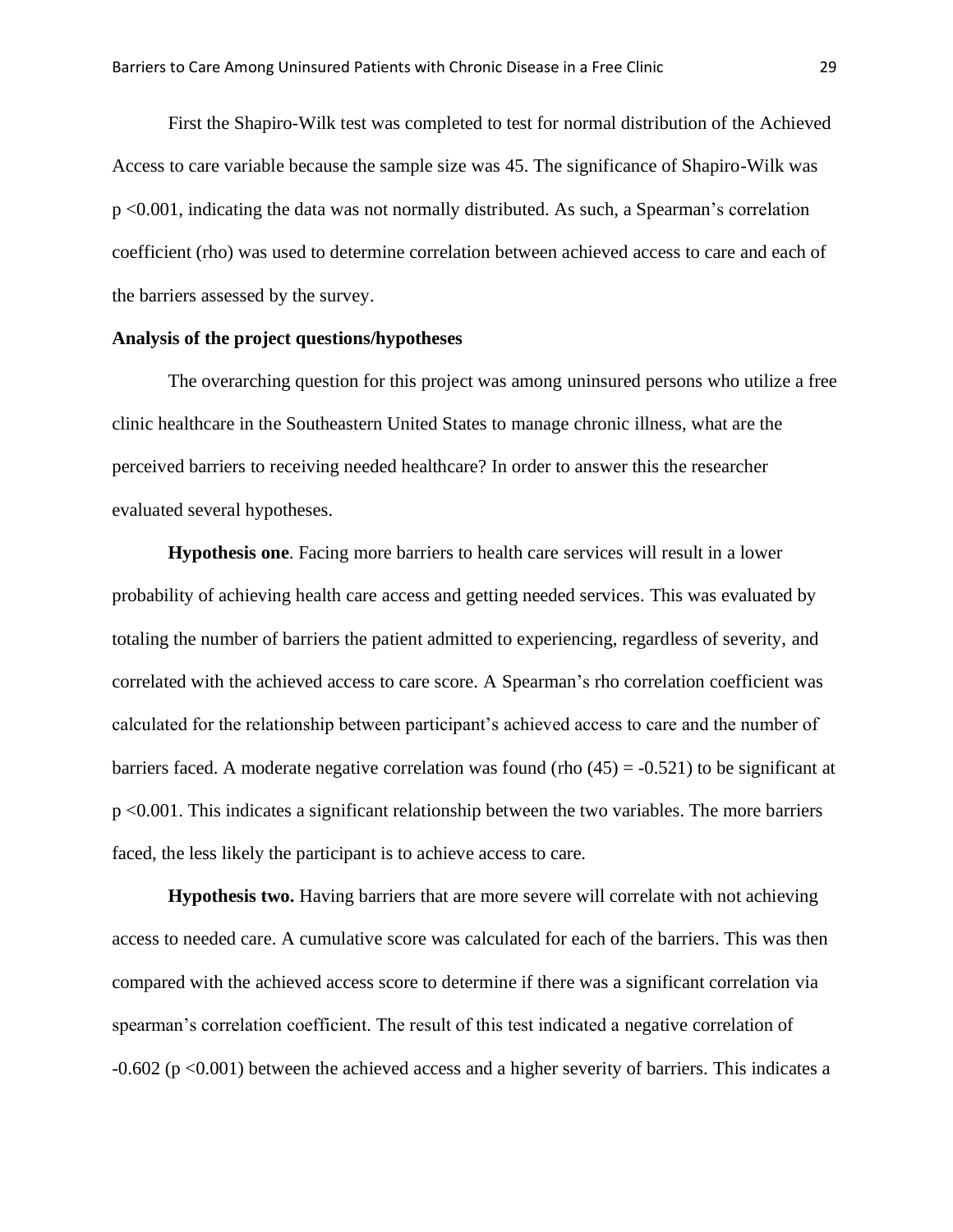First the Shapiro-Wilk test was completed to test for normal distribution of the Achieved Access to care variable because the sample size was 45. The significance of Shapiro-Wilk was p <0.001, indicating the data was not normally distributed. As such, a Spearman's correlation coefficient (rho) was used to determine correlation between achieved access to care and each of the barriers assessed by the survey.

#### **Analysis of the project questions/hypotheses**

The overarching question for this project was among uninsured persons who utilize a free clinic healthcare in the Southeastern United States to manage chronic illness, what are the perceived barriers to receiving needed healthcare? In order to answer this the researcher evaluated several hypotheses.

**Hypothesis one**. Facing more barriers to health care services will result in a lower probability of achieving health care access and getting needed services. This was evaluated by totaling the number of barriers the patient admitted to experiencing, regardless of severity, and correlated with the achieved access to care score. A Spearman's rho correlation coefficient was calculated for the relationship between participant's achieved access to care and the number of barriers faced. A moderate negative correlation was found (rho  $(45) = -0.521$ ) to be significant at p <0.001. This indicates a significant relationship between the two variables. The more barriers faced, the less likely the participant is to achieve access to care.

**Hypothesis two.** Having barriers that are more severe will correlate with not achieving access to needed care. A cumulative score was calculated for each of the barriers. This was then compared with the achieved access score to determine if there was a significant correlation via spearman's correlation coefficient. The result of this test indicated a negative correlation of -0.602 (p <0.001) between the achieved access and a higher severity of barriers. This indicates a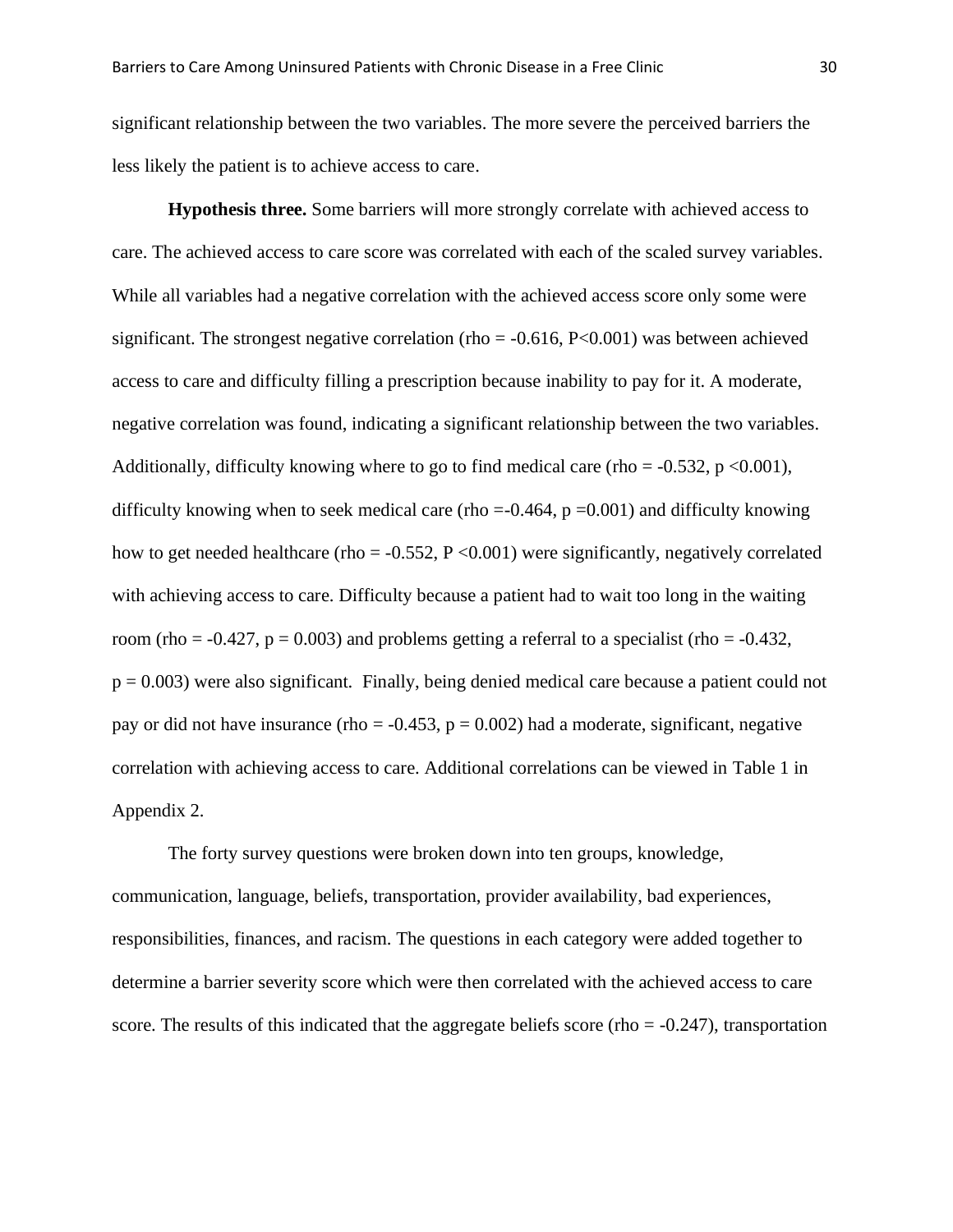significant relationship between the two variables. The more severe the perceived barriers the less likely the patient is to achieve access to care.

**Hypothesis three.** Some barriers will more strongly correlate with achieved access to care. The achieved access to care score was correlated with each of the scaled survey variables. While all variables had a negative correlation with the achieved access score only some were significant. The strongest negative correlation (rho =  $-0.616$ , P $< 0.001$ ) was between achieved access to care and difficulty filling a prescription because inability to pay for it. A moderate, negative correlation was found, indicating a significant relationship between the two variables. Additionally, difficulty knowing where to go to find medical care (rho =  $-0.532$ , p <0.001), difficulty knowing when to seek medical care (rho =-0.464,  $p = 0.001$ ) and difficulty knowing how to get needed healthcare (rho =  $-0.552$ , P <0.001) were significantly, negatively correlated with achieving access to care. Difficulty because a patient had to wait too long in the waiting room (rho =  $-0.427$ , p = 0.003) and problems getting a referral to a specialist (rho =  $-0.432$ , p = 0.003) were also significant. Finally, being denied medical care because a patient could not pay or did not have insurance (rho =  $-0.453$ , p = 0.002) had a moderate, significant, negative correlation with achieving access to care. Additional correlations can be viewed in Table 1 in Appendix 2.

The forty survey questions were broken down into ten groups, knowledge, communication, language, beliefs, transportation, provider availability, bad experiences, responsibilities, finances, and racism. The questions in each category were added together to determine a barrier severity score which were then correlated with the achieved access to care score. The results of this indicated that the aggregate beliefs score (rho  $= -0.247$ ), transportation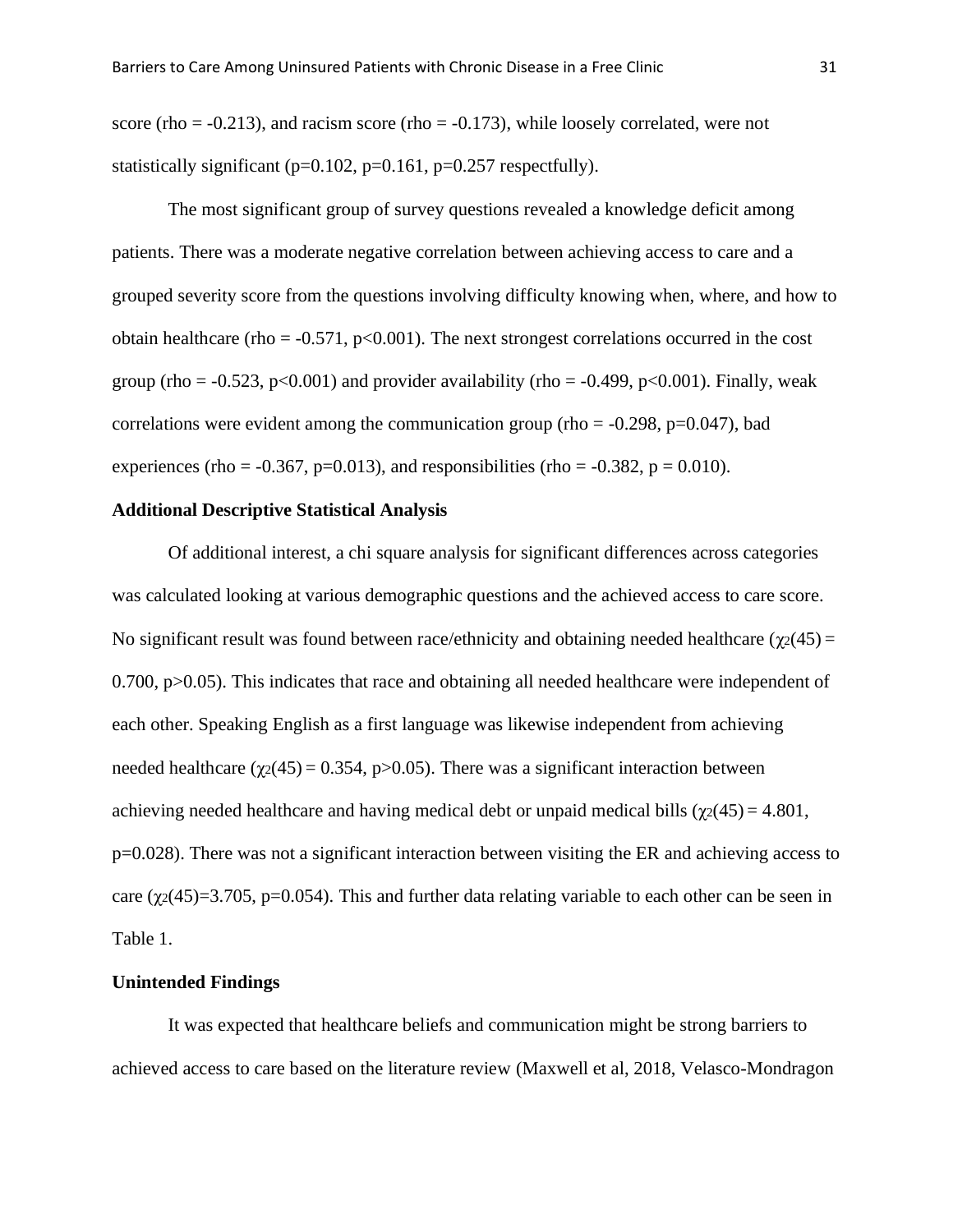score (rho  $= -0.213$ ), and racism score (rho  $= -0.173$ ), while loosely correlated, were not statistically significant ( $p=0.102$ ,  $p=0.161$ ,  $p=0.257$  respectfully).

The most significant group of survey questions revealed a knowledge deficit among patients. There was a moderate negative correlation between achieving access to care and a grouped severity score from the questions involving difficulty knowing when, where, and how to obtain healthcare (rho =  $-0.571$ , p<0.001). The next strongest correlations occurred in the cost group (rho =  $-0.523$ , p $<0.001$ ) and provider availability (rho =  $-0.499$ , p $<0.001$ ). Finally, weak correlations were evident among the communication group (rho  $= -0.298$ , p=0.047), bad experiences (rho =  $-0.367$ , p=0.013), and responsibilities (rho =  $-0.382$ , p = 0.010).

## **Additional Descriptive Statistical Analysis**

Of additional interest, a chi square analysis for significant differences across categories was calculated looking at various demographic questions and the achieved access to care score. No significant result was found between race/ethnicity and obtaining needed healthcare ( $\gamma_2(45)$  =  $0.700$ ,  $p > 0.05$ ). This indicates that race and obtaining all needed healthcare were independent of each other. Speaking English as a first language was likewise independent from achieving needed healthcare ( $\chi$ 2(45) = 0.354, p>0.05). There was a significant interaction between achieving needed healthcare and having medical debt or unpaid medical bills ( $\chi$ 2(45) = 4.801, p=0.028). There was not a significant interaction between visiting the ER and achieving access to care ( $\chi$ 2(45)=3.705, p=0.054). This and further data relating variable to each other can be seen in Table 1.

#### **Unintended Findings**

It was expected that healthcare beliefs and communication might be strong barriers to achieved access to care based on the literature review (Maxwell et al, 2018, Velasco-Mondragon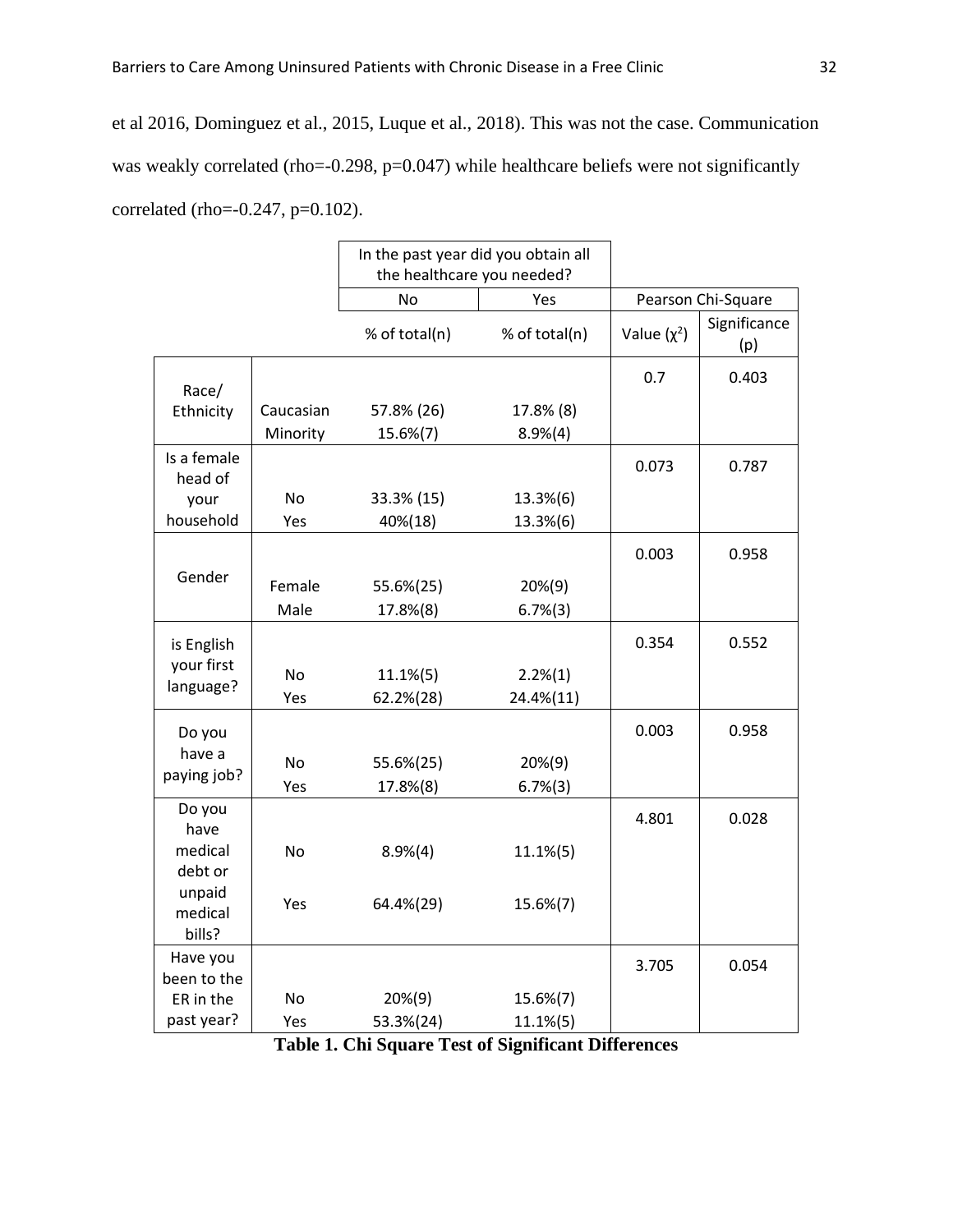et al 2016, Dominguez et al., 2015, Luque et al., 2018). This was not the case. Communication was weakly correlated (rho=-0.298, p=0.047) while healthcare beliefs were not significantly correlated (rho=-0.247, p=0.102).

|                             |           | In the past year did you obtain all<br>the healthcare you needed? |               |                  |                     |
|-----------------------------|-----------|-------------------------------------------------------------------|---------------|------------------|---------------------|
|                             |           | No<br>Yes                                                         |               |                  | Pearson Chi-Square  |
|                             |           | % of total(n)                                                     | % of total(n) | Value $(\chi^2)$ | Significance<br>(p) |
| Race/                       |           |                                                                   |               | 0.7              | 0.403               |
| Ethnicity                   | Caucasian | 57.8% (26)                                                        | 17.8% (8)     |                  |                     |
|                             | Minority  | 15.6%(7)                                                          | 8.9%(4)       |                  |                     |
| Is a female<br>head of      |           |                                                                   |               | 0.073            | 0.787               |
| your                        | <b>No</b> | 33.3% (15)                                                        | 13.3%(6)      |                  |                     |
| household                   | Yes       | 40%(18)                                                           | 13.3%(6)      |                  |                     |
| Gender                      |           |                                                                   |               | 0.003            | 0.958               |
|                             | Female    | 55.6%(25)                                                         | 20%(9)        |                  |                     |
|                             | Male      | 17.8%(8)                                                          | 6.7%(3)       |                  |                     |
| is English<br>your first    |           |                                                                   |               | 0.354            | 0.552               |
| language?                   | <b>No</b> | $11.1\%$ (5)                                                      | 2.2%(1)       |                  |                     |
|                             | Yes       | 62.2%(28)                                                         | 24.4%(11)     |                  |                     |
| Do you<br>have a            |           |                                                                   |               | 0.003            | 0.958               |
| paying job?                 | <b>No</b> | 55.6%(25)                                                         | 20%(9)        |                  |                     |
|                             | Yes       | 17.8%(8)                                                          | 6.7%(3)       |                  |                     |
| Do you<br>have              |           |                                                                   |               | 4.801            | 0.028               |
| medical<br>debt or          | <b>No</b> | 8.9%(4)                                                           | $11.1\%$ (5)  |                  |                     |
| unpaid<br>medical<br>bills? | Yes       | 64.4%(29)                                                         | 15.6%(7)      |                  |                     |
| Have you<br>been to the     |           |                                                                   |               | 3.705            | 0.054               |
| ER in the                   | No        | 20%(9)                                                            | 15.6%(7)      |                  |                     |
| past year?                  | Yes       | 53.3%(24)                                                         | 11.1%(5)      |                  |                     |

**Table 1. Chi Square Test of Significant Differences**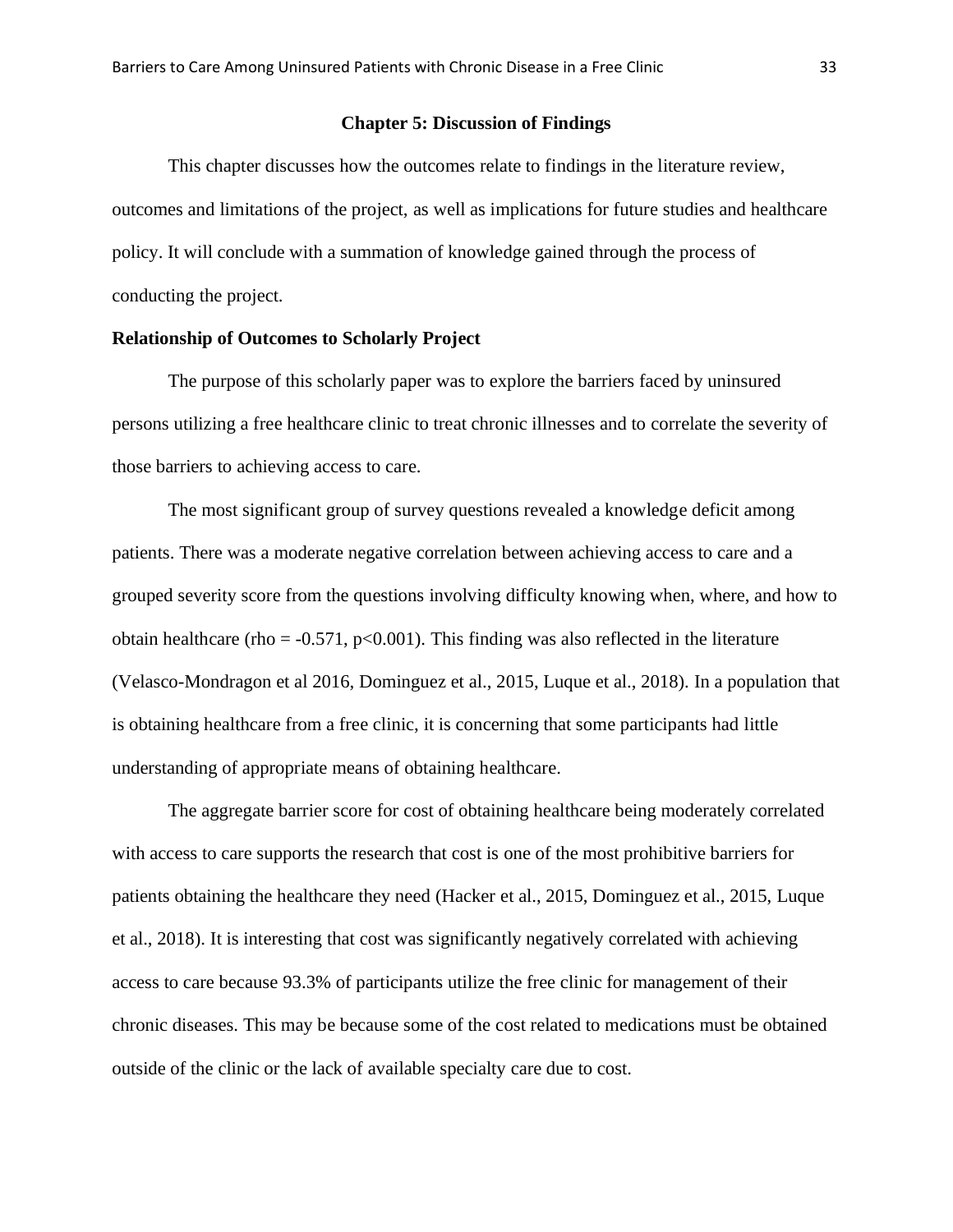#### **Chapter 5: Discussion of Findings**

This chapter discusses how the outcomes relate to findings in the literature review, outcomes and limitations of the project, as well as implications for future studies and healthcare policy. It will conclude with a summation of knowledge gained through the process of conducting the project.

#### **Relationship of Outcomes to Scholarly Project**

The purpose of this scholarly paper was to explore the barriers faced by uninsured persons utilizing a free healthcare clinic to treat chronic illnesses and to correlate the severity of those barriers to achieving access to care.

The most significant group of survey questions revealed a knowledge deficit among patients. There was a moderate negative correlation between achieving access to care and a grouped severity score from the questions involving difficulty knowing when, where, and how to obtain healthcare (rho =  $-0.571$ , p<0.001). This finding was also reflected in the literature (Velasco-Mondragon et al 2016, Dominguez et al., 2015, Luque et al., 2018). In a population that is obtaining healthcare from a free clinic, it is concerning that some participants had little understanding of appropriate means of obtaining healthcare.

The aggregate barrier score for cost of obtaining healthcare being moderately correlated with access to care supports the research that cost is one of the most prohibitive barriers for patients obtaining the healthcare they need (Hacker et al., 2015, Dominguez et al., 2015, Luque et al., 2018). It is interesting that cost was significantly negatively correlated with achieving access to care because 93.3% of participants utilize the free clinic for management of their chronic diseases. This may be because some of the cost related to medications must be obtained outside of the clinic or the lack of available specialty care due to cost.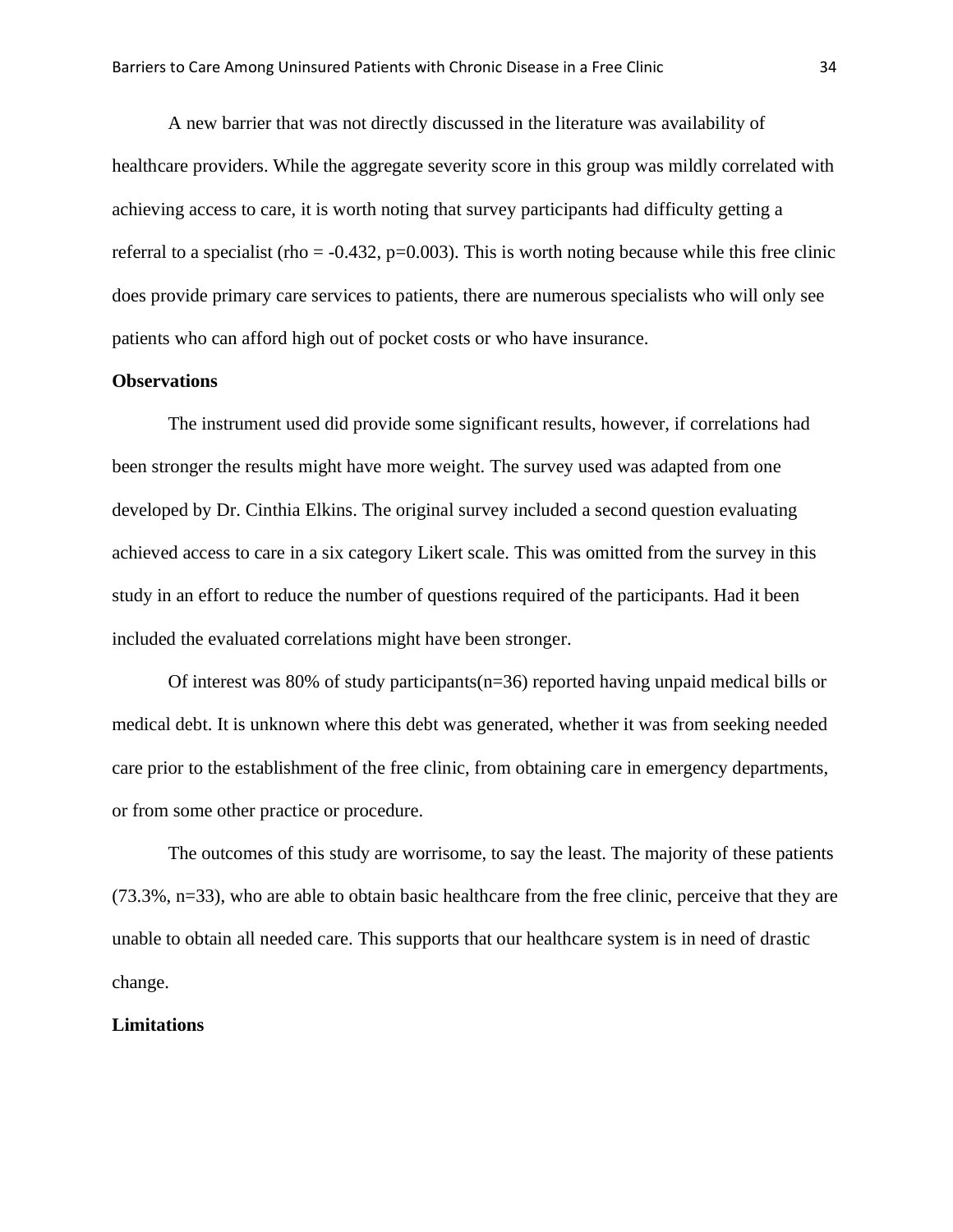A new barrier that was not directly discussed in the literature was availability of healthcare providers. While the aggregate severity score in this group was mildly correlated with achieving access to care, it is worth noting that survey participants had difficulty getting a referral to a specialist (rho =  $-0.432$ , p=0.003). This is worth noting because while this free clinic does provide primary care services to patients, there are numerous specialists who will only see patients who can afford high out of pocket costs or who have insurance.

## **Observations**

The instrument used did provide some significant results, however, if correlations had been stronger the results might have more weight. The survey used was adapted from one developed by Dr. Cinthia Elkins. The original survey included a second question evaluating achieved access to care in a six category Likert scale. This was omitted from the survey in this study in an effort to reduce the number of questions required of the participants. Had it been included the evaluated correlations might have been stronger.

Of interest was 80% of study participants( $n=36$ ) reported having unpaid medical bills or medical debt. It is unknown where this debt was generated, whether it was from seeking needed care prior to the establishment of the free clinic, from obtaining care in emergency departments, or from some other practice or procedure.

The outcomes of this study are worrisome, to say the least. The majority of these patients (73.3%, n=33), who are able to obtain basic healthcare from the free clinic, perceive that they are unable to obtain all needed care. This supports that our healthcare system is in need of drastic change.

#### **Limitations**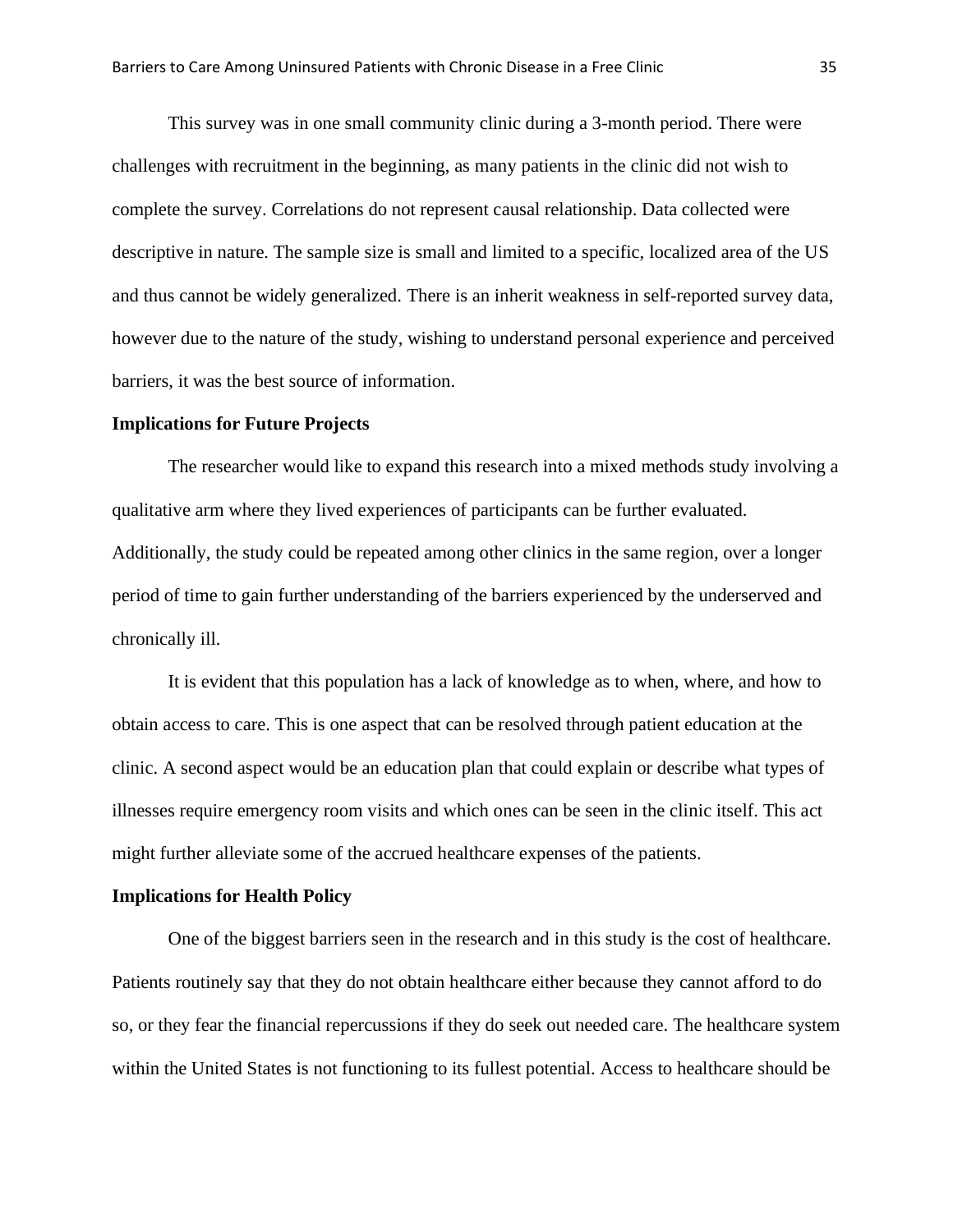This survey was in one small community clinic during a 3-month period. There were challenges with recruitment in the beginning, as many patients in the clinic did not wish to complete the survey. Correlations do not represent causal relationship. Data collected were descriptive in nature. The sample size is small and limited to a specific, localized area of the US and thus cannot be widely generalized. There is an inherit weakness in self-reported survey data, however due to the nature of the study, wishing to understand personal experience and perceived barriers, it was the best source of information.

#### **Implications for Future Projects**

The researcher would like to expand this research into a mixed methods study involving a qualitative arm where they lived experiences of participants can be further evaluated. Additionally, the study could be repeated among other clinics in the same region, over a longer period of time to gain further understanding of the barriers experienced by the underserved and chronically ill.

It is evident that this population has a lack of knowledge as to when, where, and how to obtain access to care. This is one aspect that can be resolved through patient education at the clinic. A second aspect would be an education plan that could explain or describe what types of illnesses require emergency room visits and which ones can be seen in the clinic itself. This act might further alleviate some of the accrued healthcare expenses of the patients.

#### **Implications for Health Policy**

One of the biggest barriers seen in the research and in this study is the cost of healthcare. Patients routinely say that they do not obtain healthcare either because they cannot afford to do so, or they fear the financial repercussions if they do seek out needed care. The healthcare system within the United States is not functioning to its fullest potential. Access to healthcare should be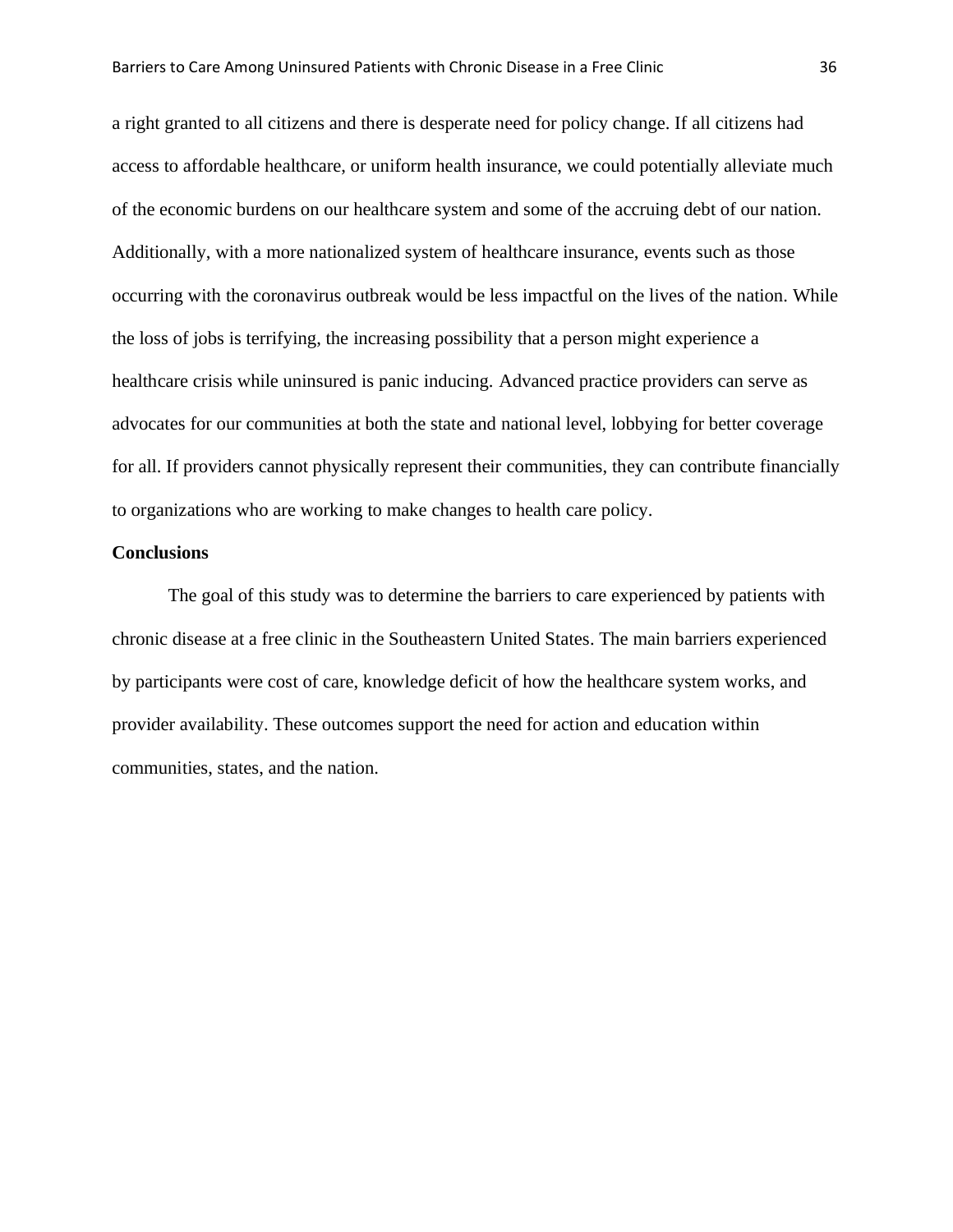a right granted to all citizens and there is desperate need for policy change. If all citizens had access to affordable healthcare, or uniform health insurance, we could potentially alleviate much of the economic burdens on our healthcare system and some of the accruing debt of our nation. Additionally, with a more nationalized system of healthcare insurance, events such as those occurring with the coronavirus outbreak would be less impactful on the lives of the nation. While the loss of jobs is terrifying, the increasing possibility that a person might experience a healthcare crisis while uninsured is panic inducing. Advanced practice providers can serve as advocates for our communities at both the state and national level, lobbying for better coverage for all. If providers cannot physically represent their communities, they can contribute financially to organizations who are working to make changes to health care policy.

#### **Conclusions**

The goal of this study was to determine the barriers to care experienced by patients with chronic disease at a free clinic in the Southeastern United States. The main barriers experienced by participants were cost of care, knowledge deficit of how the healthcare system works, and provider availability. These outcomes support the need for action and education within communities, states, and the nation.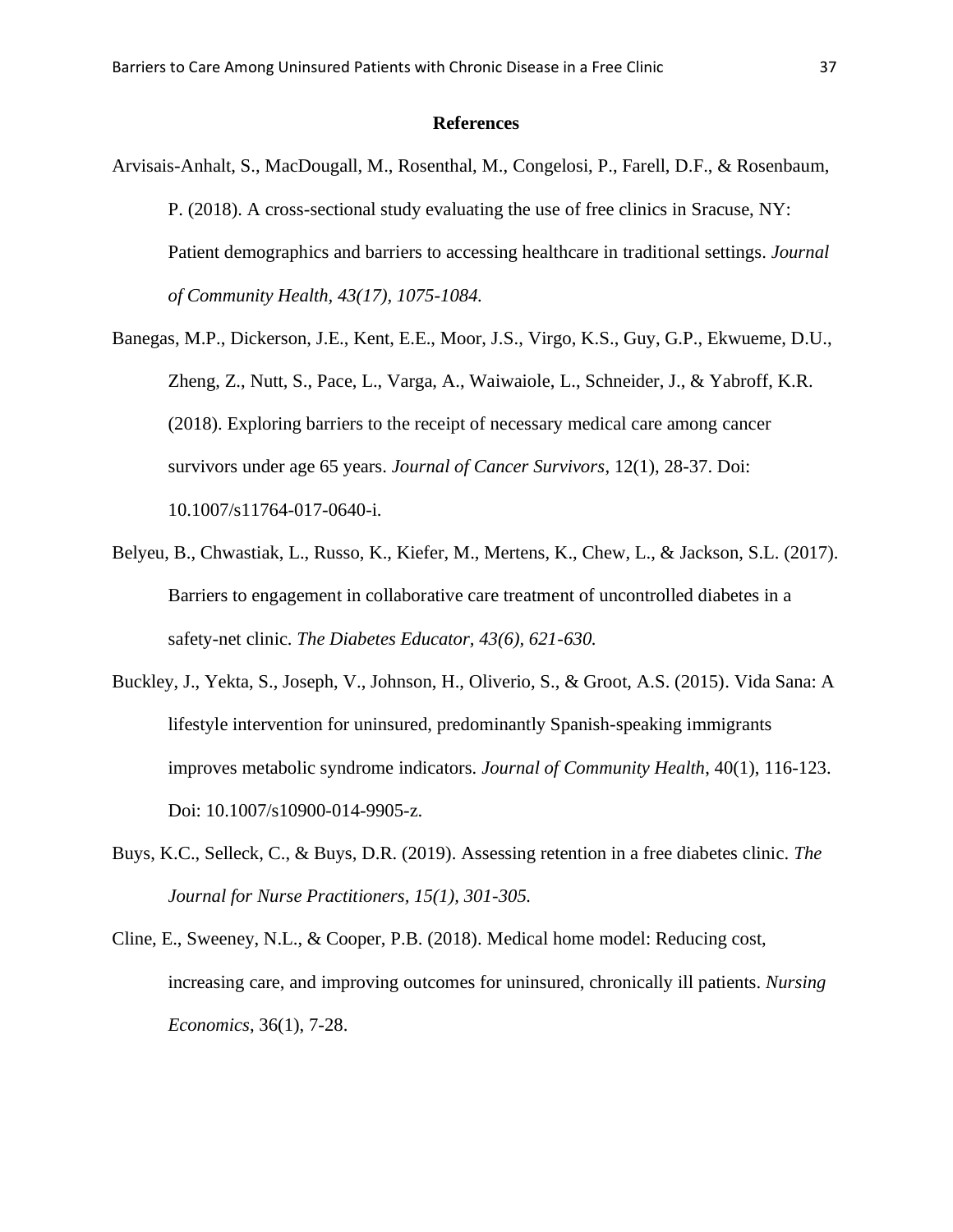#### **References**

- Arvisais-Anhalt, S., MacDougall, M., Rosenthal, M., Congelosi, P., Farell, D.F., & Rosenbaum, P. (2018). A cross-sectional study evaluating the use of free clinics in Sracuse, NY: Patient demographics and barriers to accessing healthcare in traditional settings. *Journal of Community Health, 43(17), 1075-1084.*
- Banegas, M.P., Dickerson, J.E., Kent, E.E., Moor, J.S., Virgo, K.S., Guy, G.P., Ekwueme, D.U., Zheng, Z., Nutt, S., Pace, L., Varga, A., Waiwaiole, L., Schneider, J., & Yabroff, K.R. (2018). Exploring barriers to the receipt of necessary medical care among cancer survivors under age 65 years. *Journal of Cancer Survivors*, 12(1), 28-37. Doi: 10.1007/s11764-017-0640-i.
- Belyeu, B., Chwastiak, L., Russo, K., Kiefer, M., Mertens, K., Chew, L., & Jackson, S.L. (2017). Barriers to engagement in collaborative care treatment of uncontrolled diabetes in a safety-net clinic. *The Diabetes Educator, 43(6), 621-630.*
- Buckley, J., Yekta, S., Joseph, V., Johnson, H., Oliverio, S., & Groot, A.S. (2015). Vida Sana: A lifestyle intervention for uninsured, predominantly Spanish-speaking immigrants improves metabolic syndrome indicators*. Journal of Community Health*, 40(1), 116-123. Doi: 10.1007/s10900-014-9905-z.
- Buys, K.C., Selleck, C., & Buys, D.R. (2019). Assessing retention in a free diabetes clinic. *The Journal for Nurse Practitioners, 15(1), 301-305.*
- Cline, E., Sweeney, N.L., & Cooper, P.B. (2018). Medical home model: Reducing cost, increasing care, and improving outcomes for uninsured, chronically ill patients. *Nursing Economics*, 36(1), 7-28.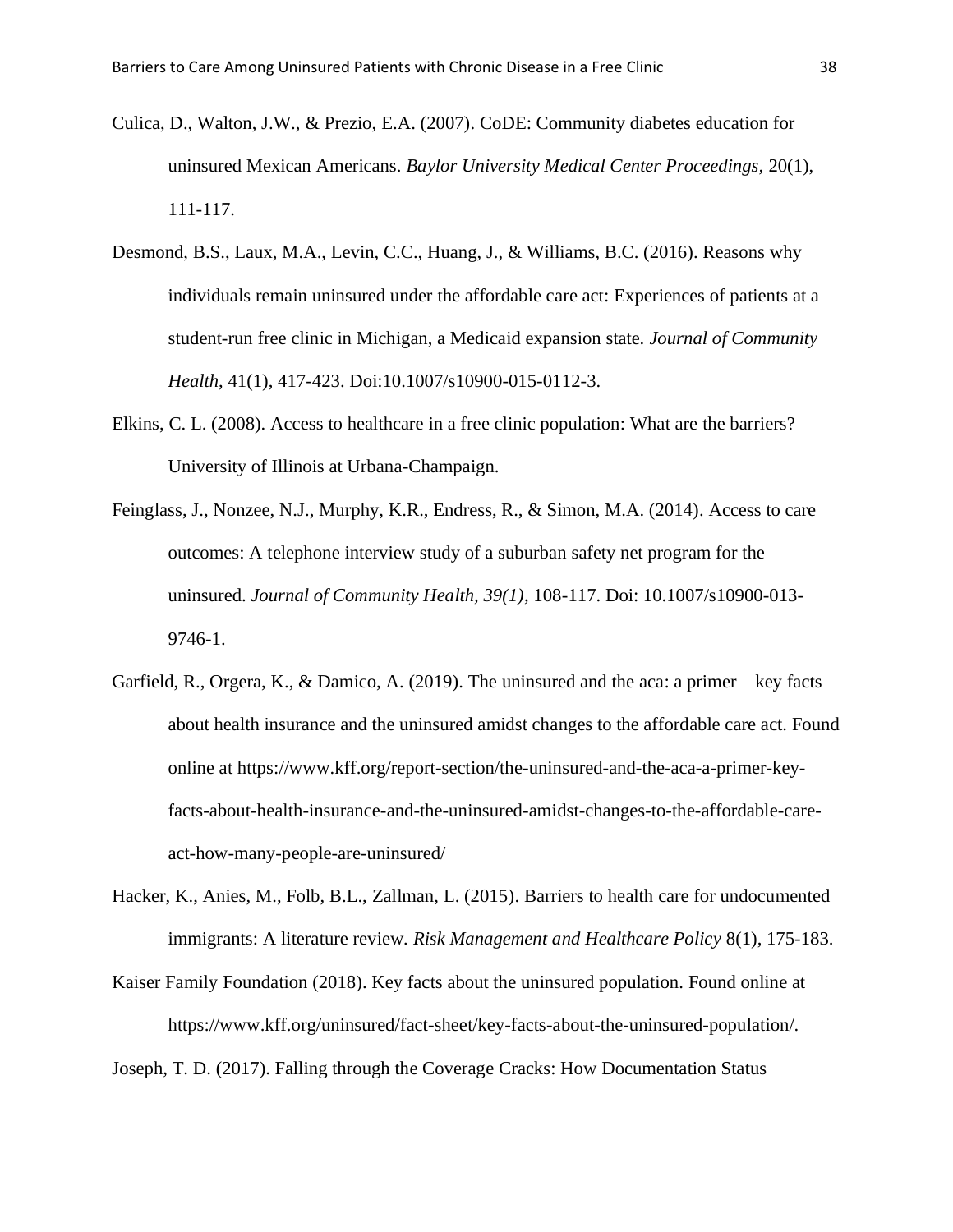- Culica, D., Walton, J.W., & Prezio, E.A. (2007). CoDE: Community diabetes education for uninsured Mexican Americans. *Baylor University Medical Center Proceedings,* 20(1), 111-117.
- Desmond, B.S., Laux, M.A., Levin, C.C., Huang, J., & Williams, B.C. (2016). Reasons why individuals remain uninsured under the affordable care act: Experiences of patients at a student-run free clinic in Michigan, a Medicaid expansion state. *Journal of Community Health*, 41(1), 417-423. Doi:10.1007/s10900-015-0112-3.
- Elkins, C. L. (2008). Access to healthcare in a free clinic population: What are the barriers? University of Illinois at Urbana-Champaign.
- Feinglass, J., Nonzee, N.J., Murphy, K.R., Endress, R., & Simon, M.A. (2014). Access to care outcomes: A telephone interview study of a suburban safety net program for the uninsured. *Journal of Community Health, 39(1)*, 108-117. Doi: 10.1007/s10900-013- 9746-1.
- Garfield, R., Orgera, K., & Damico, A. (2019). The uninsured and the aca: a primer key facts about health insurance and the uninsured amidst changes to the affordable care act. Found online at https://www.kff.org/report-section/the-uninsured-and-the-aca-a-primer-keyfacts-about-health-insurance-and-the-uninsured-amidst-changes-to-the-affordable-careact-how-many-people-are-uninsured/
- Hacker, K., Anies, M., Folb, B.L., Zallman, L. (2015). Barriers to health care for undocumented immigrants: A literature review*. Risk Management and Healthcare Policy* 8(1), 175-183.
- Kaiser Family Foundation (2018). Key facts about the uninsured population. Found online at https://www.kff.org/uninsured/fact-sheet/key-facts-about-the-uninsured-population/.

Joseph, T. D. (2017). Falling through the Coverage Cracks: How Documentation Status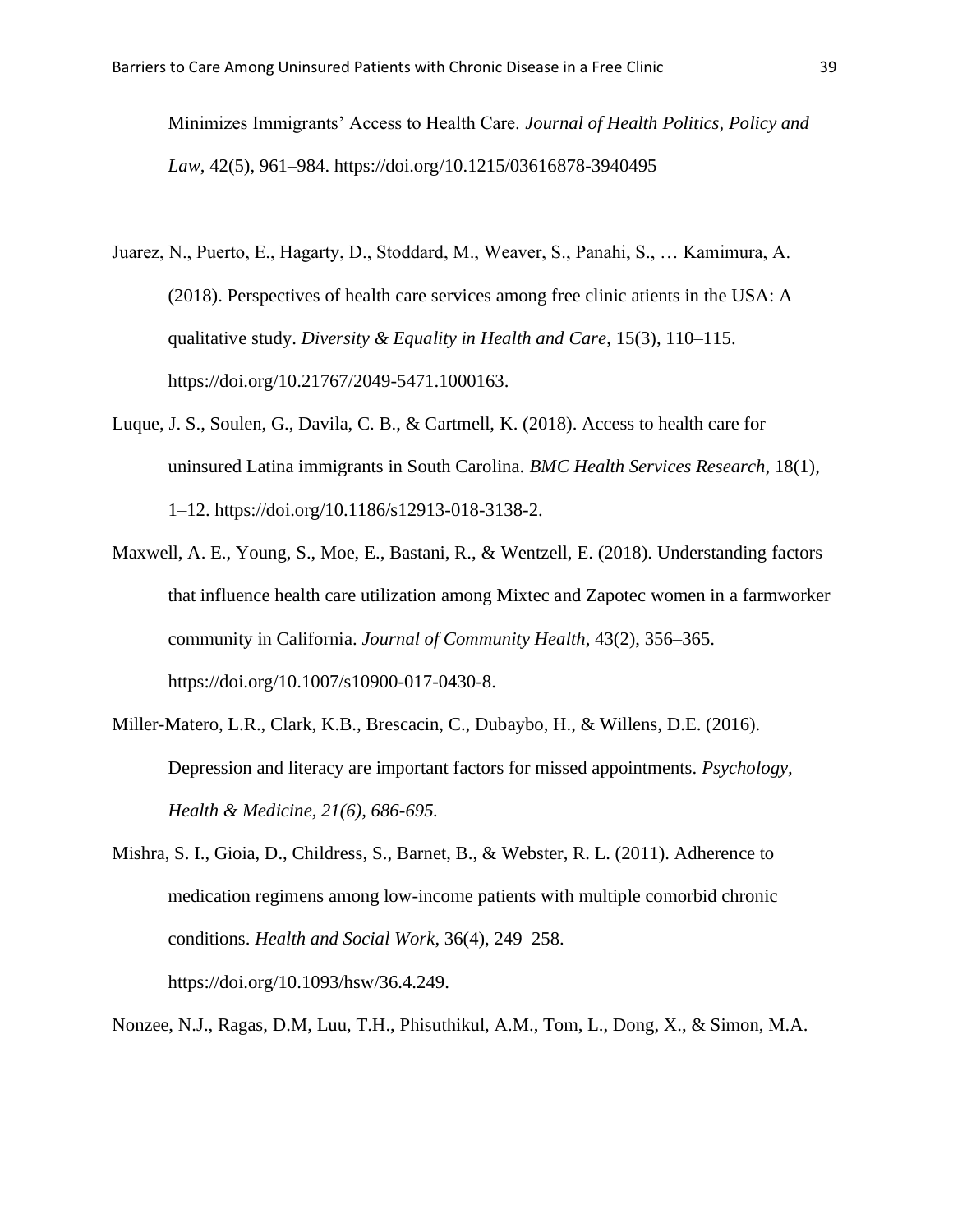Minimizes Immigrants' Access to Health Care. *Journal of Health Politics, Policy and Law*, 42(5), 961–984. https://doi.org/10.1215/03616878-3940495

- Juarez, N., Puerto, E., Hagarty, D., Stoddard, M., Weaver, S., Panahi, S., … Kamimura, A. (2018). Perspectives of health care services among free clinic atients in the USA: A qualitative study. *Diversity & Equality in Health and Care*, 15(3), 110–115. https://doi.org/10.21767/2049-5471.1000163.
- Luque, J. S., Soulen, G., Davila, C. B., & Cartmell, K. (2018). Access to health care for uninsured Latina immigrants in South Carolina. *BMC Health Services Research*, 18(1), 1–12. https://doi.org/10.1186/s12913-018-3138-2.
- Maxwell, A. E., Young, S., Moe, E., Bastani, R., & Wentzell, E. (2018). Understanding factors that influence health care utilization among Mixtec and Zapotec women in a farmworker community in California. *Journal of Community Health*, 43(2), 356–365. https://doi.org/10.1007/s10900-017-0430-8.
- Miller-Matero, L.R., Clark, K.B., Brescacin, C., Dubaybo, H., & Willens, D.E. (2016). Depression and literacy are important factors for missed appointments. *Psychology, Health & Medicine, 21(6), 686-695.*
- Mishra, S. I., Gioia, D., Childress, S., Barnet, B., & Webster, R. L. (2011). Adherence to medication regimens among low-income patients with multiple comorbid chronic conditions. *Health and Social Work*, 36(4), 249–258.

https://doi.org/10.1093/hsw/36.4.249.

Nonzee, N.J., Ragas, D.M, Luu, T.H., Phisuthikul, A.M., Tom, L., Dong, X., & Simon, M.A.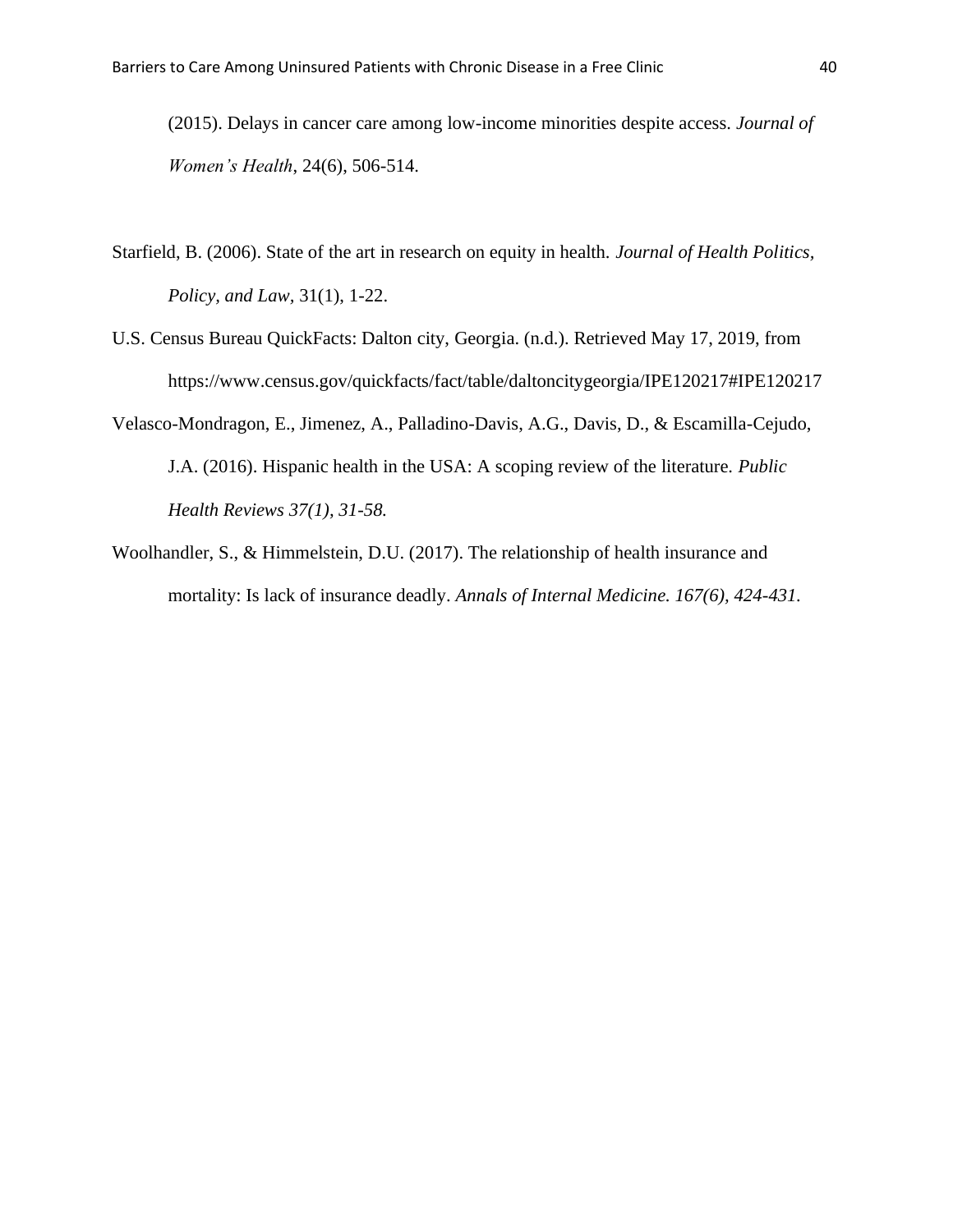(2015). Delays in cancer care among low-income minorities despite access. *Journal of Women's Health*, 24(6), 506-514.

- Starfield, B. (2006). State of the art in research on equity in health. *Journal of Health Politics, Policy, and Law,* 31(1), 1-22.
- U.S. Census Bureau QuickFacts: Dalton city, Georgia. (n.d.). Retrieved May 17, 2019, from https://www.census.gov/quickfacts/fact/table/daltoncitygeorgia/IPE120217#IPE120217
- Velasco-Mondragon, E., Jimenez, A., Palladino-Davis, A.G., Davis, D., & Escamilla-Cejudo, J.A. (2016). Hispanic health in the USA: A scoping review of the literature. *Public Health Reviews 37(1), 31-58.*
- Woolhandler, S., & Himmelstein, D.U. (2017). The relationship of health insurance and mortality: Is lack of insurance deadly. *Annals of Internal Medicine. 167(6), 424-431.*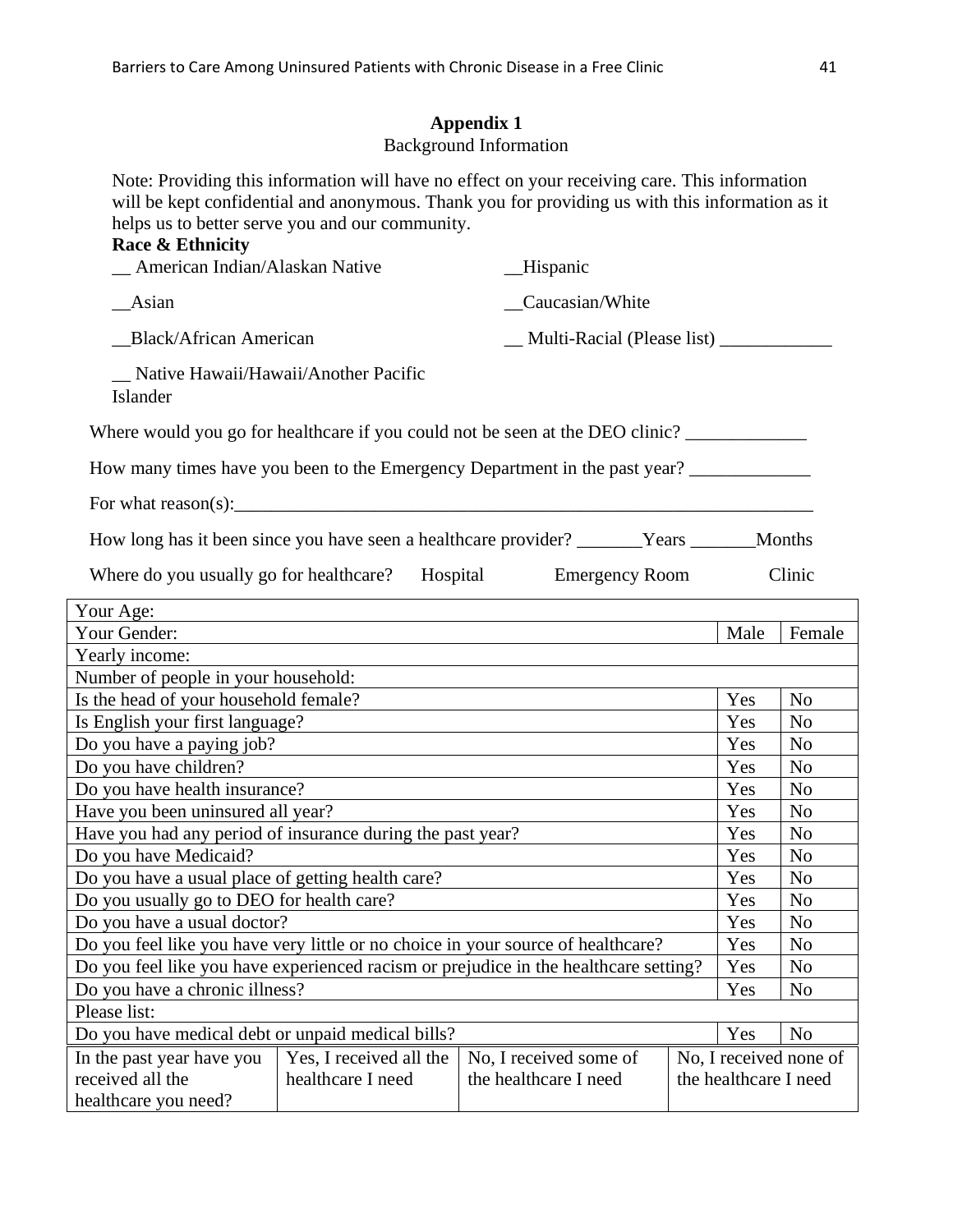# **Appendix 1**

# Background Information

Note: Providing this information will have no effect on your receiving care. This information will be kept confidential and anonymous. Thank you for providing us with this information as it helps us to better serve you and our community.

| Race & Ethnicity<br>_ American Indian/Alaskan Native                                      |                                              | Hispanic                                        |  |  |                       |                        |
|-------------------------------------------------------------------------------------------|----------------------------------------------|-------------------------------------------------|--|--|-----------------------|------------------------|
| <b>Asian</b>                                                                              | Caucasian/White                              |                                                 |  |  |                       |                        |
| <b>Black/African American</b>                                                             |                                              | __ Multi-Racial (Please list) _____________     |  |  |                       |                        |
| Native Hawaii/Hawaii/Another Pacific<br>Islander                                          |                                              |                                                 |  |  |                       |                        |
| Where would you go for healthcare if you could not be seen at the DEO clinic?             |                                              |                                                 |  |  |                       |                        |
| How many times have you been to the Emergency Department in the past year?                |                                              |                                                 |  |  |                       |                        |
|                                                                                           |                                              |                                                 |  |  |                       |                        |
| How long has it been since you have seen a healthcare provider? _______Years ______Months |                                              |                                                 |  |  |                       |                        |
| Where do you usually go for healthcare? Hospital Emergency Room                           |                                              |                                                 |  |  |                       | Clinic                 |
| Your Age:                                                                                 |                                              |                                                 |  |  |                       |                        |
| Your Gender:                                                                              |                                              |                                                 |  |  | Male                  | Female                 |
| Yearly income:                                                                            |                                              |                                                 |  |  |                       |                        |
| Number of people in your household:                                                       |                                              |                                                 |  |  |                       |                        |
| Is the head of your household female?                                                     |                                              |                                                 |  |  | Yes                   | N <sub>o</sub>         |
| Is English your first language?                                                           |                                              |                                                 |  |  | Yes                   | N <sub>o</sub>         |
| Do you have a paying job?                                                                 |                                              |                                                 |  |  | Yes                   | N <sub>o</sub>         |
| Do you have children?                                                                     |                                              |                                                 |  |  | Yes                   | N <sub>o</sub>         |
| Do you have health insurance?                                                             |                                              |                                                 |  |  | Yes                   | N <sub>o</sub>         |
| Have you been uninsured all year?                                                         |                                              |                                                 |  |  | Yes                   | N <sub>o</sub>         |
| Have you had any period of insurance during the past year?                                |                                              |                                                 |  |  | Yes                   | N <sub>0</sub>         |
| Do you have Medicaid?                                                                     |                                              |                                                 |  |  | Yes                   | N <sub>o</sub>         |
| Do you have a usual place of getting health care?                                         |                                              |                                                 |  |  | Yes                   | N <sub>o</sub>         |
| Do you usually go to DEO for health care?                                                 |                                              |                                                 |  |  | Yes                   | N <sub>0</sub>         |
| Do you have a usual doctor?                                                               |                                              |                                                 |  |  | Yes                   | N <sub>o</sub>         |
| Do you feel like you have very little or no choice in your source of healthcare?          |                                              |                                                 |  |  | Yes                   | N <sub>0</sub>         |
| Do you feel like you have experienced racism or prejudice in the healthcare setting?      |                                              |                                                 |  |  | Yes                   | N <sub>o</sub>         |
| Do you have a chronic illness?                                                            |                                              |                                                 |  |  | Yes                   | No                     |
| Please list:                                                                              |                                              |                                                 |  |  |                       |                        |
| Do you have medical debt or unpaid medical bills?                                         |                                              |                                                 |  |  | Yes                   | N <sub>o</sub>         |
| In the past year have you<br>received all the<br>healthcare you need?                     | Yes, I received all the<br>healthcare I need | No, I received some of<br>the healthcare I need |  |  | the healthcare I need | No, I received none of |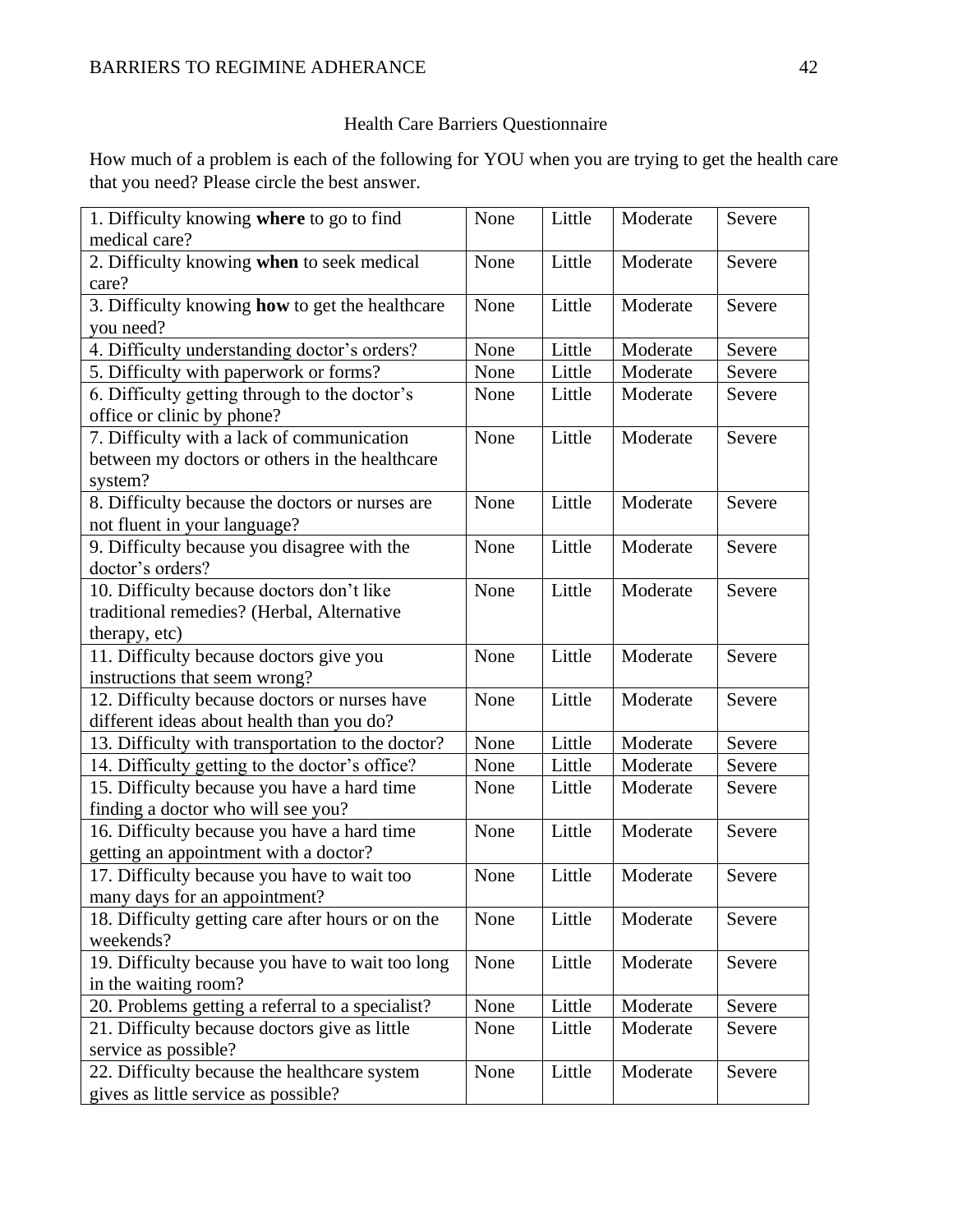# Health Care Barriers Questionnaire

How much of a problem is each of the following for YOU when you are trying to get the health care that you need? Please circle the best answer.

| 1. Difficulty knowing where to go to find         | None | Little | Moderate | Severe |
|---------------------------------------------------|------|--------|----------|--------|
| medical care?                                     |      |        |          |        |
| 2. Difficulty knowing when to seek medical        | None | Little | Moderate | Severe |
| care?                                             |      |        |          |        |
| 3. Difficulty knowing how to get the healthcare   | None | Little | Moderate | Severe |
| you need?                                         |      |        |          |        |
| 4. Difficulty understanding doctor's orders?      | None | Little | Moderate | Severe |
| 5. Difficulty with paperwork or forms?            | None | Little | Moderate | Severe |
| 6. Difficulty getting through to the doctor's     | None | Little | Moderate | Severe |
| office or clinic by phone?                        |      |        |          |        |
| 7. Difficulty with a lack of communication        | None | Little | Moderate | Severe |
| between my doctors or others in the healthcare    |      |        |          |        |
| system?                                           |      |        |          |        |
| 8. Difficulty because the doctors or nurses are   | None | Little | Moderate | Severe |
| not fluent in your language?                      |      |        |          |        |
| 9. Difficulty because you disagree with the       | None | Little | Moderate | Severe |
| doctor's orders?                                  |      |        |          |        |
| 10. Difficulty because doctors don't like         | None | Little | Moderate | Severe |
| traditional remedies? (Herbal, Alternative        |      |        |          |        |
| therapy, etc)                                     |      |        |          |        |
| 11. Difficulty because doctors give you           | None | Little | Moderate | Severe |
| instructions that seem wrong?                     |      |        |          |        |
| 12. Difficulty because doctors or nurses have     | None | Little | Moderate | Severe |
| different ideas about health than you do?         |      |        |          |        |
| 13. Difficulty with transportation to the doctor? | None | Little | Moderate | Severe |
| 14. Difficulty getting to the doctor's office?    | None | Little | Moderate | Severe |
| 15. Difficulty because you have a hard time       | None | Little | Moderate | Severe |
| finding a doctor who will see you?                |      |        |          |        |
| 16. Difficulty because you have a hard time       | None | Little | Moderate | Severe |
| getting an appointment with a doctor?             |      |        |          |        |
| 17. Difficulty because you have to wait too       | None | Little | Moderate | Severe |
| many days for an appointment?                     |      |        |          |        |
| 18. Difficulty getting care after hours or on the | None | Little | Moderate | Severe |
| weekends?                                         |      |        |          |        |
| 19. Difficulty because you have to wait too long  | None | Little | Moderate | Severe |
| in the waiting room?                              |      |        |          |        |
| 20. Problems getting a referral to a specialist?  | None | Little | Moderate | Severe |
| 21. Difficulty because doctors give as little     | None | Little | Moderate | Severe |
| service as possible?                              |      |        |          |        |
| 22. Difficulty because the healthcare system      | None | Little | Moderate | Severe |
| gives as little service as possible?              |      |        |          |        |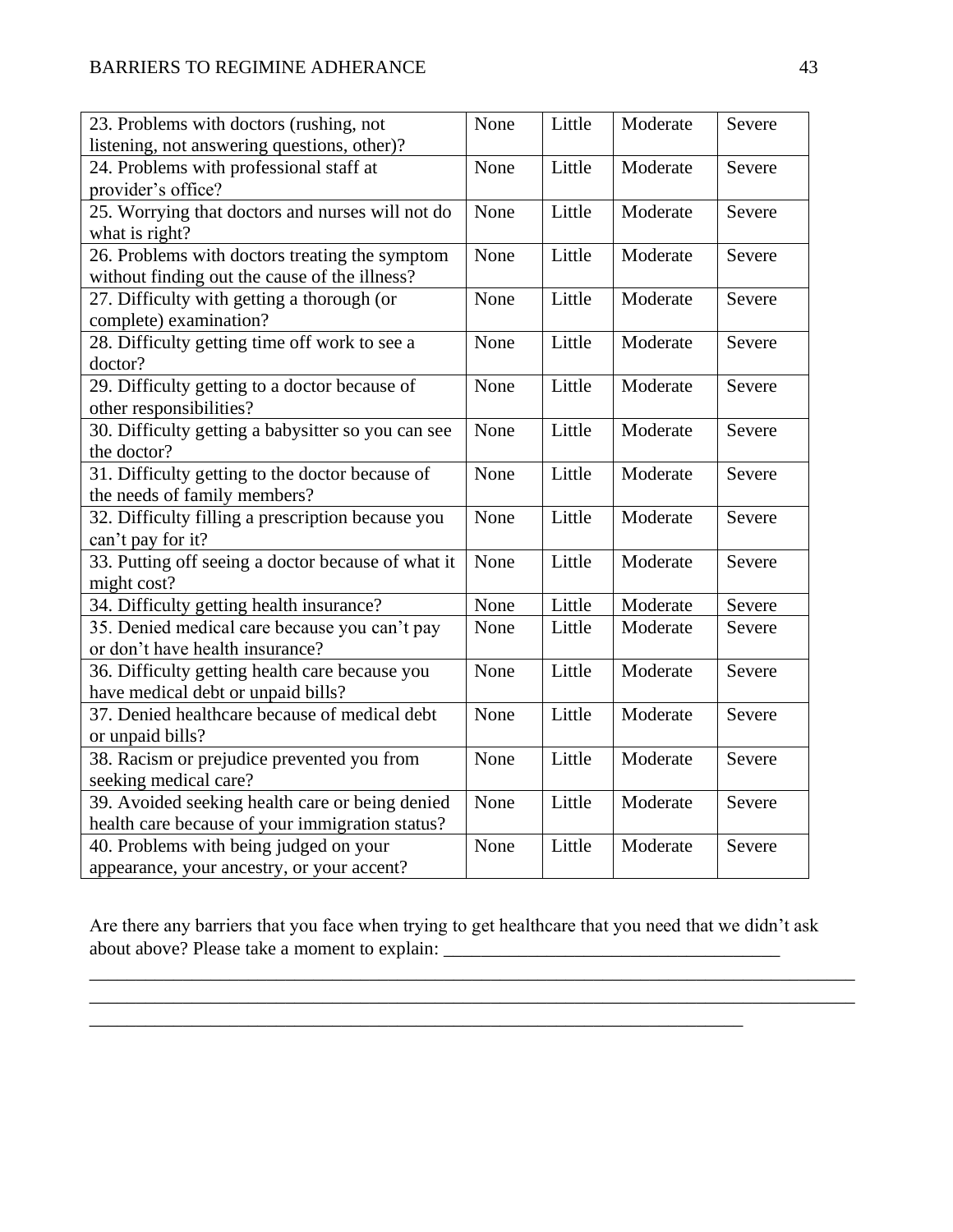| 23. Problems with doctors (rushing, not            |      | Little | Moderate | Severe |
|----------------------------------------------------|------|--------|----------|--------|
| listening, not answering questions, other)?        |      |        |          |        |
| 24. Problems with professional staff at            | None | Little | Moderate | Severe |
| provider's office?                                 |      |        |          |        |
| 25. Worrying that doctors and nurses will not do   | None | Little | Moderate | Severe |
| what is right?                                     |      |        |          |        |
| 26. Problems with doctors treating the symptom     | None | Little | Moderate | Severe |
| without finding out the cause of the illness?      |      |        |          |        |
| 27. Difficulty with getting a thorough (or         | None | Little | Moderate | Severe |
| complete) examination?                             |      |        |          |        |
| 28. Difficulty getting time off work to see a      | None | Little | Moderate | Severe |
| doctor?                                            |      |        |          |        |
| 29. Difficulty getting to a doctor because of      | None | Little | Moderate | Severe |
| other responsibilities?                            |      |        |          |        |
| 30. Difficulty getting a babysitter so you can see | None | Little | Moderate | Severe |
| the doctor?                                        |      |        |          |        |
| 31. Difficulty getting to the doctor because of    | None | Little | Moderate | Severe |
| the needs of family members?                       |      |        |          |        |
| 32. Difficulty filling a prescription because you  | None | Little | Moderate | Severe |
| can't pay for it?                                  |      |        |          |        |
| 33. Putting off seeing a doctor because of what it | None | Little | Moderate | Severe |
| might cost?                                        |      |        |          |        |
| 34. Difficulty getting health insurance?           | None | Little | Moderate | Severe |
| 35. Denied medical care because you can't pay      | None | Little | Moderate | Severe |
| or don't have health insurance?                    |      |        |          |        |
| 36. Difficulty getting health care because you     | None | Little | Moderate | Severe |
| have medical debt or unpaid bills?                 |      |        |          |        |
| 37. Denied healthcare because of medical debt      | None | Little | Moderate | Severe |
| or unpaid bills?                                   |      |        |          |        |
| 38. Racism or prejudice prevented you from         | None | Little | Moderate | Severe |
| seeking medical care?                              |      |        |          |        |
| 39. Avoided seeking health care or being denied    | None | Little | Moderate | Severe |
| health care because of your immigration status?    |      |        |          |        |
| 40. Problems with being judged on your             | None | Little | Moderate | Severe |
| appearance, your ancestry, or your accent?         |      |        |          |        |

Are there any barriers that you face when trying to get healthcare that you need that we didn't ask about above? Please take a moment to explain: \_\_\_\_\_\_\_\_\_\_\_\_\_\_\_\_\_\_\_\_\_\_\_\_\_\_\_\_\_\_\_\_\_\_\_

\_\_\_\_\_\_\_\_\_\_\_\_\_\_\_\_\_\_\_\_\_\_\_\_\_\_\_\_\_\_\_\_\_\_\_\_\_\_\_\_\_\_\_\_\_\_\_\_\_\_\_\_\_\_\_\_\_\_\_\_\_\_\_\_\_\_\_\_\_\_

\_\_\_\_\_\_\_\_\_\_\_\_\_\_\_\_\_\_\_\_\_\_\_\_\_\_\_\_\_\_\_\_\_\_\_\_\_\_\_\_\_\_\_\_\_\_\_\_\_\_\_\_\_\_\_\_\_\_\_\_\_\_\_\_\_\_\_\_\_\_\_\_\_\_\_\_\_\_\_\_\_\_

\_\_\_\_\_\_\_\_\_\_\_\_\_\_\_\_\_\_\_\_\_\_\_\_\_\_\_\_\_\_\_\_\_\_\_\_\_\_\_\_\_\_\_\_\_\_\_\_\_\_\_\_\_\_\_\_\_\_\_\_\_\_\_\_\_\_\_\_\_\_\_\_\_\_\_\_\_\_\_\_\_\_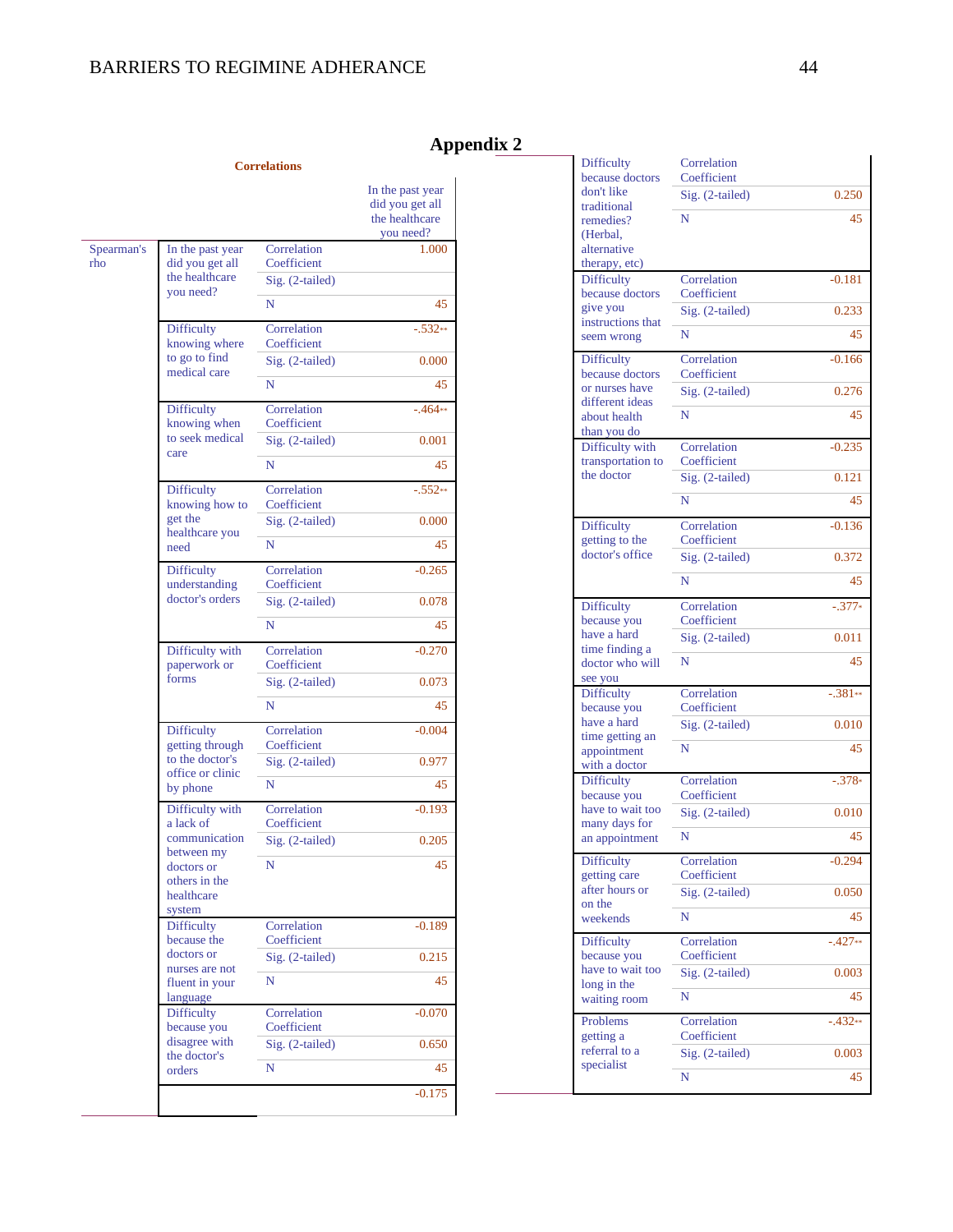**Correlations**

# **Appendix 2**

 $\overline{\phantom{a}}$ 

|                   |                                                                   |                                                 | In the past year<br>did you get all<br>the healthcare<br>you need? |
|-------------------|-------------------------------------------------------------------|-------------------------------------------------|--------------------------------------------------------------------|
| Spearman's<br>rho | In the past year<br>did you get all<br>the healthcare             | Correlation<br>Coefficient<br>$Sig. (2-tailed)$ | 1.000                                                              |
|                   | you need?                                                         |                                                 |                                                                    |
|                   |                                                                   | N                                               | 45                                                                 |
|                   | Difficulty<br>knowing where                                       | Correlation<br>Coefficient                      | $-.532**$                                                          |
|                   | to go to find<br>medical care                                     | Sig. (2-tailed)                                 | 0.000                                                              |
|                   |                                                                   | N                                               | 45                                                                 |
|                   | <b>Difficulty</b><br>knowing when                                 | Correlation<br>Coefficient                      | $-.464**$                                                          |
|                   | to seek medical                                                   | Sig. (2-tailed)                                 | 0.001                                                              |
|                   | care                                                              | N                                               | 45                                                                 |
|                   | Difficulty<br>knowing how to                                      | Correlation<br>Coefficient                      | $-.552**$                                                          |
|                   | get the<br>healthcare you<br>need                                 | Sig. (2-tailed)                                 | 0.000                                                              |
|                   |                                                                   | N                                               | 45                                                                 |
|                   | <b>Difficulty</b><br>understanding                                | Correlation<br>Coefficient                      | $-0.265$                                                           |
|                   | doctor's orders                                                   | Sig. (2-tailed)                                 | 0.078                                                              |
|                   |                                                                   | N                                               | 45                                                                 |
|                   | Difficulty with<br>paperwork or<br>forms                          | Correlation<br>Coefficient                      | $-0.270$                                                           |
|                   |                                                                   | Sig. (2-tailed)                                 | 0.073                                                              |
|                   |                                                                   | N                                               | 45                                                                 |
|                   | <b>Difficulty</b><br>getting through                              | Correlation<br>Coefficient                      | $-0.004$                                                           |
|                   | to the doctor's                                                   | Sig. (2-tailed)                                 | 0.977                                                              |
|                   | office or clinic<br>by phone                                      | N                                               | 45                                                                 |
|                   | Difficulty with<br>a lack of                                      | Correlation<br>Coefficient                      | $-0.193$                                                           |
|                   | communication                                                     | Sig. (2-tailed)                                 | 0.205                                                              |
|                   | between my<br>doctors or<br>others in the<br>healthcare<br>system | N                                               | 45                                                                 |
|                   | <b>Difficulty</b><br>because the                                  | Correlation<br>Coefficient                      | $-0.189$                                                           |
|                   | doctors or                                                        | Sig. (2-tailed)                                 | 0.215                                                              |
|                   | nurses are not<br>fluent in your<br>language                      | N                                               | 45                                                                 |
|                   | <b>Difficulty</b><br>because you                                  | Correlation<br>Coefficient                      | $-0.070$                                                           |
|                   | disagree with<br>the doctor's                                     | Sig. (2-tailed)                                 | 0.650                                                              |
|                   | orders                                                            | N                                               | 45                                                                 |
|                   |                                                                   |                                                 | $-0.175$                                                           |

|  | Difficulty<br>because doctors                   | Correlation<br>Coefficient     |           |
|--|-------------------------------------------------|--------------------------------|-----------|
|  | don't like                                      | Sig. (2-tailed)                | 0.250     |
|  | traditional<br>remedies?                        | N                              | 45        |
|  | (Herbal,                                        |                                |           |
|  | alternative<br>therapy, etc)                    |                                |           |
|  | <b>Difficulty</b><br>because doctors            | Correlation<br>Coefficient     | $-0.181$  |
|  | give you                                        | Sig. (2-tailed)                | 0.233     |
|  | instructions that<br>seem wrong                 | N                              | 45        |
|  | Difficulty                                      | Correlation                    | $-0.166$  |
|  | because doctors                                 | Coefficient                    |           |
|  | or nurses have<br>different ideas               | Sig. (2-tailed)                | 0.276     |
|  | about health<br>than you do                     | N                              | 45        |
|  | Difficulty with                                 | Correlation                    | $-0.235$  |
|  | transportation to<br>the doctor                 | Coefficient<br>Sig. (2-tailed) | 0.121     |
|  |                                                 | N                              | 45        |
|  |                                                 |                                |           |
|  | <b>Difficulty</b><br>getting to the             | Correlation<br>Coefficient     | $-0.136$  |
|  | doctor's office                                 | Sig. (2-tailed)                | 0.372     |
|  |                                                 | N                              | 45        |
|  | <b>Difficulty</b>                               | Correlation                    | $-.377*$  |
|  | because you<br>have a hard                      | Coefficient<br>Sig. (2-tailed) | 0.011     |
|  | time finding a                                  |                                |           |
|  | doctor who will<br>see you                      | N                              | 45        |
|  | <b>Difficulty</b>                               | Correlation                    | $-.381**$ |
|  | because you<br>have a hard                      | Coefficient<br>Sig. (2-tailed) | 0.010     |
|  | time getting an                                 | N                              | 45        |
|  | appointment<br>with a doctor                    |                                |           |
|  | <b>Difficulty</b><br>because you                | Correlation<br>Coefficient     | $-.378*$  |
|  | have to wait too                                | Sig. (2-tailed)                | 0.010     |
|  | many days for<br>an appointment                 | N                              | 45        |
|  | Difficulty                                      | Correlation                    | $-0.294$  |
|  | getting care<br>after hours or                  | Coefficient                    |           |
|  | on the                                          | Sig. (2-tailed)                | 0.050     |
|  | weekends                                        | N                              | 45        |
|  | <b>Difficulty</b><br>because you                | Correlation<br>Coefficient     | $-.427**$ |
|  | have to wait too<br>long in the<br>waiting room | Sig. (2-tailed)                | 0.003     |
|  |                                                 | N                              | 45        |
|  | Problems                                        | Correlation                    | $-.432**$ |
|  | getting a                                       | Coefficient                    |           |
|  | referral to a<br>specialist                     | Sig. (2-tailed)                | 0.003     |
|  |                                                 | N                              | 45        |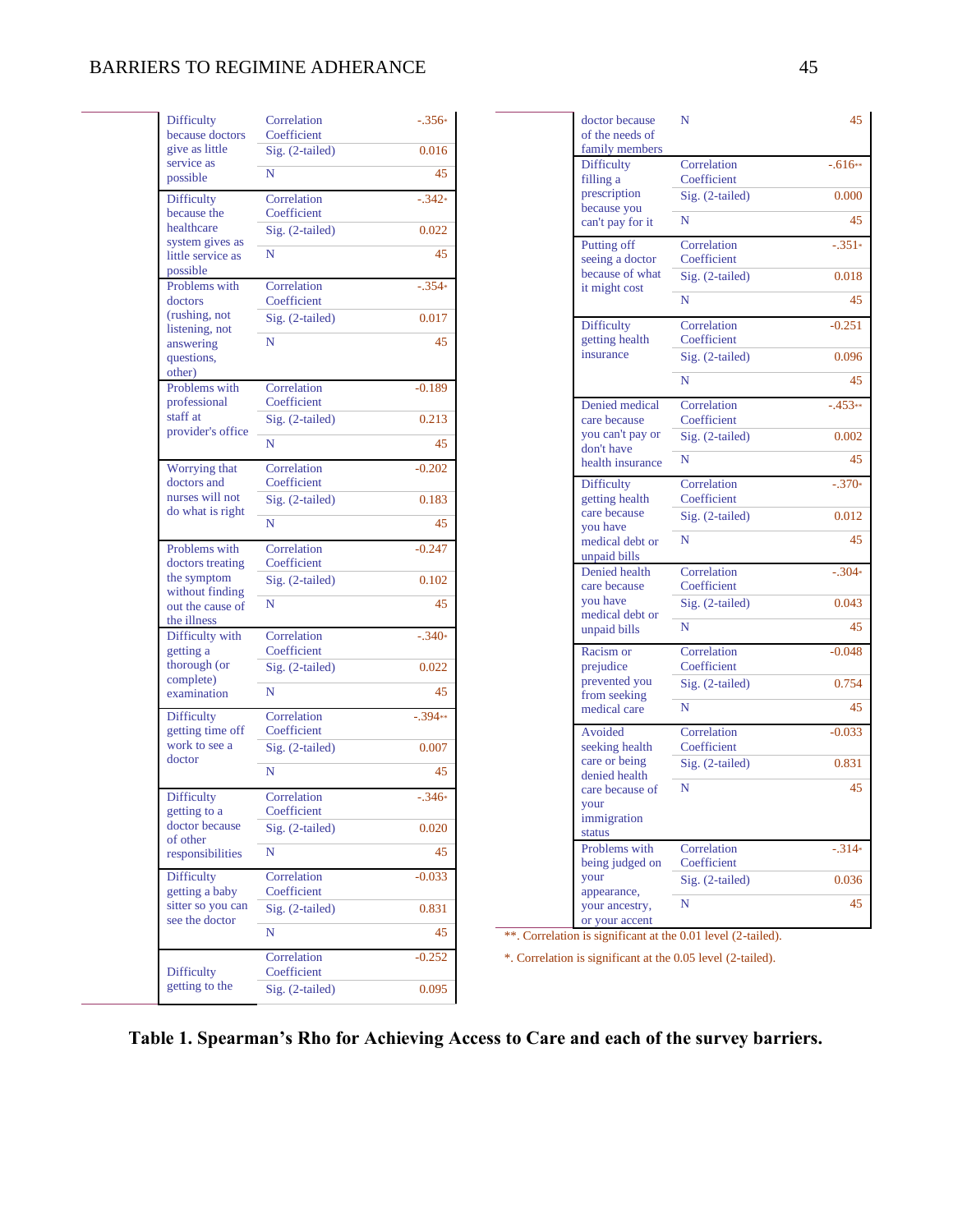# BARRIERS TO REGIMINE ADHERANCE 45

 $\overline{\phantom{0}}$ 

| Difficulty                                            | Correlation<br>Coefficient     | $-.356*$    |
|-------------------------------------------------------|--------------------------------|-------------|
| because doctors<br>give as little                     | Sig. (2-tailed)                | 0.016       |
| service as<br>possible                                | N                              | 45          |
| Difficulty<br>because the                             | Correlation<br>Coefficient     | $-.342*$    |
| healthcare                                            | Sig. (2-tailed)                | 0.022       |
| system gives as<br>little service as<br>possible      | N                              | 45          |
| Problems with                                         | Correlation                    | $-.354*$    |
| doctors<br>(rushing, not                              | Coefficient<br>Sig. (2-tailed) |             |
| listening, not                                        |                                | 0.017       |
| answering<br>questions,<br>other)                     | N                              | 45          |
| Problems with                                         | Correlation                    | $-0.189$    |
| professional<br>staff at                              | Coefficient<br>Sig. (2-tailed) | 0.213       |
| provider's office                                     |                                |             |
|                                                       | N                              | 45          |
| Worrying that<br>doctors and                          | Correlation<br>Coefficient     | $-0.202$    |
| nurses will not                                       | Sig. (2-tailed)                | 0.183       |
| do what is right                                      | N                              | 45          |
| Problems with                                         | Correlation<br>Coefficient     | $-0.247$    |
| doctors treating<br>the symptom                       | Sig. (2-tailed)                | 0.102       |
| without finding<br>out the cause of<br>the illness    | N                              | 45          |
| Difficulty with<br>getting a                          | Correlation<br>Coefficient     | $-.340*$    |
| thorough (or                                          | Sig. (2-tailed)                | 0.022       |
| complete)<br>examination                              | N                              | 45          |
| Difficulty<br>getting time off                        | Correlation<br>Coefficient     | $-.394**$   |
| work to see a                                         | Sig. (2-tailed)                | 0.007       |
| doctor                                                | N                              | 45          |
| <b>Difficulty</b><br>getting to a                     | Correlation<br>Coefficient     | $-.346*$    |
| doctor because                                        | Sig. (2-tailed)                | 0.020       |
| of other<br>responsibilities                          | N                              | 45          |
| <b>Difficulty</b>                                     | Correlation                    | $-0.033$    |
| getting a baby<br>sitter so you can<br>see the doctor | Coefficient                    |             |
|                                                       | Sig. (2-tailed)<br>N           | 0.831<br>45 |
|                                                       | Correlation                    |             |
|                                                       |                                | $-0.252$    |
| Difficulty                                            | Coefficient                    |             |

|  | doctor because<br>of the needs of<br>family members         | N                          | 45        |
|--|-------------------------------------------------------------|----------------------------|-----------|
|  | <b>Difficulty</b><br>filling a                              | Correlation<br>Coefficient | $-.616**$ |
|  | prescription<br>because you                                 | Sig. (2-tailed)            | 0.000     |
|  | can't pay for it                                            | N                          | 45        |
|  | Putting off<br>seeing a doctor                              | Correlation<br>Coefficient | $-.351*$  |
|  | because of what<br>it might cost                            | Sig. (2-tailed)            | 0.018     |
|  |                                                             | N                          | 45        |
|  | <b>Difficulty</b><br>getting health                         | Correlation<br>Coefficient | $-0.251$  |
|  | insurance                                                   | Sig. (2-tailed)            | 0.096     |
|  |                                                             | N                          | 45        |
|  | Denied medical<br>care because                              | Correlation<br>Coefficient | $-.453**$ |
|  | you can't pay or<br>don't have                              | Sig. (2-tailed)            | 0.002     |
|  | health insurance                                            | N                          | 45        |
|  | <b>Difficulty</b><br>getting health                         | Correlation<br>Coefficient | $-.370*$  |
|  | care because<br>you have<br>medical debt or<br>unpaid bills | Sig. (2-tailed)            | 0.012     |
|  |                                                             | N                          | 45        |
|  | Denied health<br>care because                               | Correlation<br>Coefficient | $-.304*$  |
|  | you have<br>medical debt or                                 | Sig. (2-tailed)            | 0.043     |
|  | unpaid bills                                                | N                          | 45        |
|  | Racism or<br>prejudice                                      | Correlation<br>Coefficient | $-0.048$  |
|  | prevented you<br>from seeking                               | Sig. (2-tailed)            | 0.754     |
|  | medical care                                                | N                          | 45        |
|  | Avoided<br>seeking health                                   | Correlation<br>Coefficient | $-0.033$  |
|  | care or being<br>denied health                              | Sig. (2-tailed)            | 0.831     |
|  | care because of<br>your                                     | N                          | 45        |
|  | immigration<br>status                                       |                            |           |
|  | Problems with<br>being judged on                            | Correlation<br>Coefficient | $-.314*$  |
|  | your                                                        | Sig. (2-tailed)            | 0.036     |
|  | appearance,<br>your ancestry,<br>or your accent             | N                          | 45        |
|  |                                                             |                            |           |

\*\*. Correlation is significant at the 0.01 level (2-tailed).

\*. Correlation is significant at the 0.05 level (2-tailed).

# **Table 1. Spearman's Rho for Achieving Access to Care and each of the survey barriers.**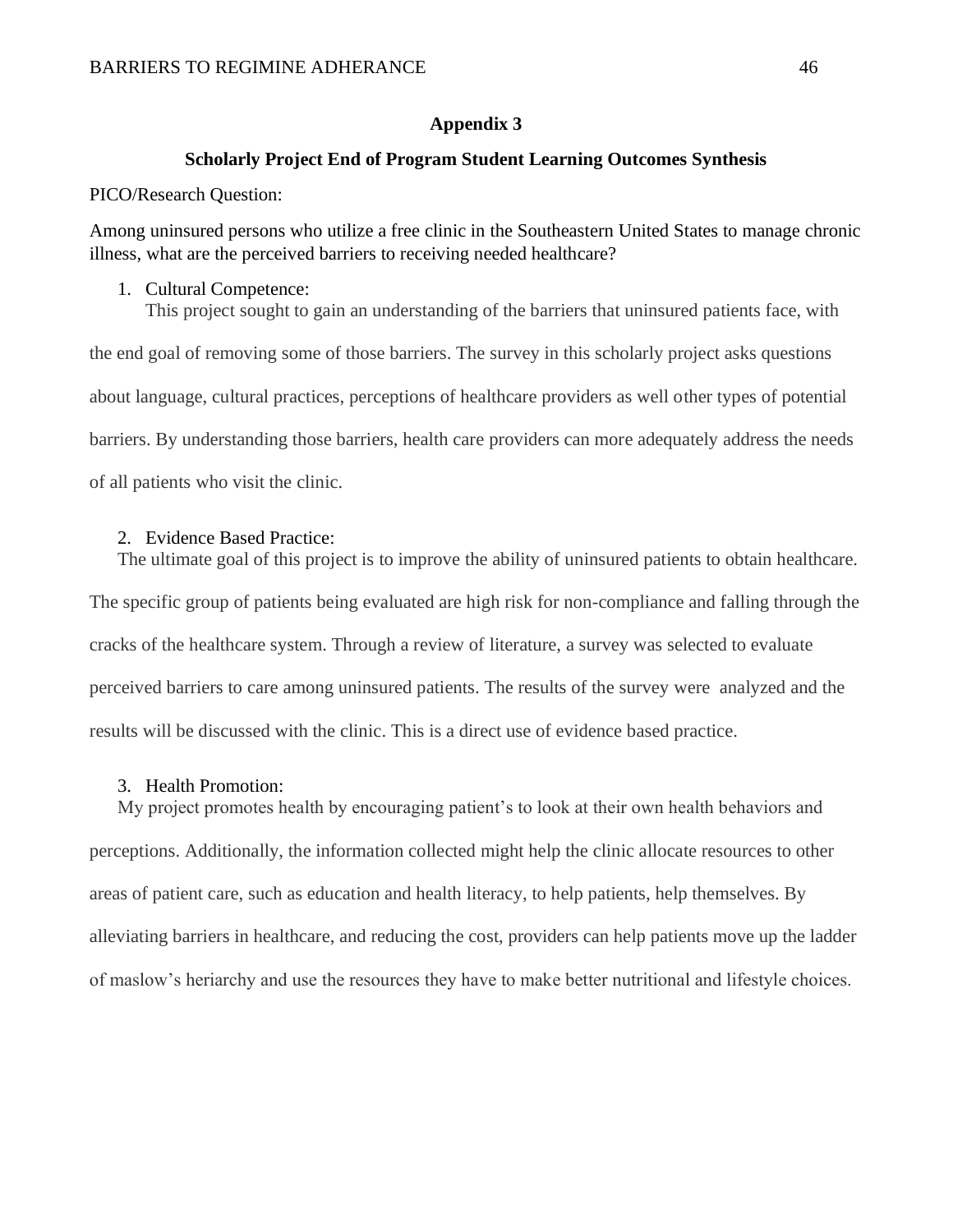#### **Appendix 3**

#### **Scholarly Project End of Program Student Learning Outcomes Synthesis**

PICO/Research Question:

Among uninsured persons who utilize a free clinic in the Southeastern United States to manage chronic illness, what are the perceived barriers to receiving needed healthcare?

#### 1. Cultural Competence:

This project sought to gain an understanding of the barriers that uninsured patients face, with the end goal of removing some of those barriers. The survey in this scholarly project asks questions about language, cultural practices, perceptions of healthcare providers as well other types of potential barriers. By understanding those barriers, health care providers can more adequately address the needs of all patients who visit the clinic.

# 2. Evidence Based Practice:

The ultimate goal of this project is to improve the ability of uninsured patients to obtain healthcare. The specific group of patients being evaluated are high risk for non-compliance and falling through the cracks of the healthcare system. Through a review of literature, a survey was selected to evaluate perceived barriers to care among uninsured patients. The results of the survey were analyzed and the results will be discussed with the clinic. This is a direct use of evidence based practice.

## 3. Health Promotion:

My project promotes health by encouraging patient's to look at their own health behaviors and perceptions. Additionally, the information collected might help the clinic allocate resources to other areas of patient care, such as education and health literacy, to help patients, help themselves. By alleviating barriers in healthcare, and reducing the cost, providers can help patients move up the ladder of maslow's heriarchy and use the resources they have to make better nutritional and lifestyle choices.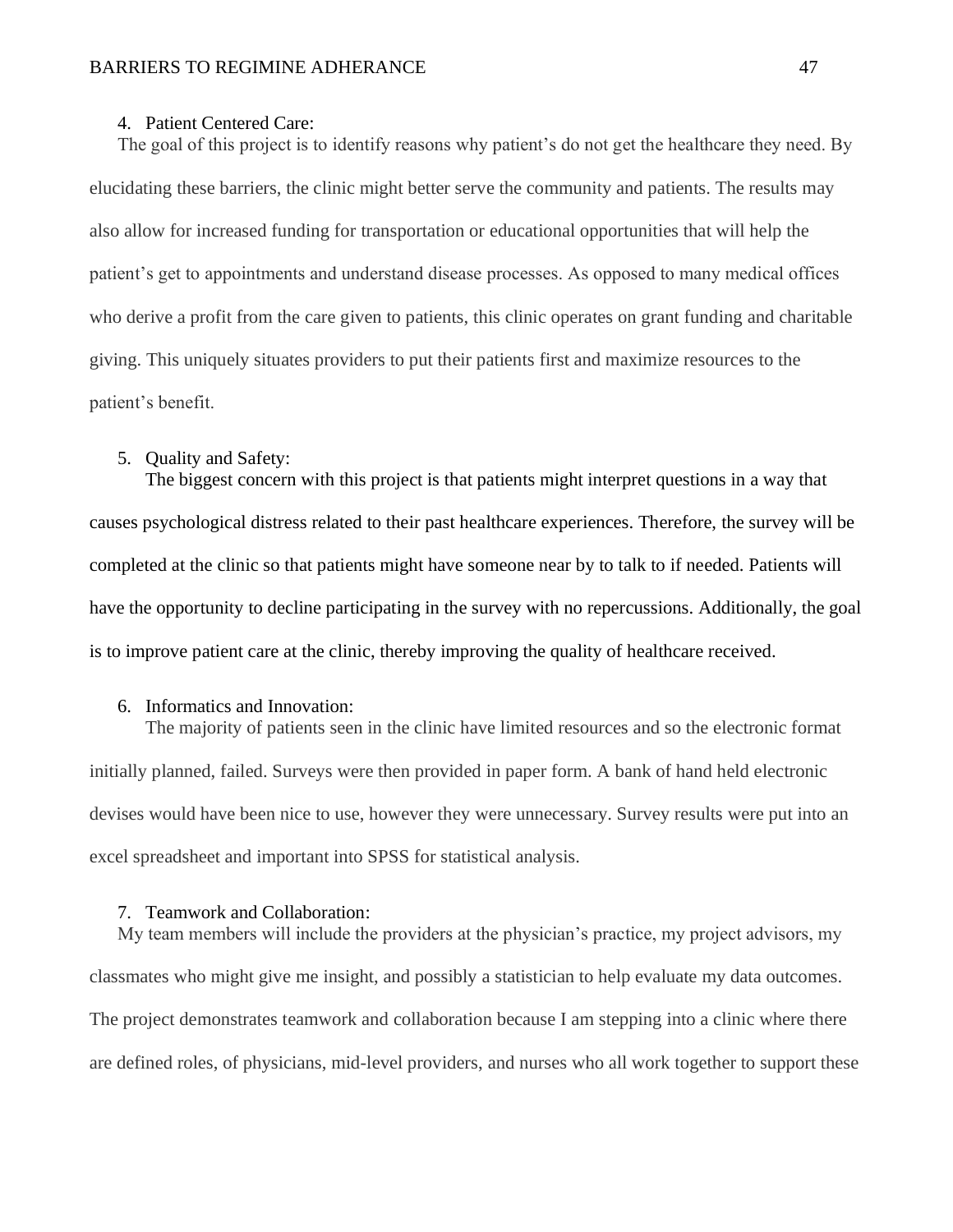#### 4. Patient Centered Care:

The goal of this project is to identify reasons why patient's do not get the healthcare they need. By elucidating these barriers, the clinic might better serve the community and patients. The results may also allow for increased funding for transportation or educational opportunities that will help the patient's get to appointments and understand disease processes. As opposed to many medical offices who derive a profit from the care given to patients, this clinic operates on grant funding and charitable giving. This uniquely situates providers to put their patients first and maximize resources to the patient's benefit.

#### 5. Quality and Safety:

The biggest concern with this project is that patients might interpret questions in a way that causes psychological distress related to their past healthcare experiences. Therefore, the survey will be completed at the clinic so that patients might have someone near by to talk to if needed. Patients will have the opportunity to decline participating in the survey with no repercussions. Additionally, the goal is to improve patient care at the clinic, thereby improving the quality of healthcare received.

# 6. Informatics and Innovation:

The majority of patients seen in the clinic have limited resources and so the electronic format initially planned, failed. Surveys were then provided in paper form. A bank of hand held electronic devises would have been nice to use, however they were unnecessary. Survey results were put into an excel spreadsheet and important into SPSS for statistical analysis.

#### 7. Teamwork and Collaboration:

My team members will include the providers at the physician's practice, my project advisors, my classmates who might give me insight, and possibly a statistician to help evaluate my data outcomes. The project demonstrates teamwork and collaboration because I am stepping into a clinic where there are defined roles, of physicians, mid-level providers, and nurses who all work together to support these